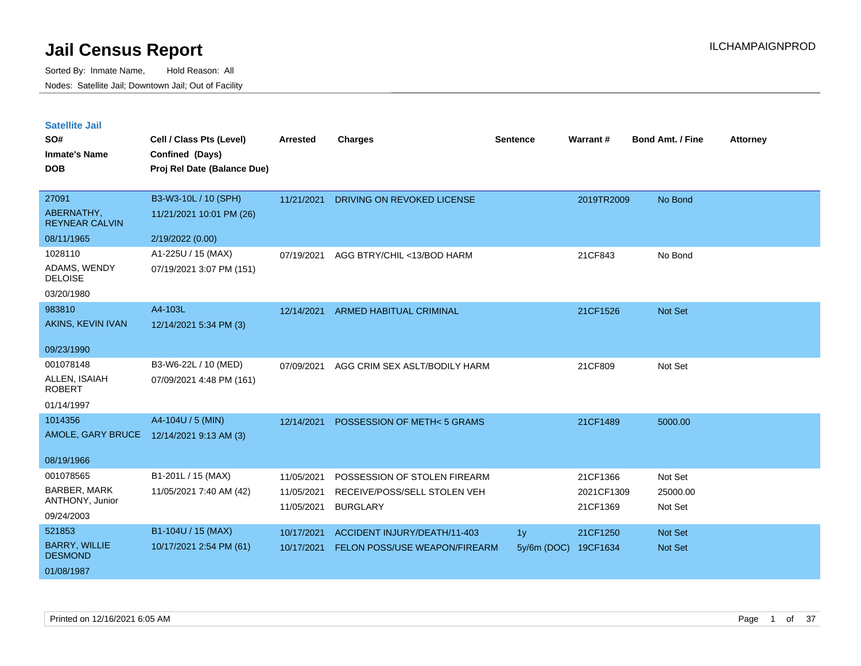| <b>Satellite Jail</b> |  |
|-----------------------|--|
|                       |  |

| UULUIILU VUII<br>SO#<br><b>Inmate's Name</b><br><b>DOB</b>     | Cell / Class Pts (Level)<br><b>Confined (Days)</b><br>Proj Rel Date (Balance Due) | Arrested                               | <b>Charges</b>                                                                  | Sentence                        | <b>Warrant#</b>                    | <b>Bond Amt. / Fine</b>        | <b>Attorney</b> |
|----------------------------------------------------------------|-----------------------------------------------------------------------------------|----------------------------------------|---------------------------------------------------------------------------------|---------------------------------|------------------------------------|--------------------------------|-----------------|
| 27091<br>ABERNATHY,<br><b>REYNEAR CALVIN</b><br>08/11/1965     | B3-W3-10L / 10 (SPH)<br>11/21/2021 10:01 PM (26)<br>2/19/2022 (0.00)              | 11/21/2021                             | DRIVING ON REVOKED LICENSE                                                      |                                 | 2019TR2009                         | No Bond                        |                 |
| 1028110<br>ADAMS, WENDY<br><b>DELOISE</b><br>03/20/1980        | A1-225U / 15 (MAX)<br>07/19/2021 3:07 PM (151)                                    | 07/19/2021                             | AGG BTRY/CHIL <13/BOD HARM                                                      |                                 | 21CF843                            | No Bond                        |                 |
| 983810<br>AKINS, KEVIN IVAN<br>09/23/1990                      | A4-103L<br>12/14/2021 5:34 PM (3)                                                 |                                        | 12/14/2021 ARMED HABITUAL CRIMINAL                                              |                                 | 21CF1526                           | Not Set                        |                 |
| 001078148<br>ALLEN, ISAIAH<br><b>ROBERT</b><br>01/14/1997      | B3-W6-22L / 10 (MED)<br>07/09/2021 4:48 PM (161)                                  | 07/09/2021                             | AGG CRIM SEX ASLT/BODILY HARM                                                   |                                 | 21CF809                            | Not Set                        |                 |
| 1014356<br>08/19/1966                                          | A4-104U / 5 (MIN)<br>AMOLE, GARY BRUCE 12/14/2021 9:13 AM (3)                     | 12/14/2021                             | POSSESSION OF METH<5 GRAMS                                                      |                                 | 21CF1489                           | 5000.00                        |                 |
| 001078565<br>BARBER, MARK<br>ANTHONY, Junior<br>09/24/2003     | B1-201L / 15 (MAX)<br>11/05/2021 7:40 AM (42)                                     | 11/05/2021<br>11/05/2021<br>11/05/2021 | POSSESSION OF STOLEN FIREARM<br>RECEIVE/POSS/SELL STOLEN VEH<br><b>BURGLARY</b> |                                 | 21CF1366<br>2021CF1309<br>21CF1369 | Not Set<br>25000.00<br>Not Set |                 |
| 521853<br><b>BARRY, WILLIE</b><br><b>DESMOND</b><br>01/08/1987 | B1-104U / 15 (MAX)<br>10/17/2021 2:54 PM (61)                                     | 10/17/2021<br>10/17/2021               | ACCIDENT INJURY/DEATH/11-403<br>FELON POSS/USE WEAPON/FIREARM                   | 1 <sub>y</sub><br>$5y/6m$ (DOC) | 21CF1250<br>19CF1634               | Not Set<br>Not Set             |                 |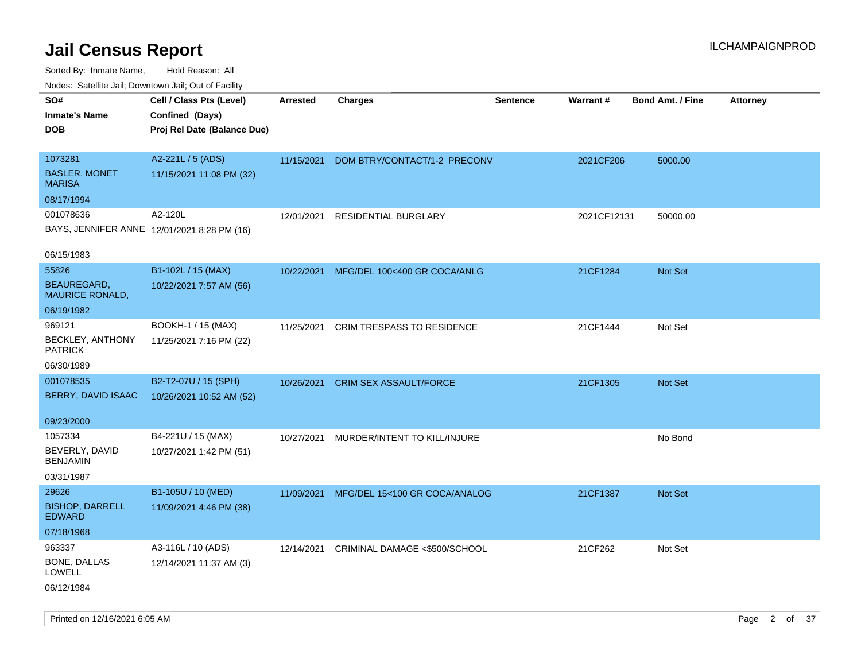| ivouss. Saleling Jali, Downtown Jali, Out of Facility |                                             |                 |                                   |                 |                 |                         |                 |
|-------------------------------------------------------|---------------------------------------------|-----------------|-----------------------------------|-----------------|-----------------|-------------------------|-----------------|
| SO#                                                   | Cell / Class Pts (Level)                    | <b>Arrested</b> | <b>Charges</b>                    | <b>Sentence</b> | <b>Warrant#</b> | <b>Bond Amt. / Fine</b> | <b>Attorney</b> |
| <b>Inmate's Name</b>                                  | Confined (Days)                             |                 |                                   |                 |                 |                         |                 |
| <b>DOB</b>                                            | Proj Rel Date (Balance Due)                 |                 |                                   |                 |                 |                         |                 |
|                                                       |                                             |                 |                                   |                 |                 |                         |                 |
| 1073281                                               | A2-221L / 5 (ADS)                           | 11/15/2021      | DOM BTRY/CONTACT/1-2 PRECONV      |                 | 2021CF206       | 5000.00                 |                 |
| <b>BASLER, MONET</b><br><b>MARISA</b>                 | 11/15/2021 11:08 PM (32)                    |                 |                                   |                 |                 |                         |                 |
| 08/17/1994                                            |                                             |                 |                                   |                 |                 |                         |                 |
| 001078636                                             | A2-120L                                     | 12/01/2021      | RESIDENTIAL BURGLARY              |                 | 2021CF12131     | 50000.00                |                 |
|                                                       | BAYS, JENNIFER ANNE 12/01/2021 8:28 PM (16) |                 |                                   |                 |                 |                         |                 |
| 06/15/1983                                            |                                             |                 |                                   |                 |                 |                         |                 |
| 55826                                                 | B1-102L / 15 (MAX)                          | 10/22/2021      | MFG/DEL 100<400 GR COCA/ANLG      |                 | 21CF1284        | Not Set                 |                 |
| BEAUREGARD,<br>MAURICE RONALD,                        | 10/22/2021 7:57 AM (56)                     |                 |                                   |                 |                 |                         |                 |
| 06/19/1982                                            |                                             |                 |                                   |                 |                 |                         |                 |
| 969121                                                | BOOKH-1 / 15 (MAX)                          | 11/25/2021      | <b>CRIM TRESPASS TO RESIDENCE</b> |                 | 21CF1444        | Not Set                 |                 |
| <b>BECKLEY, ANTHONY</b><br><b>PATRICK</b>             | 11/25/2021 7:16 PM (22)                     |                 |                                   |                 |                 |                         |                 |
| 06/30/1989                                            |                                             |                 |                                   |                 |                 |                         |                 |
| 001078535                                             | B2-T2-07U / 15 (SPH)                        | 10/26/2021      | <b>CRIM SEX ASSAULT/FORCE</b>     |                 | 21CF1305        | <b>Not Set</b>          |                 |
| BERRY, DAVID ISAAC                                    | 10/26/2021 10:52 AM (52)                    |                 |                                   |                 |                 |                         |                 |
| 09/23/2000                                            |                                             |                 |                                   |                 |                 |                         |                 |
| 1057334                                               | B4-221U / 15 (MAX)                          | 10/27/2021      | MURDER/INTENT TO KILL/INJURE      |                 |                 | No Bond                 |                 |
| BEVERLY, DAVID<br><b>BENJAMIN</b>                     | 10/27/2021 1:42 PM (51)                     |                 |                                   |                 |                 |                         |                 |
| 03/31/1987                                            |                                             |                 |                                   |                 |                 |                         |                 |
| 29626                                                 | B1-105U / 10 (MED)                          | 11/09/2021      | MFG/DEL 15<100 GR COCA/ANALOG     |                 | 21CF1387        | <b>Not Set</b>          |                 |
| <b>BISHOP, DARRELL</b><br><b>EDWARD</b>               | 11/09/2021 4:46 PM (38)                     |                 |                                   |                 |                 |                         |                 |
| 07/18/1968                                            |                                             |                 |                                   |                 |                 |                         |                 |
| 963337                                                | A3-116L / 10 (ADS)                          | 12/14/2021      | CRIMINAL DAMAGE <\$500/SCHOOL     |                 | 21CF262         | Not Set                 |                 |
| BONE, DALLAS<br>LOWELL                                | 12/14/2021 11:37 AM (3)                     |                 |                                   |                 |                 |                         |                 |
| 06/12/1984                                            |                                             |                 |                                   |                 |                 |                         |                 |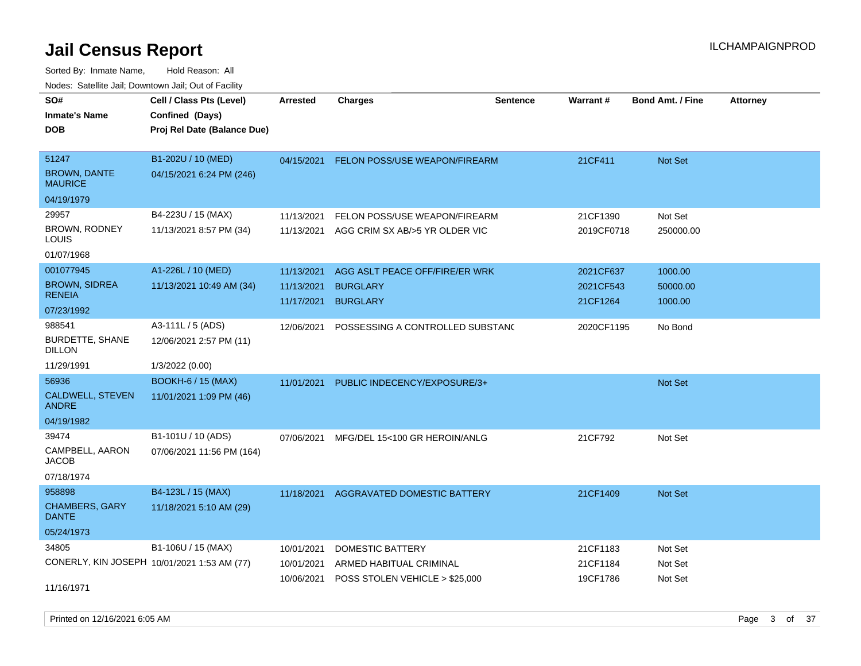Sorted By: Inmate Name, Hold Reason: All Nodes: Satellite Jail; Downtown Jail; Out of Facility

| rouce. Calcinic Jan, Downtown Jan, Out or Facility |                             |                 |                                  |          |            |                         |                 |
|----------------------------------------------------|-----------------------------|-----------------|----------------------------------|----------|------------|-------------------------|-----------------|
| SO#                                                | Cell / Class Pts (Level)    | <b>Arrested</b> | <b>Charges</b>                   | Sentence | Warrant#   | <b>Bond Amt. / Fine</b> | <b>Attorney</b> |
| <b>Inmate's Name</b>                               | Confined (Days)             |                 |                                  |          |            |                         |                 |
| <b>DOB</b>                                         | Proj Rel Date (Balance Due) |                 |                                  |          |            |                         |                 |
|                                                    |                             |                 |                                  |          |            |                         |                 |
| 51247                                              | B1-202U / 10 (MED)          | 04/15/2021      | FELON POSS/USE WEAPON/FIREARM    |          | 21CF411    | Not Set                 |                 |
| <b>BROWN, DANTE</b><br><b>MAURICE</b>              | 04/15/2021 6:24 PM (246)    |                 |                                  |          |            |                         |                 |
| 04/19/1979                                         |                             |                 |                                  |          |            |                         |                 |
| 29957                                              | B4-223U / 15 (MAX)          | 11/13/2021      | FELON POSS/USE WEAPON/FIREARM    |          | 21CF1390   | Not Set                 |                 |
| BROWN, RODNEY<br>LOUIS                             | 11/13/2021 8:57 PM (34)     | 11/13/2021      | AGG CRIM SX AB/>5 YR OLDER VIC   |          | 2019CF0718 | 250000.00               |                 |
| 01/07/1968                                         |                             |                 |                                  |          |            |                         |                 |
| 001077945                                          | A1-226L / 10 (MED)          | 11/13/2021      | AGG ASLT PEACE OFF/FIRE/ER WRK   |          | 2021CF637  | 1000.00                 |                 |
| <b>BROWN, SIDREA</b>                               | 11/13/2021 10:49 AM (34)    | 11/13/2021      | <b>BURGLARY</b>                  |          | 2021CF543  | 50000.00                |                 |
| <b>RENEIA</b>                                      |                             | 11/17/2021      | <b>BURGLARY</b>                  |          | 21CF1264   | 1000.00                 |                 |
| 07/23/1992                                         |                             |                 |                                  |          |            |                         |                 |
| 988541                                             | A3-111L / 5 (ADS)           | 12/06/2021      | POSSESSING A CONTROLLED SUBSTANC |          | 2020CF1195 | No Bond                 |                 |
| <b>BURDETTE, SHANE</b><br>DILLON                   | 12/06/2021 2:57 PM (11)     |                 |                                  |          |            |                         |                 |
| 11/29/1991                                         | 1/3/2022 (0.00)             |                 |                                  |          |            |                         |                 |
| 56936                                              | <b>BOOKH-6 / 15 (MAX)</b>   | 11/01/2021      | PUBLIC INDECENCY/EXPOSURE/3+     |          |            | Not Set                 |                 |
| CALDWELL, STEVEN<br><b>ANDRE</b>                   | 11/01/2021 1:09 PM (46)     |                 |                                  |          |            |                         |                 |
| 04/19/1982                                         |                             |                 |                                  |          |            |                         |                 |
| 39474                                              | B1-101U / 10 (ADS)          | 07/06/2021      | MFG/DEL 15<100 GR HEROIN/ANLG    |          | 21CF792    | Not Set                 |                 |
| CAMPBELL, AARON<br>JACOB                           | 07/06/2021 11:56 PM (164)   |                 |                                  |          |            |                         |                 |
| 07/18/1974                                         |                             |                 |                                  |          |            |                         |                 |
| 958898                                             | B4-123L / 15 (MAX)          | 11/18/2021      | AGGRAVATED DOMESTIC BATTERY      |          | 21CF1409   | <b>Not Set</b>          |                 |
| <b>CHAMBERS, GARY</b><br><b>DANTE</b>              | 11/18/2021 5:10 AM (29)     |                 |                                  |          |            |                         |                 |
| 05/24/1973                                         |                             |                 |                                  |          |            |                         |                 |
| 34805                                              | B1-106U / 15 (MAX)          | 10/01/2021      | DOMESTIC BATTERY                 |          | 21CF1183   | Not Set                 |                 |
| CONERLY, KIN JOSEPH 10/01/2021 1:53 AM (77)        |                             | 10/01/2021      | ARMED HABITUAL CRIMINAL          |          | 21CF1184   | Not Set                 |                 |
|                                                    |                             | 10/06/2021      | POSS STOLEN VEHICLE > \$25,000   |          | 19CF1786   | Not Set                 |                 |
| 11/16/1971                                         |                             |                 |                                  |          |            |                         |                 |

Printed on 12/16/2021 6:05 AM **Page 3 of 37**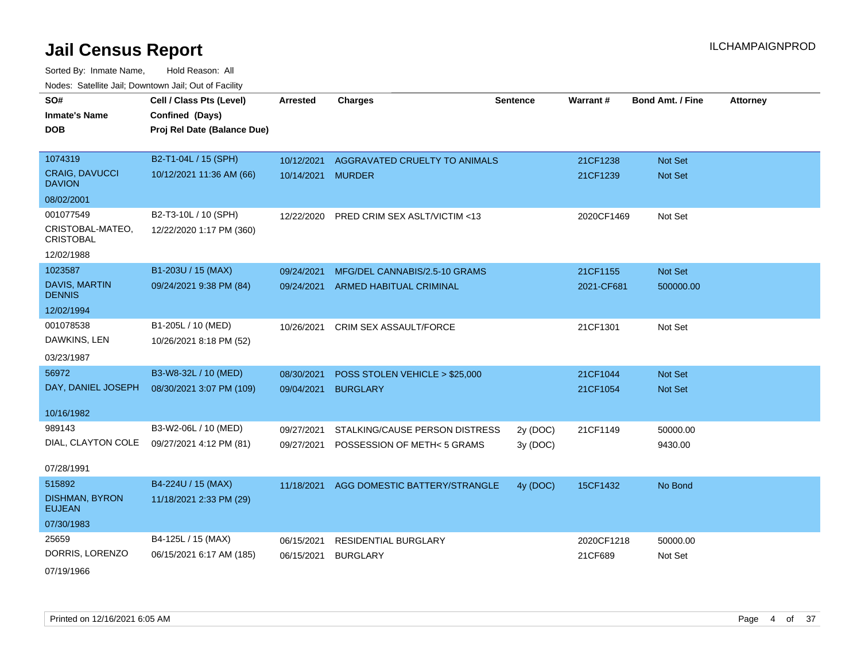Sorted By: Inmate Name, Hold Reason: All Nodes: Satellite Jail; Downtown Jail; Out of Facility

| SO#                                    | Cell / Class Pts (Level)    | <b>Arrested</b> | <b>Charges</b>                 | <b>Sentence</b> | Warrant#   | <b>Bond Amt. / Fine</b> | <b>Attorney</b> |
|----------------------------------------|-----------------------------|-----------------|--------------------------------|-----------------|------------|-------------------------|-----------------|
| <b>Inmate's Name</b>                   | Confined (Days)             |                 |                                |                 |            |                         |                 |
| <b>DOB</b>                             | Proj Rel Date (Balance Due) |                 |                                |                 |            |                         |                 |
|                                        |                             |                 |                                |                 |            |                         |                 |
| 1074319                                | B2-T1-04L / 15 (SPH)        | 10/12/2021      | AGGRAVATED CRUELTY TO ANIMALS  |                 | 21CF1238   | Not Set                 |                 |
| <b>CRAIG, DAVUCCI</b><br><b>DAVION</b> | 10/12/2021 11:36 AM (66)    | 10/14/2021      | <b>MURDER</b>                  |                 | 21CF1239   | <b>Not Set</b>          |                 |
| 08/02/2001                             |                             |                 |                                |                 |            |                         |                 |
| 001077549                              | B2-T3-10L / 10 (SPH)        | 12/22/2020      | PRED CRIM SEX ASLT/VICTIM <13  |                 | 2020CF1469 | Not Set                 |                 |
| CRISTOBAL-MATEO,<br><b>CRISTOBAL</b>   | 12/22/2020 1:17 PM (360)    |                 |                                |                 |            |                         |                 |
| 12/02/1988                             |                             |                 |                                |                 |            |                         |                 |
| 1023587                                | B1-203U / 15 (MAX)          | 09/24/2021      | MFG/DEL CANNABIS/2.5-10 GRAMS  |                 | 21CF1155   | Not Set                 |                 |
| <b>DAVIS, MARTIN</b><br><b>DENNIS</b>  | 09/24/2021 9:38 PM (84)     | 09/24/2021      | <b>ARMED HABITUAL CRIMINAL</b> |                 | 2021-CF681 | 500000.00               |                 |
| 12/02/1994                             |                             |                 |                                |                 |            |                         |                 |
| 001078538                              | B1-205L / 10 (MED)          | 10/26/2021      | CRIM SEX ASSAULT/FORCE         |                 | 21CF1301   | Not Set                 |                 |
| DAWKINS, LEN                           | 10/26/2021 8:18 PM (52)     |                 |                                |                 |            |                         |                 |
| 03/23/1987                             |                             |                 |                                |                 |            |                         |                 |
| 56972                                  | B3-W8-32L / 10 (MED)        | 08/30/2021      | POSS STOLEN VEHICLE > \$25,000 |                 | 21CF1044   | <b>Not Set</b>          |                 |
| DAY, DANIEL JOSEPH                     | 08/30/2021 3:07 PM (109)    | 09/04/2021      | <b>BURGLARY</b>                |                 | 21CF1054   | Not Set                 |                 |
| 10/16/1982                             |                             |                 |                                |                 |            |                         |                 |
| 989143                                 |                             |                 |                                |                 |            |                         |                 |
| DIAL, CLAYTON COLE                     | B3-W2-06L / 10 (MED)        | 09/27/2021      | STALKING/CAUSE PERSON DISTRESS | 2y (DOC)        | 21CF1149   | 50000.00                |                 |
|                                        | 09/27/2021 4:12 PM (81)     | 09/27/2021      | POSSESSION OF METH< 5 GRAMS    | 3y (DOC)        |            | 9430.00                 |                 |
| 07/28/1991                             |                             |                 |                                |                 |            |                         |                 |
| 515892                                 | B4-224U / 15 (MAX)          | 11/18/2021      | AGG DOMESTIC BATTERY/STRANGLE  | 4y (DOC)        | 15CF1432   | No Bond                 |                 |
| DISHMAN, BYRON<br><b>EUJEAN</b>        | 11/18/2021 2:33 PM (29)     |                 |                                |                 |            |                         |                 |
| 07/30/1983                             |                             |                 |                                |                 |            |                         |                 |
| 25659                                  | B4-125L / 15 (MAX)          | 06/15/2021      | <b>RESIDENTIAL BURGLARY</b>    |                 | 2020CF1218 | 50000.00                |                 |
| DORRIS, LORENZO                        | 06/15/2021 6:17 AM (185)    | 06/15/2021      | <b>BURGLARY</b>                |                 | 21CF689    | Not Set                 |                 |
|                                        |                             |                 |                                |                 |            |                         |                 |

07/19/1966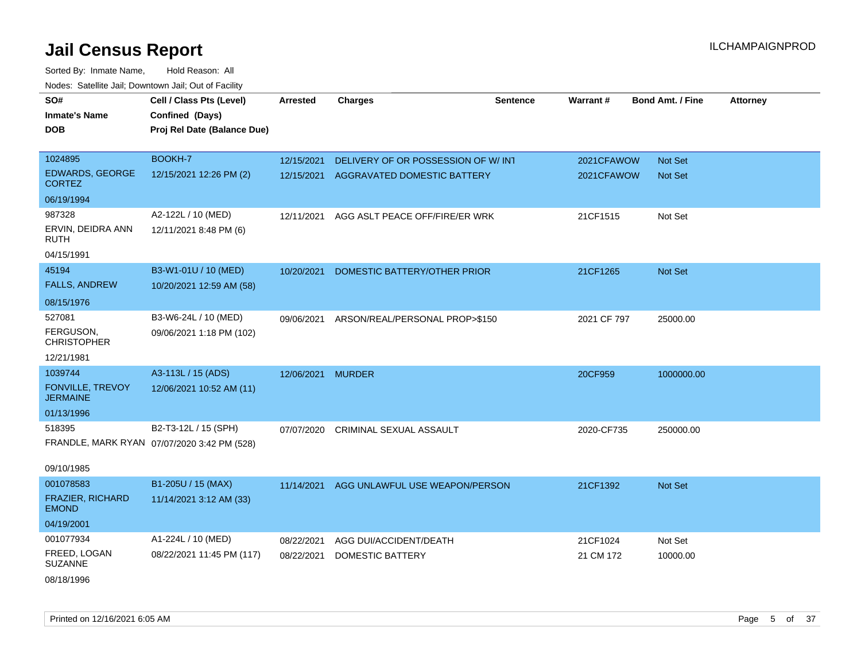| SO#                                        | Cell / Class Pts (Level)                    | <b>Arrested</b>   | <b>Charges</b>                         | <b>Sentence</b> | Warrant#    | <b>Bond Amt. / Fine</b> | <b>Attorney</b> |
|--------------------------------------------|---------------------------------------------|-------------------|----------------------------------------|-----------------|-------------|-------------------------|-----------------|
| <b>Inmate's Name</b>                       | Confined (Days)                             |                   |                                        |                 |             |                         |                 |
| <b>DOB</b>                                 | Proj Rel Date (Balance Due)                 |                   |                                        |                 |             |                         |                 |
|                                            |                                             |                   |                                        |                 |             |                         |                 |
| 1024895                                    | BOOKH-7                                     | 12/15/2021        | DELIVERY OF OR POSSESSION OF W/ INT    |                 | 2021CFAWOW  | Not Set                 |                 |
| EDWARDS, GEORGE<br><b>CORTEZ</b>           | 12/15/2021 12:26 PM (2)                     |                   | 12/15/2021 AGGRAVATED DOMESTIC BATTERY |                 | 2021CFAWOW  | Not Set                 |                 |
| 06/19/1994                                 |                                             |                   |                                        |                 |             |                         |                 |
| 987328                                     | A2-122L / 10 (MED)                          | 12/11/2021        | AGG ASLT PEACE OFF/FIRE/ER WRK         |                 | 21CF1515    | Not Set                 |                 |
| ERVIN, DEIDRA ANN<br>RUTH                  | 12/11/2021 8:48 PM (6)                      |                   |                                        |                 |             |                         |                 |
| 04/15/1991                                 |                                             |                   |                                        |                 |             |                         |                 |
| 45194                                      | B3-W1-01U / 10 (MED)                        | 10/20/2021        | DOMESTIC BATTERY/OTHER PRIOR           |                 | 21CF1265    | Not Set                 |                 |
| <b>FALLS, ANDREW</b>                       | 10/20/2021 12:59 AM (58)                    |                   |                                        |                 |             |                         |                 |
| 08/15/1976                                 |                                             |                   |                                        |                 |             |                         |                 |
| 527081                                     | B3-W6-24L / 10 (MED)                        | 09/06/2021        | ARSON/REAL/PERSONAL PROP>\$150         |                 | 2021 CF 797 | 25000.00                |                 |
| FERGUSON,<br><b>CHRISTOPHER</b>            | 09/06/2021 1:18 PM (102)                    |                   |                                        |                 |             |                         |                 |
| 12/21/1981                                 |                                             |                   |                                        |                 |             |                         |                 |
| 1039744                                    | A3-113L / 15 (ADS)                          | 12/06/2021 MURDER |                                        |                 | 20CF959     | 1000000.00              |                 |
| <b>FONVILLE, TREVOY</b><br><b>JERMAINE</b> | 12/06/2021 10:52 AM (11)                    |                   |                                        |                 |             |                         |                 |
| 01/13/1996                                 |                                             |                   |                                        |                 |             |                         |                 |
| 518395                                     | B2-T3-12L / 15 (SPH)                        | 07/07/2020        | CRIMINAL SEXUAL ASSAULT                |                 | 2020-CF735  | 250000.00               |                 |
|                                            | FRANDLE, MARK RYAN 07/07/2020 3:42 PM (528) |                   |                                        |                 |             |                         |                 |
| 09/10/1985                                 |                                             |                   |                                        |                 |             |                         |                 |
| 001078583                                  | B1-205U / 15 (MAX)                          | 11/14/2021        | AGG UNLAWFUL USE WEAPON/PERSON         |                 | 21CF1392    | Not Set                 |                 |
| FRAZIER, RICHARD<br><b>EMOND</b>           | 11/14/2021 3:12 AM (33)                     |                   |                                        |                 |             |                         |                 |
| 04/19/2001                                 |                                             |                   |                                        |                 |             |                         |                 |
| 001077934                                  | A1-224L / 10 (MED)                          | 08/22/2021        | AGG DUI/ACCIDENT/DEATH                 |                 | 21CF1024    | Not Set                 |                 |
| FREED, LOGAN<br><b>SUZANNE</b>             | 08/22/2021 11:45 PM (117)                   | 08/22/2021        | <b>DOMESTIC BATTERY</b>                |                 | 21 CM 172   | 10000.00                |                 |
| 08/18/1996                                 |                                             |                   |                                        |                 |             |                         |                 |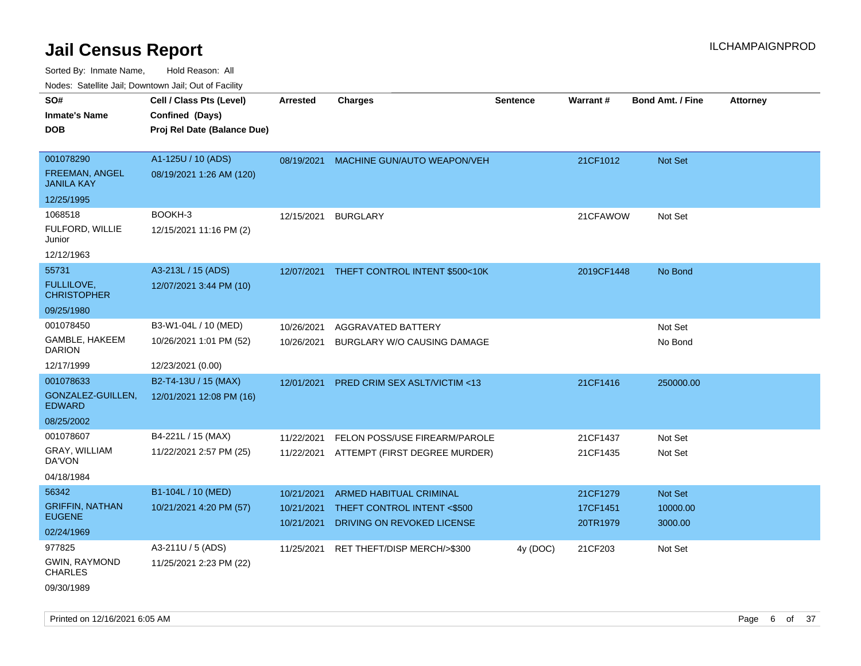Sorted By: Inmate Name, Hold Reason: All

| Nodes: Satellite Jail; Downtown Jail; Out of Facility |                             |                          |                                                           |                 |                      |                         |                 |
|-------------------------------------------------------|-----------------------------|--------------------------|-----------------------------------------------------------|-----------------|----------------------|-------------------------|-----------------|
| SO#                                                   | Cell / Class Pts (Level)    | <b>Arrested</b>          | <b>Charges</b>                                            | <b>Sentence</b> | Warrant#             | <b>Bond Amt. / Fine</b> | <b>Attorney</b> |
| <b>Inmate's Name</b>                                  | Confined (Days)             |                          |                                                           |                 |                      |                         |                 |
| <b>DOB</b>                                            | Proj Rel Date (Balance Due) |                          |                                                           |                 |                      |                         |                 |
|                                                       |                             |                          |                                                           |                 |                      |                         |                 |
| 001078290                                             | A1-125U / 10 (ADS)          | 08/19/2021               | MACHINE GUN/AUTO WEAPON/VEH                               |                 | 21CF1012             | Not Set                 |                 |
| <b>FREEMAN, ANGEL</b><br><b>JANILA KAY</b>            | 08/19/2021 1:26 AM (120)    |                          |                                                           |                 |                      |                         |                 |
| 12/25/1995                                            |                             |                          |                                                           |                 |                      |                         |                 |
| 1068518                                               | BOOKH-3                     | 12/15/2021               | <b>BURGLARY</b>                                           |                 | 21CFAWOW             | Not Set                 |                 |
| FULFORD, WILLIE<br>Junior                             | 12/15/2021 11:16 PM (2)     |                          |                                                           |                 |                      |                         |                 |
| 12/12/1963                                            |                             |                          |                                                           |                 |                      |                         |                 |
| 55731                                                 | A3-213L / 15 (ADS)          | 12/07/2021               | THEFT CONTROL INTENT \$500<10K                            |                 | 2019CF1448           | No Bond                 |                 |
| FULLILOVE,<br><b>CHRISTOPHER</b>                      | 12/07/2021 3:44 PM (10)     |                          |                                                           |                 |                      |                         |                 |
| 09/25/1980                                            |                             |                          |                                                           |                 |                      |                         |                 |
| 001078450                                             | B3-W1-04L / 10 (MED)        | 10/26/2021               | AGGRAVATED BATTERY                                        |                 |                      | Not Set                 |                 |
| GAMBLE, HAKEEM<br><b>DARION</b>                       | 10/26/2021 1:01 PM (52)     | 10/26/2021               | BURGLARY W/O CAUSING DAMAGE                               |                 |                      | No Bond                 |                 |
| 12/17/1999                                            | 12/23/2021 (0.00)           |                          |                                                           |                 |                      |                         |                 |
| 001078633                                             | B2-T4-13U / 15 (MAX)        | 12/01/2021               | PRED CRIM SEX ASLT/VICTIM <13                             |                 | 21CF1416             | 250000.00               |                 |
| GONZALEZ-GUILLEN,<br><b>EDWARD</b>                    | 12/01/2021 12:08 PM (16)    |                          |                                                           |                 |                      |                         |                 |
| 08/25/2002                                            |                             |                          |                                                           |                 |                      |                         |                 |
| 001078607                                             | B4-221L / 15 (MAX)          | 11/22/2021               | FELON POSS/USE FIREARM/PAROLE                             |                 | 21CF1437             | Not Set                 |                 |
| GRAY, WILLIAM<br>DA'VON                               | 11/22/2021 2:57 PM (25)     | 11/22/2021               | ATTEMPT (FIRST DEGREE MURDER)                             |                 | 21CF1435             | Not Set                 |                 |
| 04/18/1984                                            |                             |                          |                                                           |                 |                      |                         |                 |
| 56342                                                 | B1-104L / 10 (MED)          | 10/21/2021               | <b>ARMED HABITUAL CRIMINAL</b>                            |                 | 21CF1279             | Not Set                 |                 |
| <b>GRIFFIN, NATHAN</b><br><b>EUGENE</b>               | 10/21/2021 4:20 PM (57)     | 10/21/2021<br>10/21/2021 | THEFT CONTROL INTENT <\$500<br>DRIVING ON REVOKED LICENSE |                 | 17CF1451<br>20TR1979 | 10000.00<br>3000.00     |                 |
| 02/24/1969                                            |                             |                          |                                                           |                 |                      |                         |                 |
| 977825                                                | A3-211U / 5 (ADS)           | 11/25/2021               | RET THEFT/DISP MERCH/>\$300                               | 4y (DOC)        | 21CF203              | Not Set                 |                 |
| <b>GWIN, RAYMOND</b><br><b>CHARLES</b>                | 11/25/2021 2:23 PM (22)     |                          |                                                           |                 |                      |                         |                 |

09/30/1989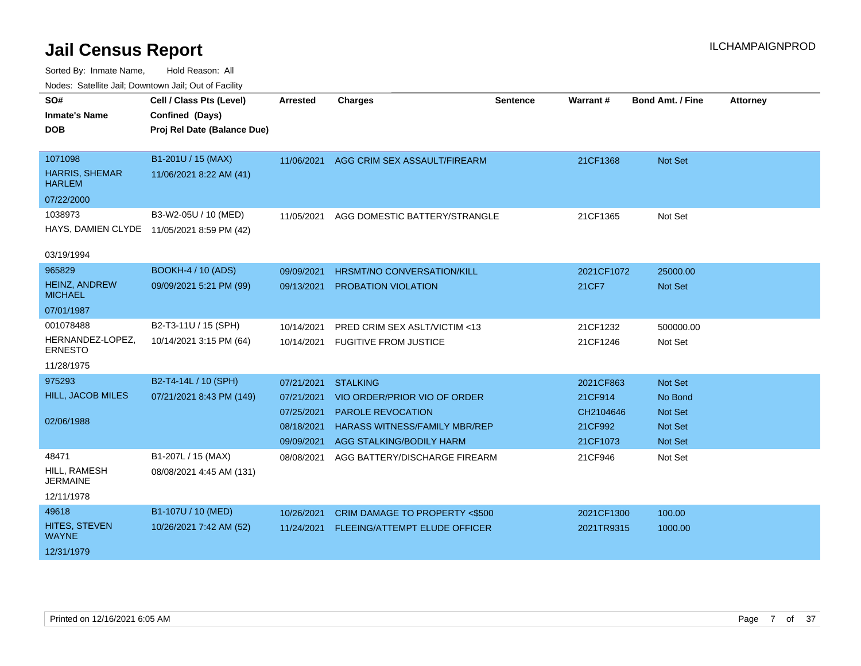| SO#                                    | Cell / Class Pts (Level)                   | Arrested   | <b>Charges</b>                           | <b>Sentence</b> | Warrant#   | <b>Bond Amt. / Fine</b> | <b>Attorney</b> |
|----------------------------------------|--------------------------------------------|------------|------------------------------------------|-----------------|------------|-------------------------|-----------------|
| <b>Inmate's Name</b>                   | Confined (Days)                            |            |                                          |                 |            |                         |                 |
| DOB                                    | Proj Rel Date (Balance Due)                |            |                                          |                 |            |                         |                 |
|                                        |                                            |            |                                          |                 |            |                         |                 |
| 1071098                                | B1-201U / 15 (MAX)                         | 11/06/2021 | AGG CRIM SEX ASSAULT/FIREARM             |                 | 21CF1368   | Not Set                 |                 |
| HARRIS, SHEMAR<br><b>HARLEM</b>        | 11/06/2021 8:22 AM (41)                    |            |                                          |                 |            |                         |                 |
| 07/22/2000                             |                                            |            |                                          |                 |            |                         |                 |
| 1038973                                | B3-W2-05U / 10 (MED)                       | 11/05/2021 | AGG DOMESTIC BATTERY/STRANGLE            |                 | 21CF1365   | Not Set                 |                 |
|                                        | HAYS, DAMIEN CLYDE 11/05/2021 8:59 PM (42) |            |                                          |                 |            |                         |                 |
| 03/19/1994                             |                                            |            |                                          |                 |            |                         |                 |
| 965829                                 | BOOKH-4 / 10 (ADS)                         | 09/09/2021 | <b>HRSMT/NO CONVERSATION/KILL</b>        |                 | 2021CF1072 | 25000.00                |                 |
| <b>HEINZ, ANDREW</b><br><b>MICHAEL</b> | 09/09/2021 5:21 PM (99)                    | 09/13/2021 | <b>PROBATION VIOLATION</b>               |                 | 21CF7      | Not Set                 |                 |
| 07/01/1987                             |                                            |            |                                          |                 |            |                         |                 |
| 001078488                              | B2-T3-11U / 15 (SPH)                       | 10/14/2021 | PRED CRIM SEX ASLT/VICTIM <13            |                 | 21CF1232   | 500000.00               |                 |
| HERNANDEZ-LOPEZ,<br><b>ERNESTO</b>     | 10/14/2021 3:15 PM (64)                    | 10/14/2021 | <b>FUGITIVE FROM JUSTICE</b>             |                 | 21CF1246   | Not Set                 |                 |
| 11/28/1975                             |                                            |            |                                          |                 |            |                         |                 |
| 975293                                 | B2-T4-14L / 10 (SPH)                       | 07/21/2021 | <b>STALKING</b>                          |                 | 2021CF863  | Not Set                 |                 |
| <b>HILL, JACOB MILES</b>               | 07/21/2021 8:43 PM (149)                   | 07/21/2021 | VIO ORDER/PRIOR VIO OF ORDER             |                 | 21CF914    | No Bond                 |                 |
|                                        |                                            | 07/25/2021 | <b>PAROLE REVOCATION</b>                 |                 | CH2104646  | Not Set                 |                 |
| 02/06/1988                             |                                            | 08/18/2021 | <b>HARASS WITNESS/FAMILY MBR/REP</b>     |                 | 21CF992    | Not Set                 |                 |
|                                        |                                            | 09/09/2021 | AGG STALKING/BODILY HARM                 |                 | 21CF1073   | <b>Not Set</b>          |                 |
| 48471                                  | B1-207L / 15 (MAX)                         | 08/08/2021 | AGG BATTERY/DISCHARGE FIREARM            |                 | 21CF946    | Not Set                 |                 |
| HILL, RAMESH<br><b>JERMAINE</b>        | 08/08/2021 4:45 AM (131)                   |            |                                          |                 |            |                         |                 |
| 12/11/1978                             |                                            |            |                                          |                 |            |                         |                 |
| 49618                                  | B1-107U / 10 (MED)                         | 10/26/2021 | <b>CRIM DAMAGE TO PROPERTY &lt;\$500</b> |                 | 2021CF1300 | 100.00                  |                 |
| HITES, STEVEN<br><b>WAYNE</b>          | 10/26/2021 7:42 AM (52)                    | 11/24/2021 | <b>FLEEING/ATTEMPT ELUDE OFFICER</b>     |                 | 2021TR9315 | 1000.00                 |                 |
| 12/31/1979                             |                                            |            |                                          |                 |            |                         |                 |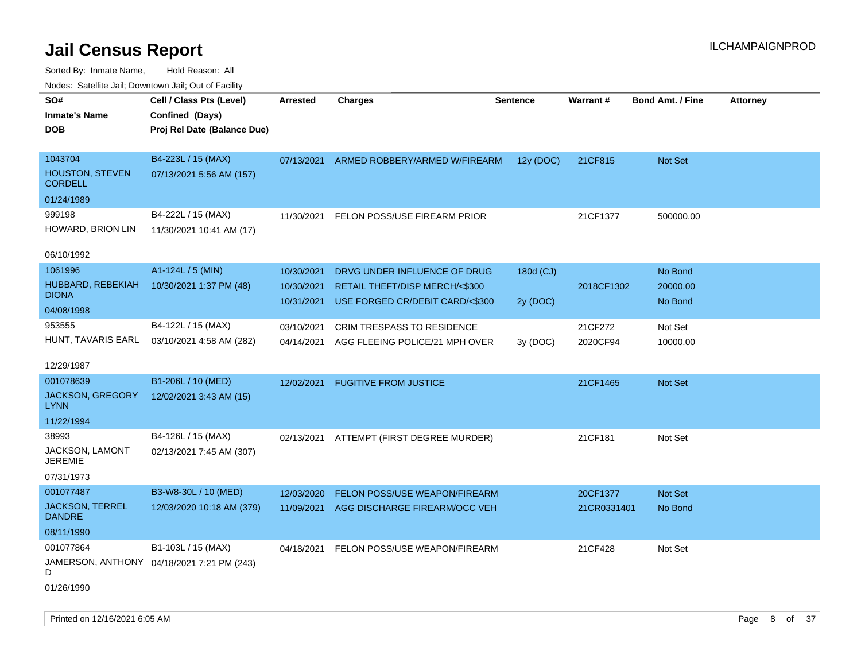| ivuutos. Saltiilit Jali, Duwilluwii Jali, Oul of Facility |                                            |            |                                 |                 |             |                         |                 |
|-----------------------------------------------------------|--------------------------------------------|------------|---------------------------------|-----------------|-------------|-------------------------|-----------------|
| SO#                                                       | Cell / Class Pts (Level)                   | Arrested   | <b>Charges</b>                  | <b>Sentence</b> | Warrant#    | <b>Bond Amt. / Fine</b> | <b>Attorney</b> |
| <b>Inmate's Name</b>                                      | Confined (Days)                            |            |                                 |                 |             |                         |                 |
| <b>DOB</b>                                                | Proj Rel Date (Balance Due)                |            |                                 |                 |             |                         |                 |
|                                                           |                                            |            |                                 |                 |             |                         |                 |
| 1043704                                                   | B4-223L / 15 (MAX)                         | 07/13/2021 | ARMED ROBBERY/ARMED W/FIREARM   | 12y (DOC)       | 21CF815     | Not Set                 |                 |
| HOUSTON, STEVEN<br><b>CORDELL</b>                         | 07/13/2021 5:56 AM (157)                   |            |                                 |                 |             |                         |                 |
| 01/24/1989                                                |                                            |            |                                 |                 |             |                         |                 |
| 999198                                                    | B4-222L / 15 (MAX)                         | 11/30/2021 | FELON POSS/USE FIREARM PRIOR    |                 | 21CF1377    | 500000.00               |                 |
| HOWARD, BRION LIN                                         | 11/30/2021 10:41 AM (17)                   |            |                                 |                 |             |                         |                 |
| 06/10/1992                                                |                                            |            |                                 |                 |             |                         |                 |
| 1061996                                                   | A1-124L / 5 (MIN)                          | 10/30/2021 | DRVG UNDER INFLUENCE OF DRUG    | 180d (CJ)       |             | No Bond                 |                 |
| HUBBARD, REBEKIAH                                         | 10/30/2021 1:37 PM (48)                    | 10/30/2021 | RETAIL THEFT/DISP MERCH/<\$300  |                 | 2018CF1302  | 20000.00                |                 |
| <b>DIONA</b>                                              |                                            | 10/31/2021 | USE FORGED CR/DEBIT CARD/<\$300 | 2y (DOC)        |             | No Bond                 |                 |
| 04/08/1998                                                |                                            |            |                                 |                 |             |                         |                 |
| 953555                                                    | B4-122L / 15 (MAX)                         | 03/10/2021 | CRIM TRESPASS TO RESIDENCE      |                 | 21CF272     | Not Set                 |                 |
| HUNT, TAVARIS EARL                                        | 03/10/2021 4:58 AM (282)                   | 04/14/2021 | AGG FLEEING POLICE/21 MPH OVER  | 3y (DOC)        | 2020CF94    | 10000.00                |                 |
|                                                           |                                            |            |                                 |                 |             |                         |                 |
| 12/29/1987                                                |                                            |            |                                 |                 |             |                         |                 |
| 001078639                                                 | B1-206L / 10 (MED)                         | 12/02/2021 | <b>FUGITIVE FROM JUSTICE</b>    |                 | 21CF1465    | Not Set                 |                 |
| JACKSON, GREGORY<br><b>LYNN</b>                           | 12/02/2021 3:43 AM (15)                    |            |                                 |                 |             |                         |                 |
| 11/22/1994                                                |                                            |            |                                 |                 |             |                         |                 |
| 38993                                                     | B4-126L / 15 (MAX)                         |            |                                 |                 |             |                         |                 |
| JACKSON, LAMONT                                           |                                            | 02/13/2021 | ATTEMPT (FIRST DEGREE MURDER)   |                 | 21CF181     | Not Set                 |                 |
| <b>JEREMIE</b>                                            | 02/13/2021 7:45 AM (307)                   |            |                                 |                 |             |                         |                 |
| 07/31/1973                                                |                                            |            |                                 |                 |             |                         |                 |
| 001077487                                                 | B3-W8-30L / 10 (MED)                       | 12/03/2020 | FELON POSS/USE WEAPON/FIREARM   |                 | 20CF1377    | Not Set                 |                 |
| <b>JACKSON, TERREL</b>                                    | 12/03/2020 10:18 AM (379)                  | 11/09/2021 | AGG DISCHARGE FIREARM/OCC VEH   |                 | 21CR0331401 | No Bond                 |                 |
| <b>DANDRE</b>                                             |                                            |            |                                 |                 |             |                         |                 |
| 08/11/1990                                                |                                            |            |                                 |                 |             |                         |                 |
| 001077864                                                 | B1-103L / 15 (MAX)                         | 04/18/2021 | FELON POSS/USE WEAPON/FIREARM   |                 | 21CF428     | Not Set                 |                 |
| D                                                         | JAMERSON, ANTHONY 04/18/2021 7:21 PM (243) |            |                                 |                 |             |                         |                 |
| 01/26/1990                                                |                                            |            |                                 |                 |             |                         |                 |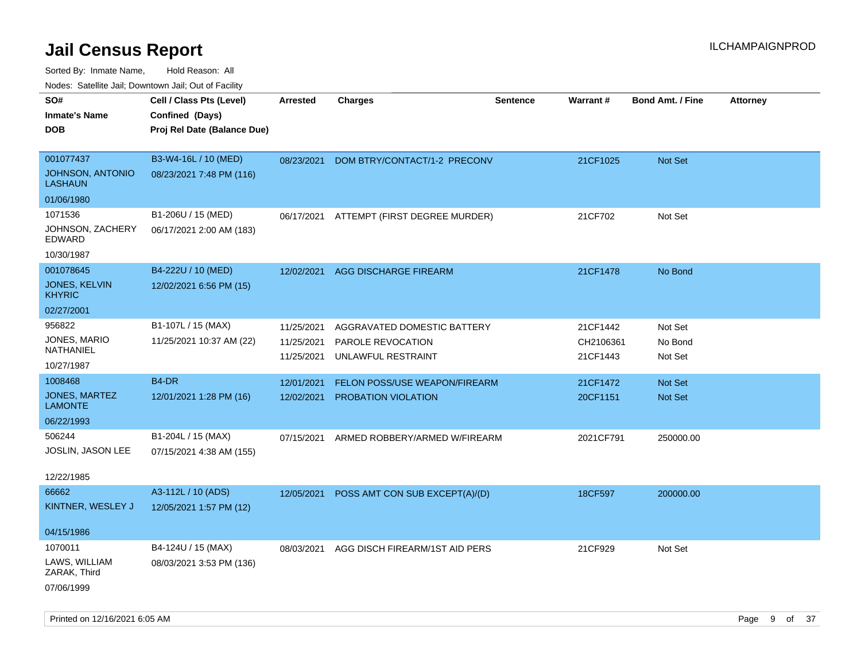| ivouss. Satellite Jall, Downtown Jall, Out of Facility |                             |                 |                                |                 |           |                         |                 |
|--------------------------------------------------------|-----------------------------|-----------------|--------------------------------|-----------------|-----------|-------------------------|-----------------|
| SO#                                                    | Cell / Class Pts (Level)    | <b>Arrested</b> | <b>Charges</b>                 | <b>Sentence</b> | Warrant#  | <b>Bond Amt. / Fine</b> | <b>Attorney</b> |
| <b>Inmate's Name</b>                                   | Confined (Days)             |                 |                                |                 |           |                         |                 |
| <b>DOB</b>                                             | Proj Rel Date (Balance Due) |                 |                                |                 |           |                         |                 |
|                                                        |                             |                 |                                |                 |           |                         |                 |
| 001077437                                              | B3-W4-16L / 10 (MED)        | 08/23/2021      | DOM BTRY/CONTACT/1-2 PRECONV   |                 | 21CF1025  | Not Set                 |                 |
| JOHNSON, ANTONIO<br><b>LASHAUN</b>                     | 08/23/2021 7:48 PM (116)    |                 |                                |                 |           |                         |                 |
| 01/06/1980                                             |                             |                 |                                |                 |           |                         |                 |
| 1071536                                                | B1-206U / 15 (MED)          | 06/17/2021      | ATTEMPT (FIRST DEGREE MURDER)  |                 | 21CF702   | Not Set                 |                 |
| JOHNSON, ZACHERY<br>EDWARD                             | 06/17/2021 2:00 AM (183)    |                 |                                |                 |           |                         |                 |
| 10/30/1987                                             |                             |                 |                                |                 |           |                         |                 |
| 001078645                                              | B4-222U / 10 (MED)          | 12/02/2021      | AGG DISCHARGE FIREARM          |                 | 21CF1478  | No Bond                 |                 |
| JONES, KELVIN<br><b>KHYRIC</b>                         | 12/02/2021 6:56 PM (15)     |                 |                                |                 |           |                         |                 |
| 02/27/2001                                             |                             |                 |                                |                 |           |                         |                 |
| 956822                                                 | B1-107L / 15 (MAX)          | 11/25/2021      | AGGRAVATED DOMESTIC BATTERY    |                 | 21CF1442  | Not Set                 |                 |
| JONES, MARIO                                           | 11/25/2021 10:37 AM (22)    | 11/25/2021      | PAROLE REVOCATION              |                 | CH2106361 | No Bond                 |                 |
| NATHANIEL                                              |                             | 11/25/2021      | UNLAWFUL RESTRAINT             |                 | 21CF1443  | Not Set                 |                 |
| 10/27/1987                                             |                             |                 |                                |                 |           |                         |                 |
| 1008468                                                | B <sub>4</sub> -DR          | 12/01/2021      | FELON POSS/USE WEAPON/FIREARM  |                 | 21CF1472  | <b>Not Set</b>          |                 |
| JONES, MARTEZ<br><b>LAMONTE</b>                        | 12/01/2021 1:28 PM (16)     | 12/02/2021      | PROBATION VIOLATION            |                 | 20CF1151  | Not Set                 |                 |
| 06/22/1993                                             |                             |                 |                                |                 |           |                         |                 |
| 506244                                                 | B1-204L / 15 (MAX)          | 07/15/2021      | ARMED ROBBERY/ARMED W/FIREARM  |                 | 2021CF791 | 250000.00               |                 |
| JOSLIN, JASON LEE                                      | 07/15/2021 4:38 AM (155)    |                 |                                |                 |           |                         |                 |
|                                                        |                             |                 |                                |                 |           |                         |                 |
| 12/22/1985                                             |                             |                 |                                |                 |           |                         |                 |
| 66662                                                  | A3-112L / 10 (ADS)          | 12/05/2021      | POSS AMT CON SUB EXCEPT(A)/(D) |                 | 18CF597   | 200000.00               |                 |
| KINTNER, WESLEY J                                      | 12/05/2021 1:57 PM (12)     |                 |                                |                 |           |                         |                 |
| 04/15/1986                                             |                             |                 |                                |                 |           |                         |                 |
| 1070011                                                | B4-124U / 15 (MAX)          |                 |                                |                 |           |                         |                 |
| LAWS, WILLIAM                                          |                             | 08/03/2021      | AGG DISCH FIREARM/1ST AID PERS |                 | 21CF929   | Not Set                 |                 |
| ZARAK, Third                                           | 08/03/2021 3:53 PM (136)    |                 |                                |                 |           |                         |                 |
| 07/06/1999                                             |                             |                 |                                |                 |           |                         |                 |
|                                                        |                             |                 |                                |                 |           |                         |                 |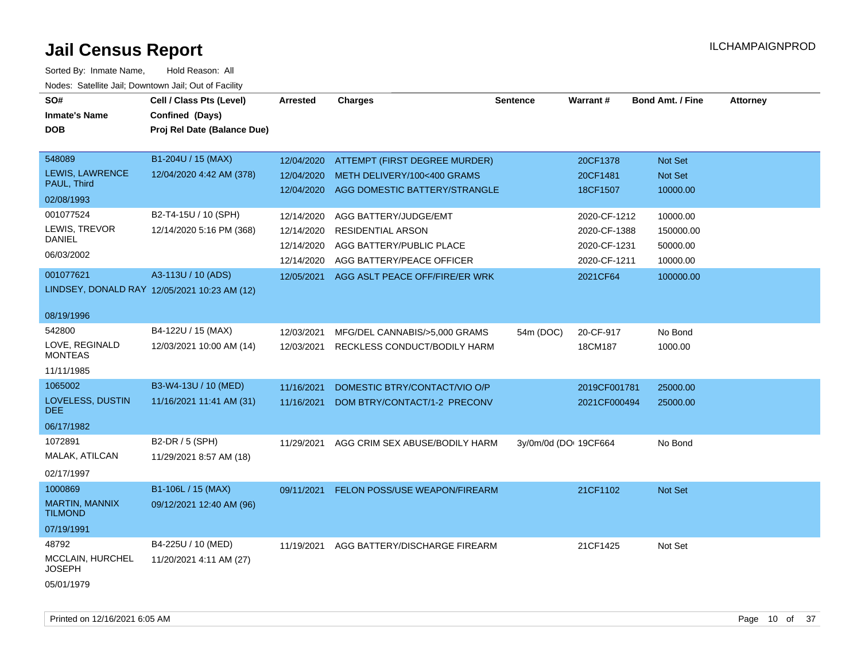| SO#<br><b>Inmate's Name</b><br><b>DOB</b>                     | Cell / Class Pts (Level)<br>Confined (Days)<br>Proj Rel Date (Balance Due) | <b>Arrested</b>                                      | <b>Charges</b>                                                                                             | <b>Sentence</b>       | Warrant#                                                     | <b>Bond Amt. / Fine</b>                       | <b>Attorney</b> |
|---------------------------------------------------------------|----------------------------------------------------------------------------|------------------------------------------------------|------------------------------------------------------------------------------------------------------------|-----------------------|--------------------------------------------------------------|-----------------------------------------------|-----------------|
| 548089<br><b>LEWIS, LAWRENCE</b><br>PAUL, Third<br>02/08/1993 | B1-204U / 15 (MAX)<br>12/04/2020 4:42 AM (378)                             | 12/04/2020<br>12/04/2020                             | ATTEMPT (FIRST DEGREE MURDER)<br>METH DELIVERY/100<400 GRAMS<br>12/04/2020 AGG DOMESTIC BATTERY/STRANGLE   |                       | 20CF1378<br>20CF1481<br>18CF1507                             | Not Set<br>Not Set<br>10000.00                |                 |
| 001077524<br>LEWIS, TREVOR<br>DANIEL<br>06/03/2002            | B2-T4-15U / 10 (SPH)<br>12/14/2020 5:16 PM (368)                           | 12/14/2020<br>12/14/2020<br>12/14/2020<br>12/14/2020 | AGG BATTERY/JUDGE/EMT<br><b>RESIDENTIAL ARSON</b><br>AGG BATTERY/PUBLIC PLACE<br>AGG BATTERY/PEACE OFFICER |                       | 2020-CF-1212<br>2020-CF-1388<br>2020-CF-1231<br>2020-CF-1211 | 10000.00<br>150000.00<br>50000.00<br>10000.00 |                 |
| 001077621<br>08/19/1996                                       | A3-113U / 10 (ADS)<br>LINDSEY, DONALD RAY 12/05/2021 10:23 AM (12)         | 12/05/2021                                           | AGG ASLT PEACE OFF/FIRE/ER WRK                                                                             |                       | 2021CF64                                                     | 100000.00                                     |                 |
| 542800<br>LOVE, REGINALD<br><b>MONTEAS</b><br>11/11/1985      | B4-122U / 15 (MAX)<br>12/03/2021 10:00 AM (14)                             | 12/03/2021<br>12/03/2021                             | MFG/DEL CANNABIS/>5,000 GRAMS<br>RECKLESS CONDUCT/BODILY HARM                                              | 54m (DOC)             | 20-CF-917<br>18CM187                                         | No Bond<br>1000.00                            |                 |
| 1065002<br>LOVELESS, DUSTIN<br>DEE.<br>06/17/1982             | B3-W4-13U / 10 (MED)<br>11/16/2021 11:41 AM (31)                           | 11/16/2021<br>11/16/2021                             | DOMESTIC BTRY/CONTACT/VIO O/P<br>DOM BTRY/CONTACT/1-2 PRECONV                                              |                       | 2019CF001781<br>2021CF000494                                 | 25000.00<br>25000.00                          |                 |
| 1072891<br>MALAK, ATILCAN<br>02/17/1997                       | B2-DR / 5 (SPH)<br>11/29/2021 8:57 AM (18)                                 | 11/29/2021                                           | AGG CRIM SEX ABUSE/BODILY HARM                                                                             | 3y/0m/0d (DOI 19CF664 |                                                              | No Bond                                       |                 |
| 1000869<br>MARTIN, MANNIX<br><b>TILMOND</b><br>07/19/1991     | B1-106L / 15 (MAX)<br>09/12/2021 12:40 AM (96)                             | 09/11/2021                                           | FELON POSS/USE WEAPON/FIREARM                                                                              |                       | 21CF1102                                                     | Not Set                                       |                 |
| 48792<br>MCCLAIN, HURCHEL<br><b>JOSEPH</b><br>05/01/1979      | B4-225U / 10 (MED)<br>11/20/2021 4:11 AM (27)                              | 11/19/2021                                           | AGG BATTERY/DISCHARGE FIREARM                                                                              |                       | 21CF1425                                                     | Not Set                                       |                 |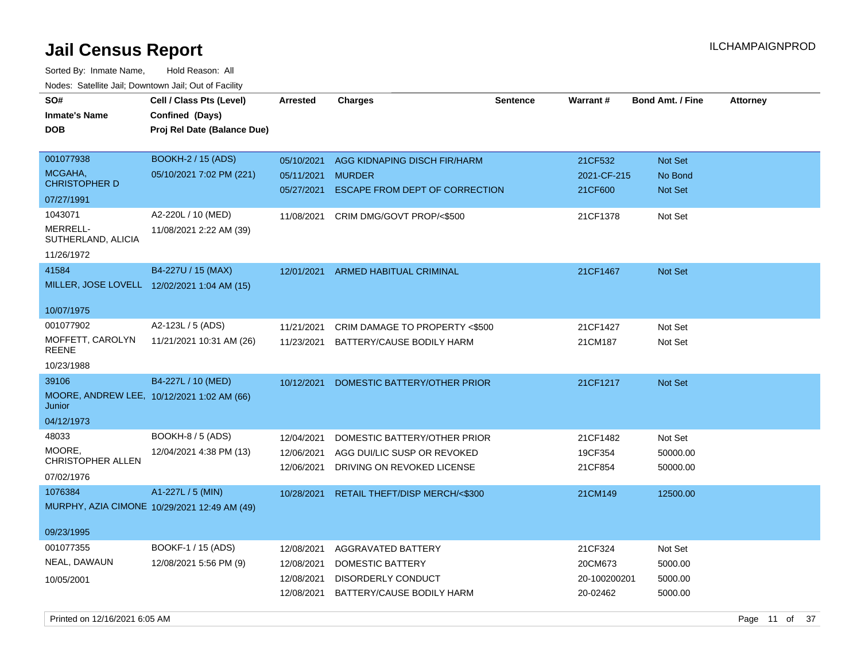| SO#                             | Cell / Class Pts (Level)                     | <b>Arrested</b> | <b>Charges</b>                     | <b>Sentence</b> | <b>Warrant#</b> | <b>Bond Amt. / Fine</b> | <b>Attorney</b> |
|---------------------------------|----------------------------------------------|-----------------|------------------------------------|-----------------|-----------------|-------------------------|-----------------|
| <b>Inmate's Name</b>            | Confined (Days)                              |                 |                                    |                 |                 |                         |                 |
| <b>DOB</b>                      | Proj Rel Date (Balance Due)                  |                 |                                    |                 |                 |                         |                 |
|                                 |                                              |                 |                                    |                 |                 |                         |                 |
| 001077938                       | BOOKH-2 / 15 (ADS)                           | 05/10/2021      | AGG KIDNAPING DISCH FIR/HARM       |                 | 21CF532         | <b>Not Set</b>          |                 |
| MCGAHA,<br><b>CHRISTOPHER D</b> | 05/10/2021 7:02 PM (221)                     | 05/11/2021      | <b>MURDER</b>                      |                 | 2021-CF-215     | No Bond                 |                 |
| 07/27/1991                      |                                              | 05/27/2021      | ESCAPE FROM DEPT OF CORRECTION     |                 | 21CF600         | <b>Not Set</b>          |                 |
| 1043071                         | A2-220L / 10 (MED)                           | 11/08/2021      | CRIM DMG/GOVT PROP/<\$500          |                 | 21CF1378        | Not Set                 |                 |
| MERRELL-<br>SUTHERLAND, ALICIA  | 11/08/2021 2:22 AM (39)                      |                 |                                    |                 |                 |                         |                 |
| 11/26/1972                      |                                              |                 |                                    |                 |                 |                         |                 |
| 41584                           | B4-227U / 15 (MAX)                           |                 | 12/01/2021 ARMED HABITUAL CRIMINAL |                 | 21CF1467        | <b>Not Set</b>          |                 |
|                                 | MILLER, JOSE LOVELL 12/02/2021 1:04 AM (15)  |                 |                                    |                 |                 |                         |                 |
|                                 |                                              |                 |                                    |                 |                 |                         |                 |
| 10/07/1975                      |                                              |                 |                                    |                 |                 |                         |                 |
| 001077902                       | A2-123L / 5 (ADS)                            | 11/21/2021      | CRIM DAMAGE TO PROPERTY <\$500     |                 | 21CF1427        | Not Set                 |                 |
| MOFFETT, CAROLYN<br>REENE       | 11/21/2021 10:31 AM (26)                     | 11/23/2021      | BATTERY/CAUSE BODILY HARM          |                 | 21CM187         | Not Set                 |                 |
| 10/23/1988                      |                                              |                 |                                    |                 |                 |                         |                 |
| 39106                           | B4-227L / 10 (MED)                           | 10/12/2021      | DOMESTIC BATTERY/OTHER PRIOR       |                 | 21CF1217        | Not Set                 |                 |
| Junior                          | MOORE, ANDREW LEE, 10/12/2021 1:02 AM (66)   |                 |                                    |                 |                 |                         |                 |
| 04/12/1973                      |                                              |                 |                                    |                 |                 |                         |                 |
| 48033                           | <b>BOOKH-8 / 5 (ADS)</b>                     | 12/04/2021      | DOMESTIC BATTERY/OTHER PRIOR       |                 | 21CF1482        | Not Set                 |                 |
| MOORE,                          | 12/04/2021 4:38 PM (13)                      | 12/06/2021      | AGG DUI/LIC SUSP OR REVOKED        |                 | 19CF354         | 50000.00                |                 |
| <b>CHRISTOPHER ALLEN</b>        |                                              | 12/06/2021      | DRIVING ON REVOKED LICENSE         |                 | 21CF854         | 50000.00                |                 |
| 07/02/1976                      |                                              |                 |                                    |                 |                 |                         |                 |
| 1076384                         | A1-227L / 5 (MIN)                            | 10/28/2021      | RETAIL THEFT/DISP MERCH/<\$300     |                 | 21CM149         | 12500.00                |                 |
|                                 | MURPHY, AZIA CIMONE 10/29/2021 12:49 AM (49) |                 |                                    |                 |                 |                         |                 |
| 09/23/1995                      |                                              |                 |                                    |                 |                 |                         |                 |
| 001077355                       | BOOKF-1 / 15 (ADS)                           | 12/08/2021      | AGGRAVATED BATTERY                 |                 | 21CF324         | Not Set                 |                 |
| NEAL, DAWAUN                    | 12/08/2021 5:56 PM (9)                       | 12/08/2021      | DOMESTIC BATTERY                   |                 | 20CM673         | 5000.00                 |                 |
| 10/05/2001                      |                                              | 12/08/2021      | DISORDERLY CONDUCT                 |                 | 20-100200201    | 5000.00                 |                 |
|                                 |                                              | 12/08/2021      | BATTERY/CAUSE BODILY HARM          |                 | 20-02462        | 5000.00                 |                 |
|                                 |                                              |                 |                                    |                 |                 |                         |                 |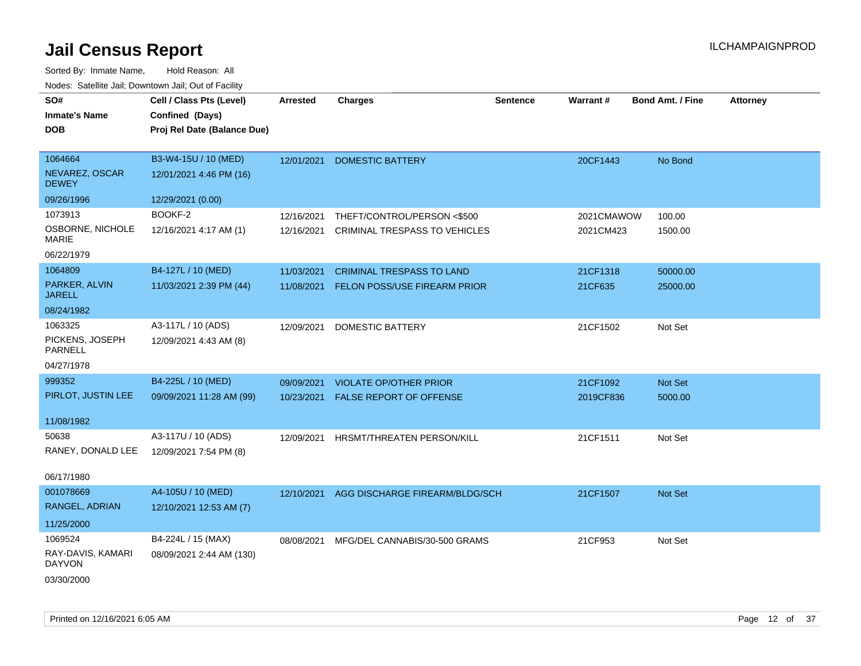| SO#<br><b>Inmate's Name</b><br><b>DOB</b>                   | Cell / Class Pts (Level)<br>Confined (Days)<br>Proj Rel Date (Balance Due) | Arrested                 | <b>Charges</b>                                                      | <b>Sentence</b> | <b>Warrant#</b>         | <b>Bond Amt. / Fine</b> | <b>Attorney</b> |
|-------------------------------------------------------------|----------------------------------------------------------------------------|--------------------------|---------------------------------------------------------------------|-----------------|-------------------------|-------------------------|-----------------|
| 1064664<br>NEVAREZ, OSCAR<br><b>DEWEY</b>                   | B3-W4-15U / 10 (MED)<br>12/01/2021 4:46 PM (16)                            | 12/01/2021               | <b>DOMESTIC BATTERY</b>                                             |                 | 20CF1443                | No Bond                 |                 |
| 09/26/1996                                                  | 12/29/2021 (0.00)                                                          |                          |                                                                     |                 |                         |                         |                 |
| 1073913<br>OSBORNE, NICHOLE<br><b>MARIE</b>                 | BOOKF-2<br>12/16/2021 4:17 AM (1)                                          | 12/16/2021<br>12/16/2021 | THEFT/CONTROL/PERSON <\$500<br><b>CRIMINAL TRESPASS TO VEHICLES</b> |                 | 2021CMAWOW<br>2021CM423 | 100.00<br>1500.00       |                 |
| 06/22/1979                                                  |                                                                            |                          |                                                                     |                 |                         |                         |                 |
| 1064809                                                     | B4-127L / 10 (MED)                                                         | 11/03/2021               | <b>CRIMINAL TRESPASS TO LAND</b>                                    |                 | 21CF1318                | 50000.00                |                 |
| PARKER, ALVIN<br><b>JARELL</b>                              | 11/03/2021 2:39 PM (44)                                                    | 11/08/2021               | FELON POSS/USE FIREARM PRIOR                                        |                 | 21CF635                 | 25000.00                |                 |
| 08/24/1982                                                  |                                                                            |                          |                                                                     |                 |                         |                         |                 |
| 1063325<br>PICKENS, JOSEPH<br><b>PARNELL</b>                | A3-117L / 10 (ADS)<br>12/09/2021 4:43 AM (8)                               | 12/09/2021               | DOMESTIC BATTERY                                                    |                 | 21CF1502                | Not Set                 |                 |
| 04/27/1978                                                  |                                                                            |                          |                                                                     |                 |                         |                         |                 |
| 999352<br>PIRLOT, JUSTIN LEE                                | B4-225L / 10 (MED)<br>09/09/2021 11:28 AM (99)                             | 09/09/2021               | <b>VIOLATE OP/OTHER PRIOR</b><br>10/23/2021 FALSE REPORT OF OFFENSE |                 | 21CF1092                | Not Set                 |                 |
| 11/08/1982                                                  |                                                                            |                          |                                                                     |                 | 2019CF836               | 5000.00                 |                 |
| 50638<br>RANEY, DONALD LEE<br>06/17/1980                    | A3-117U / 10 (ADS)<br>12/09/2021 7:54 PM (8)                               | 12/09/2021               | HRSMT/THREATEN PERSON/KILL                                          |                 | 21CF1511                | Not Set                 |                 |
| 001078669<br>RANGEL, ADRIAN<br>11/25/2000                   | A4-105U / 10 (MED)<br>12/10/2021 12:53 AM (7)                              | 12/10/2021               | AGG DISCHARGE FIREARM/BLDG/SCH                                      |                 | 21CF1507                | Not Set                 |                 |
| 1069524<br>RAY-DAVIS, KAMARI<br><b>DAYVON</b><br>03/30/2000 | B4-224L / 15 (MAX)<br>08/09/2021 2:44 AM (130)                             | 08/08/2021               | MFG/DEL CANNABIS/30-500 GRAMS                                       |                 | 21CF953                 | Not Set                 |                 |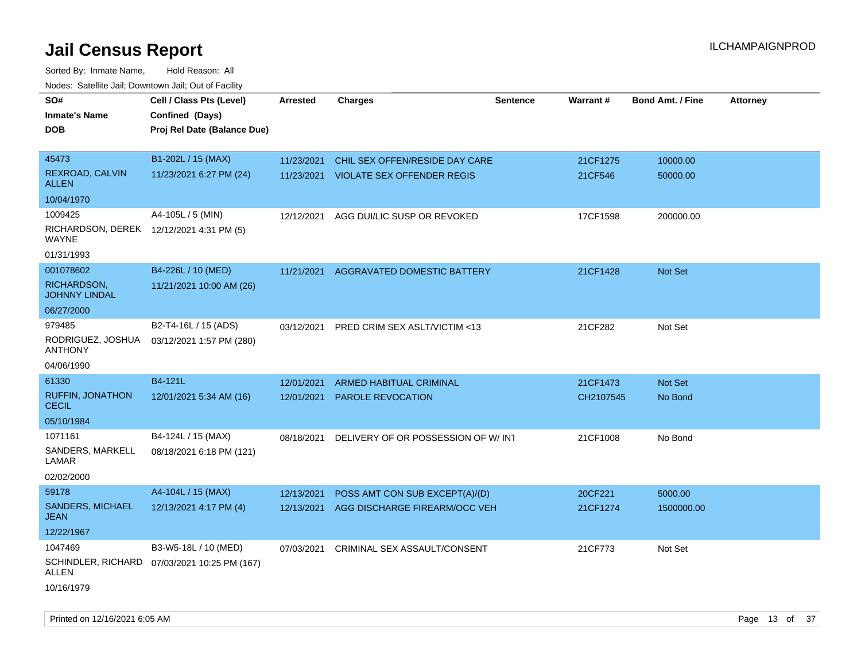Sorted By: Inmate Name, Hold Reason: All Nodes: Satellite Jail; Downtown Jail; Out of Facility

| <b>NOULD:</b> Cutomto can, Downtown can, Out of Fability |                                              |            |                                    |                 |                 |                         |                 |
|----------------------------------------------------------|----------------------------------------------|------------|------------------------------------|-----------------|-----------------|-------------------------|-----------------|
| SO#                                                      | Cell / Class Pts (Level)                     | Arrested   | <b>Charges</b>                     | <b>Sentence</b> | <b>Warrant#</b> | <b>Bond Amt. / Fine</b> | <b>Attorney</b> |
| <b>Inmate's Name</b>                                     | Confined (Days)                              |            |                                    |                 |                 |                         |                 |
| <b>DOB</b>                                               | Proj Rel Date (Balance Due)                  |            |                                    |                 |                 |                         |                 |
|                                                          |                                              |            |                                    |                 |                 |                         |                 |
| 45473                                                    | B1-202L / 15 (MAX)                           | 11/23/2021 | CHIL SEX OFFEN/RESIDE DAY CARE     |                 | 21CF1275        | 10000.00                |                 |
| REXROAD, CALVIN<br><b>ALLEN</b>                          | 11/23/2021 6:27 PM (24)                      | 11/23/2021 | <b>VIOLATE SEX OFFENDER REGIS</b>  |                 | 21CF546         | 50000.00                |                 |
| 10/04/1970                                               |                                              |            |                                    |                 |                 |                         |                 |
| 1009425                                                  | A4-105L / 5 (MIN)                            | 12/12/2021 | AGG DUI/LIC SUSP OR REVOKED        |                 | 17CF1598        | 200000.00               |                 |
| RICHARDSON, DEREK 12/12/2021 4:31 PM (5)<br>WAYNE        |                                              |            |                                    |                 |                 |                         |                 |
| 01/31/1993                                               |                                              |            |                                    |                 |                 |                         |                 |
| 001078602                                                | B4-226L / 10 (MED)                           | 11/21/2021 | AGGRAVATED DOMESTIC BATTERY        |                 | 21CF1428        | Not Set                 |                 |
| RICHARDSON,<br><b>JOHNNY LINDAL</b>                      | 11/21/2021 10:00 AM (26)                     |            |                                    |                 |                 |                         |                 |
| 06/27/2000                                               |                                              |            |                                    |                 |                 |                         |                 |
| 979485                                                   | B2-T4-16L / 15 (ADS)                         | 03/12/2021 | PRED CRIM SEX ASLT/VICTIM <13      |                 | 21CF282         | Not Set                 |                 |
| RODRIGUEZ, JOSHUA<br><b>ANTHONY</b>                      | 03/12/2021 1:57 PM (280)                     |            |                                    |                 |                 |                         |                 |
| 04/06/1990                                               |                                              |            |                                    |                 |                 |                         |                 |
| 61330                                                    | B4-121L                                      | 12/01/2021 | <b>ARMED HABITUAL CRIMINAL</b>     |                 | 21CF1473        | Not Set                 |                 |
| <b>RUFFIN, JONATHON</b><br><b>CECIL</b>                  | 12/01/2021 5:34 AM (16)                      | 12/01/2021 | PAROLE REVOCATION                  |                 | CH2107545       | No Bond                 |                 |
| 05/10/1984                                               |                                              |            |                                    |                 |                 |                         |                 |
| 1071161                                                  | B4-124L / 15 (MAX)                           | 08/18/2021 | DELIVERY OF OR POSSESSION OF W/INT |                 | 21CF1008        | No Bond                 |                 |
| SANDERS, MARKELL<br>LAMAR                                | 08/18/2021 6:18 PM (121)                     |            |                                    |                 |                 |                         |                 |
| 02/02/2000                                               |                                              |            |                                    |                 |                 |                         |                 |
| 59178                                                    | A4-104L / 15 (MAX)                           | 12/13/2021 | POSS AMT CON SUB EXCEPT(A)/(D)     |                 | 20CF221         | 5000.00                 |                 |
| <b>SANDERS, MICHAEL</b><br><b>JEAN</b>                   | 12/13/2021 4:17 PM (4)                       | 12/13/2021 | AGG DISCHARGE FIREARM/OCC VEH      |                 | 21CF1274        | 1500000.00              |                 |
| 12/22/1967                                               |                                              |            |                                    |                 |                 |                         |                 |
| 1047469                                                  | B3-W5-18L / 10 (MED)                         | 07/03/2021 | CRIMINAL SEX ASSAULT/CONSENT       |                 | 21CF773         | Not Set                 |                 |
| ALLEN                                                    | SCHINDLER, RICHARD 07/03/2021 10:25 PM (167) |            |                                    |                 |                 |                         |                 |
| 10/16/1979                                               |                                              |            |                                    |                 |                 |                         |                 |

Printed on 12/16/2021 6:05 AM **Page 13** of 37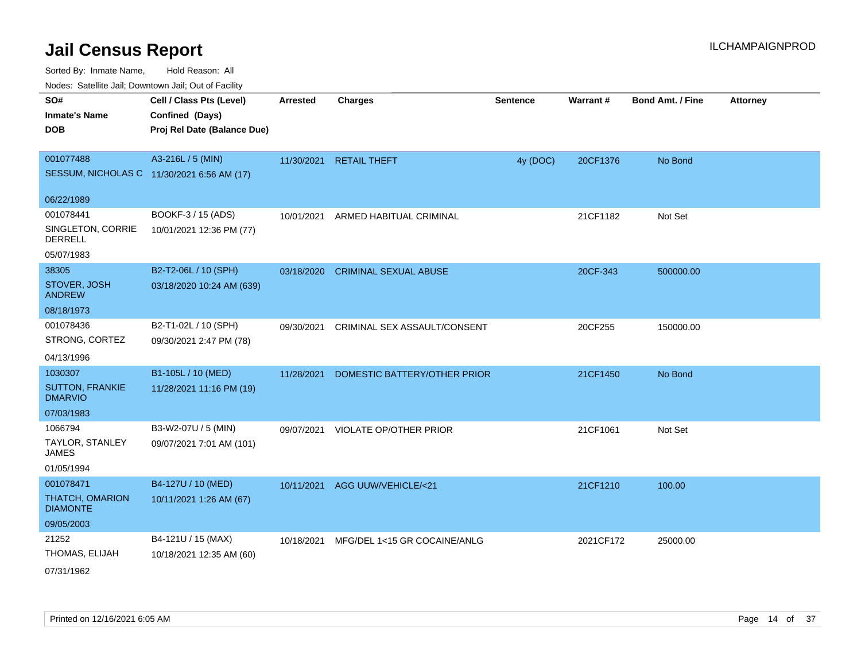Sorted By: Inmate Name, Hold Reason: All

Nodes: Satellite Jail; Downtown Jail; Out of Facility

| roaco. Catolino dall, Downtown dall, Out of Fability |                             |                 |                              |                 |                 |                         |                 |
|------------------------------------------------------|-----------------------------|-----------------|------------------------------|-----------------|-----------------|-------------------------|-----------------|
| SO#                                                  | Cell / Class Pts (Level)    | <b>Arrested</b> | <b>Charges</b>               | <b>Sentence</b> | <b>Warrant#</b> | <b>Bond Amt. / Fine</b> | <b>Attorney</b> |
| <b>Inmate's Name</b>                                 | Confined (Days)             |                 |                              |                 |                 |                         |                 |
| <b>DOB</b>                                           | Proj Rel Date (Balance Due) |                 |                              |                 |                 |                         |                 |
|                                                      |                             |                 |                              |                 |                 |                         |                 |
| 001077488                                            | A3-216L / 5 (MIN)           |                 | 11/30/2021 RETAIL THEFT      | 4y (DOC)        | 20CF1376        | No Bond                 |                 |
| SESSUM, NICHOLAS C 11/30/2021 6:56 AM (17)           |                             |                 |                              |                 |                 |                         |                 |
| 06/22/1989                                           |                             |                 |                              |                 |                 |                         |                 |
| 001078441                                            | BOOKF-3 / 15 (ADS)          | 10/01/2021      | ARMED HABITUAL CRIMINAL      |                 | 21CF1182        | Not Set                 |                 |
| SINGLETON, CORRIE<br><b>DERRELL</b>                  | 10/01/2021 12:36 PM (77)    |                 |                              |                 |                 |                         |                 |
| 05/07/1983                                           |                             |                 |                              |                 |                 |                         |                 |
| 38305                                                | B2-T2-06L / 10 (SPH)        | 03/18/2020      | <b>CRIMINAL SEXUAL ABUSE</b> |                 | 20CF-343        | 500000.00               |                 |
| STOVER, JOSH<br><b>ANDREW</b>                        | 03/18/2020 10:24 AM (639)   |                 |                              |                 |                 |                         |                 |
| 08/18/1973                                           |                             |                 |                              |                 |                 |                         |                 |
| 001078436                                            | B2-T1-02L / 10 (SPH)        | 09/30/2021      | CRIMINAL SEX ASSAULT/CONSENT |                 | 20CF255         | 150000.00               |                 |
| STRONG, CORTEZ                                       | 09/30/2021 2:47 PM (78)     |                 |                              |                 |                 |                         |                 |
| 04/13/1996                                           |                             |                 |                              |                 |                 |                         |                 |
| 1030307                                              | B1-105L / 10 (MED)          | 11/28/2021      | DOMESTIC BATTERY/OTHER PRIOR |                 | 21CF1450        | No Bond                 |                 |
| <b>SUTTON, FRANKIE</b><br><b>DMARVIO</b>             | 11/28/2021 11:16 PM (19)    |                 |                              |                 |                 |                         |                 |
| 07/03/1983                                           |                             |                 |                              |                 |                 |                         |                 |
| 1066794                                              | B3-W2-07U / 5 (MIN)         | 09/07/2021      | VIOLATE OP/OTHER PRIOR       |                 | 21CF1061        | Not Set                 |                 |
| TAYLOR, STANLEY<br><b>JAMES</b>                      | 09/07/2021 7:01 AM (101)    |                 |                              |                 |                 |                         |                 |
| 01/05/1994                                           |                             |                 |                              |                 |                 |                         |                 |
| 001078471                                            | B4-127U / 10 (MED)          | 10/11/2021      | AGG UUW/VEHICLE/<21          |                 | 21CF1210        | 100.00                  |                 |
| <b>THATCH, OMARION</b><br><b>DIAMONTE</b>            | 10/11/2021 1:26 AM (67)     |                 |                              |                 |                 |                         |                 |
| 09/05/2003                                           |                             |                 |                              |                 |                 |                         |                 |
| 21252                                                | B4-121U / 15 (MAX)          | 10/18/2021      | MFG/DEL 1<15 GR COCAINE/ANLG |                 | 2021CF172       | 25000.00                |                 |
| THOMAS, ELIJAH                                       | 10/18/2021 12:35 AM (60)    |                 |                              |                 |                 |                         |                 |
| 07/31/1962                                           |                             |                 |                              |                 |                 |                         |                 |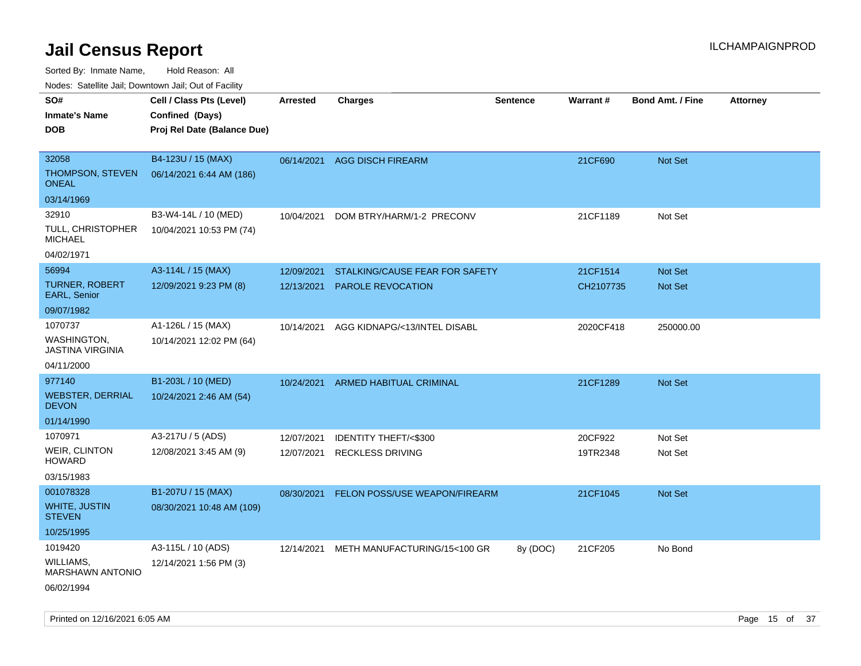Sorted By: Inmate Name, Hold Reason: All

Nodes: Satellite Jail; Downtown Jail; Out of Facility

| SO#                                     | Cell / Class Pts (Level)    | Arrested   | <b>Charges</b>                 | <b>Sentence</b> | <b>Warrant#</b> | <b>Bond Amt. / Fine</b> | <b>Attorney</b> |
|-----------------------------------------|-----------------------------|------------|--------------------------------|-----------------|-----------------|-------------------------|-----------------|
| <b>Inmate's Name</b>                    | Confined (Days)             |            |                                |                 |                 |                         |                 |
| <b>DOB</b>                              | Proj Rel Date (Balance Due) |            |                                |                 |                 |                         |                 |
|                                         |                             |            |                                |                 |                 |                         |                 |
| 32058                                   | B4-123U / 15 (MAX)          | 06/14/2021 | <b>AGG DISCH FIREARM</b>       |                 | 21CF690         | Not Set                 |                 |
| THOMPSON, STEVEN<br><b>ONEAL</b>        | 06/14/2021 6:44 AM (186)    |            |                                |                 |                 |                         |                 |
| 03/14/1969                              |                             |            |                                |                 |                 |                         |                 |
| 32910                                   | B3-W4-14L / 10 (MED)        | 10/04/2021 | DOM BTRY/HARM/1-2 PRECONV      |                 | 21CF1189        | Not Set                 |                 |
| TULL, CHRISTOPHER<br><b>MICHAEL</b>     | 10/04/2021 10:53 PM (74)    |            |                                |                 |                 |                         |                 |
| 04/02/1971                              |                             |            |                                |                 |                 |                         |                 |
| 56994                                   | A3-114L / 15 (MAX)          | 12/09/2021 | STALKING/CAUSE FEAR FOR SAFETY |                 | 21CF1514        | Not Set                 |                 |
| <b>TURNER, ROBERT</b><br>EARL, Senior   | 12/09/2021 9:23 PM (8)      | 12/13/2021 | <b>PAROLE REVOCATION</b>       |                 | CH2107735       | <b>Not Set</b>          |                 |
| 09/07/1982                              |                             |            |                                |                 |                 |                         |                 |
| 1070737                                 | A1-126L / 15 (MAX)          | 10/14/2021 | AGG KIDNAPG/<13/INTEL DISABL   |                 | 2020CF418       | 250000.00               |                 |
| WASHINGTON,<br><b>JASTINA VIRGINIA</b>  | 10/14/2021 12:02 PM (64)    |            |                                |                 |                 |                         |                 |
| 04/11/2000                              |                             |            |                                |                 |                 |                         |                 |
| 977140                                  | B1-203L / 10 (MED)          | 10/24/2021 | <b>ARMED HABITUAL CRIMINAL</b> |                 | 21CF1289        | <b>Not Set</b>          |                 |
| <b>WEBSTER, DERRIAL</b><br><b>DEVON</b> | 10/24/2021 2:46 AM (54)     |            |                                |                 |                 |                         |                 |
| 01/14/1990                              |                             |            |                                |                 |                 |                         |                 |
| 1070971                                 | A3-217U / 5 (ADS)           | 12/07/2021 | IDENTITY THEFT/<\$300          |                 | 20CF922         | Not Set                 |                 |
| <b>WEIR, CLINTON</b><br><b>HOWARD</b>   | 12/08/2021 3:45 AM (9)      | 12/07/2021 | <b>RECKLESS DRIVING</b>        |                 | 19TR2348        | Not Set                 |                 |
| 03/15/1983                              |                             |            |                                |                 |                 |                         |                 |
| 001078328                               | B1-207U / 15 (MAX)          | 08/30/2021 | FELON POSS/USE WEAPON/FIREARM  |                 | 21CF1045        | Not Set                 |                 |
| WHITE, JUSTIN<br><b>STEVEN</b>          | 08/30/2021 10:48 AM (109)   |            |                                |                 |                 |                         |                 |
| 10/25/1995                              |                             |            |                                |                 |                 |                         |                 |
| 1019420                                 | A3-115L / 10 (ADS)          | 12/14/2021 | METH MANUFACTURING/15<100 GR   | 8y (DOC)        | 21CF205         | No Bond                 |                 |
| WILLIAMS,<br>MARSHAWN ANTONIO           | 12/14/2021 1:56 PM (3)      |            |                                |                 |                 |                         |                 |
| 06/02/1994                              |                             |            |                                |                 |                 |                         |                 |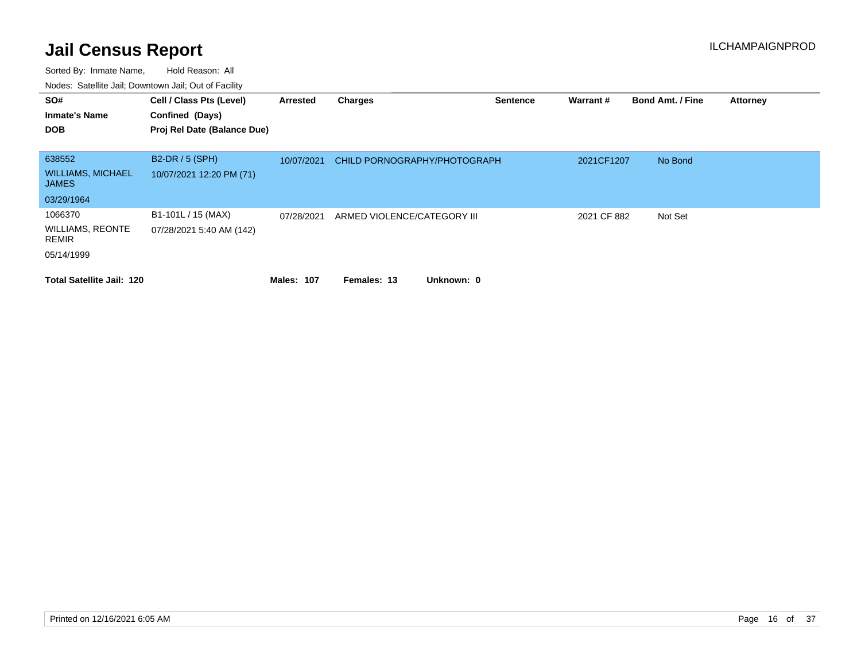| SO#<br><b>Inmate's Name</b><br><b>DOB</b>                               | Cell / Class Pts (Level)<br>Confined (Days)<br>Proj Rel Date (Balance Due) | Arrested          | <b>Charges</b>               | <b>Sentence</b> | Warrant #   | <b>Bond Amt. / Fine</b> | <b>Attorney</b> |
|-------------------------------------------------------------------------|----------------------------------------------------------------------------|-------------------|------------------------------|-----------------|-------------|-------------------------|-----------------|
| 638552<br><b>WILLIAMS, MICHAEL</b><br><b>JAMES</b>                      | B2-DR / 5 (SPH)<br>10/07/2021 12:20 PM (71)                                | 10/07/2021        | CHILD PORNOGRAPHY/PHOTOGRAPH |                 | 2021CF1207  | No Bond                 |                 |
| 03/29/1964<br>1066370<br><b>WILLIAMS, REONTE</b><br>REMIR<br>05/14/1999 | B1-101L / 15 (MAX)<br>07/28/2021 5:40 AM (142)                             | 07/28/2021        | ARMED VIOLENCE/CATEGORY III  |                 | 2021 CF 882 | Not Set                 |                 |
| <b>Total Satellite Jail: 120</b>                                        |                                                                            | <b>Males: 107</b> | Unknown: 0<br>Females: 13    |                 |             |                         |                 |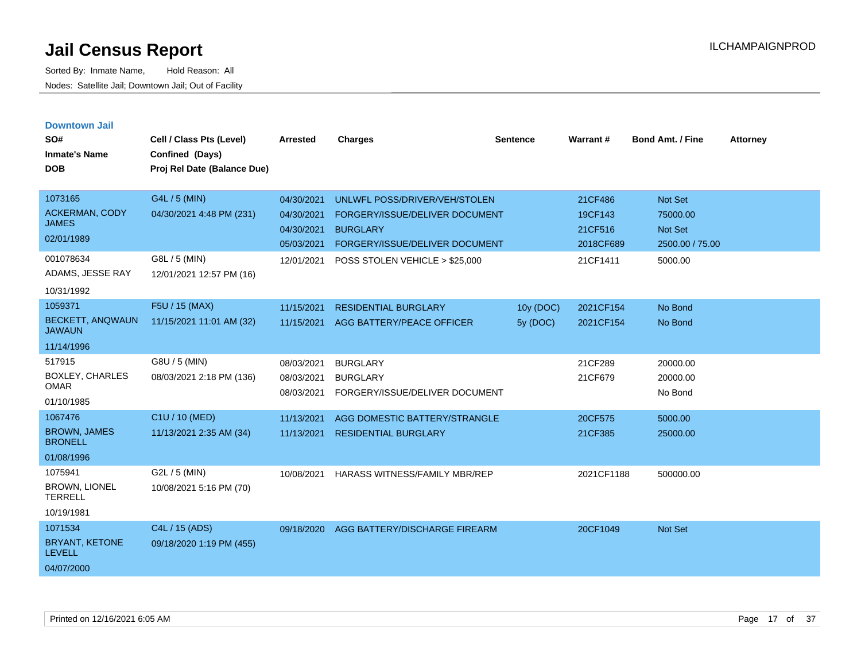| <b>Downtown Jail</b><br>SO#<br><b>Inmate's Name</b><br><b>DOB</b> | Cell / Class Pts (Level)<br>Confined (Days)<br>Proj Rel Date (Balance Due) | <b>Arrested</b>                        | <b>Charges</b>                                                       | <b>Sentence</b>         | Warrant#               | <b>Bond Amt. / Fine</b>           | <b>Attorney</b> |
|-------------------------------------------------------------------|----------------------------------------------------------------------------|----------------------------------------|----------------------------------------------------------------------|-------------------------|------------------------|-----------------------------------|-----------------|
| 1073165                                                           | G4L / 5 (MIN)                                                              | 04/30/2021                             | UNLWFL POSS/DRIVER/VEH/STOLEN                                        |                         | 21CF486                | <b>Not Set</b>                    |                 |
| <b>ACKERMAN, CODY</b><br><b>JAMES</b>                             | 04/30/2021 4:48 PM (231)                                                   | 04/30/2021                             | FORGERY/ISSUE/DELIVER DOCUMENT                                       |                         | 19CF143                | 75000.00                          |                 |
| 02/01/1989                                                        |                                                                            | 04/30/2021<br>05/03/2021               | <b>BURGLARY</b><br>FORGERY/ISSUE/DELIVER DOCUMENT                    |                         | 21CF516<br>2018CF689   | <b>Not Set</b><br>2500.00 / 75.00 |                 |
| 001078634<br>ADAMS, JESSE RAY                                     | G8L / 5 (MIN)<br>12/01/2021 12:57 PM (16)                                  | 12/01/2021                             | POSS STOLEN VEHICLE > \$25,000                                       |                         | 21CF1411               | 5000.00                           |                 |
| 10/31/1992                                                        |                                                                            |                                        |                                                                      |                         |                        |                                   |                 |
| 1059371<br>BECKETT, ANQWAUN<br><b>JAWAUN</b>                      | F5U / 15 (MAX)<br>11/15/2021 11:01 AM (32)                                 | 11/15/2021<br>11/15/2021               | <b>RESIDENTIAL BURGLARY</b><br>AGG BATTERY/PEACE OFFICER             | 10y (DOC)<br>$5v$ (DOC) | 2021CF154<br>2021CF154 | No Bond<br>No Bond                |                 |
| 11/14/1996                                                        |                                                                            |                                        |                                                                      |                         |                        |                                   |                 |
| 517915<br><b>BOXLEY, CHARLES</b><br><b>OMAR</b><br>01/10/1985     | G8U / 5 (MIN)<br>08/03/2021 2:18 PM (136)                                  | 08/03/2021<br>08/03/2021<br>08/03/2021 | <b>BURGLARY</b><br><b>BURGLARY</b><br>FORGERY/ISSUE/DELIVER DOCUMENT |                         | 21CF289<br>21CF679     | 20000.00<br>20000.00<br>No Bond   |                 |
| 1067476                                                           | C1U / 10 (MED)                                                             | 11/13/2021                             | AGG DOMESTIC BATTERY/STRANGLE                                        |                         | 20CF575                | 5000.00                           |                 |
| <b>BROWN, JAMES</b><br><b>BRONELL</b>                             | 11/13/2021 2:35 AM (34)                                                    | 11/13/2021                             | <b>RESIDENTIAL BURGLARY</b>                                          |                         | 21CF385                | 25000.00                          |                 |
| 01/08/1996                                                        |                                                                            |                                        |                                                                      |                         |                        |                                   |                 |
| 1075941<br><b>BROWN, LIONEL</b><br><b>TERRELL</b>                 | G2L / 5 (MIN)<br>10/08/2021 5:16 PM (70)                                   | 10/08/2021                             | <b>HARASS WITNESS/FAMILY MBR/REP</b>                                 |                         | 2021CF1188             | 500000.00                         |                 |
| 10/19/1981                                                        |                                                                            |                                        |                                                                      |                         |                        |                                   |                 |
| 1071534<br><b>BRYANT, KETONE</b><br><b>LEVELL</b><br>04/07/2000   | C4L / 15 (ADS)<br>09/18/2020 1:19 PM (455)                                 | 09/18/2020                             | AGG BATTERY/DISCHARGE FIREARM                                        |                         | 20CF1049               | Not Set                           |                 |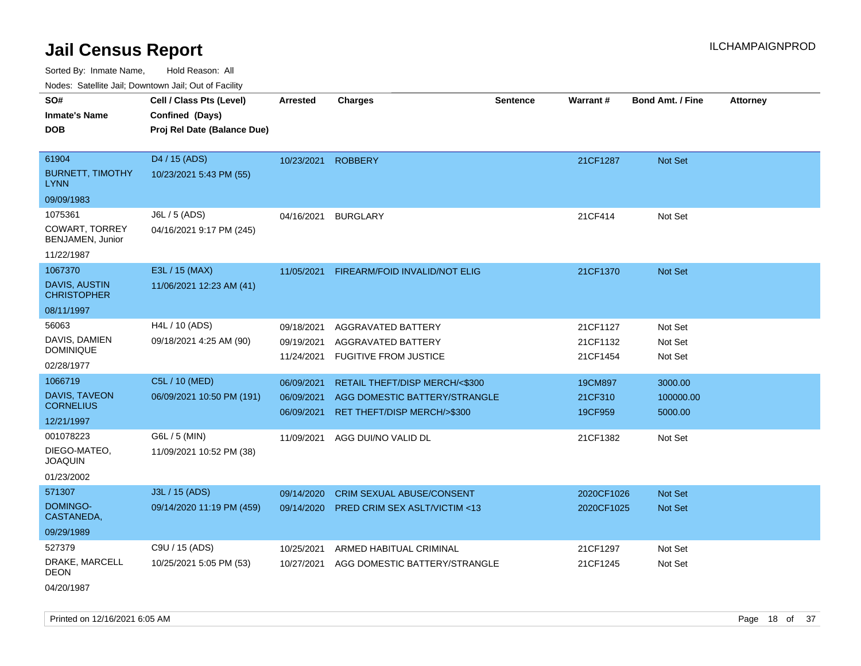Sorted By: Inmate Name, Hold Reason: All

Nodes: Satellite Jail; Downtown Jail; Out of Facility

| Noues. Salemie Jan, Downlown Jan, Out of Facility |                             |                 |                                         |                 |            |                         |                 |
|---------------------------------------------------|-----------------------------|-----------------|-----------------------------------------|-----------------|------------|-------------------------|-----------------|
| SO#                                               | Cell / Class Pts (Level)    | <b>Arrested</b> | <b>Charges</b>                          | <b>Sentence</b> | Warrant#   | <b>Bond Amt. / Fine</b> | <b>Attorney</b> |
| <b>Inmate's Name</b>                              | Confined (Days)             |                 |                                         |                 |            |                         |                 |
| <b>DOB</b>                                        | Proj Rel Date (Balance Due) |                 |                                         |                 |            |                         |                 |
|                                                   |                             |                 |                                         |                 |            |                         |                 |
| 61904                                             | D4 / 15 (ADS)               | 10/23/2021      | <b>ROBBERY</b>                          |                 | 21CF1287   | Not Set                 |                 |
| <b>BURNETT, TIMOTHY</b><br><b>LYNN</b>            | 10/23/2021 5:43 PM (55)     |                 |                                         |                 |            |                         |                 |
| 09/09/1983                                        |                             |                 |                                         |                 |            |                         |                 |
| 1075361                                           | J6L / 5 (ADS)               |                 | 04/16/2021 BURGLARY                     |                 | 21CF414    | Not Set                 |                 |
| COWART, TORREY<br>BENJAMEN, Junior                | 04/16/2021 9:17 PM (245)    |                 |                                         |                 |            |                         |                 |
| 11/22/1987                                        |                             |                 |                                         |                 |            |                         |                 |
| 1067370                                           | E3L / 15 (MAX)              | 11/05/2021      | FIREARM/FOID INVALID/NOT ELIG           |                 | 21CF1370   | Not Set                 |                 |
| <b>DAVIS, AUSTIN</b><br><b>CHRISTOPHER</b>        | 11/06/2021 12:23 AM (41)    |                 |                                         |                 |            |                         |                 |
| 08/11/1997                                        |                             |                 |                                         |                 |            |                         |                 |
| 56063                                             | H4L / 10 (ADS)              | 09/18/2021      | AGGRAVATED BATTERY                      |                 | 21CF1127   | Not Set                 |                 |
| DAVIS, DAMIEN                                     | 09/18/2021 4:25 AM (90)     | 09/19/2021      | AGGRAVATED BATTERY                      |                 | 21CF1132   | Not Set                 |                 |
| <b>DOMINIQUE</b>                                  |                             | 11/24/2021      | <b>FUGITIVE FROM JUSTICE</b>            |                 | 21CF1454   | Not Set                 |                 |
| 02/28/1977                                        |                             |                 |                                         |                 |            |                         |                 |
| 1066719                                           | C5L / 10 (MED)              | 06/09/2021      | RETAIL THEFT/DISP MERCH/<\$300          |                 | 19CM897    | 3000.00                 |                 |
| DAVIS, TAVEON<br><b>CORNELIUS</b>                 | 06/09/2021 10:50 PM (191)   | 06/09/2021      | AGG DOMESTIC BATTERY/STRANGLE           |                 | 21CF310    | 100000.00               |                 |
| 12/21/1997                                        |                             | 06/09/2021      | RET THEFT/DISP MERCH/>\$300             |                 | 19CF959    | 5000.00                 |                 |
| 001078223                                         | G6L / 5 (MIN)               | 11/09/2021      | AGG DUI/NO VALID DL                     |                 | 21CF1382   | Not Set                 |                 |
| DIEGO-MATEO.<br><b>JOAQUIN</b>                    | 11/09/2021 10:52 PM (38)    |                 |                                         |                 |            |                         |                 |
| 01/23/2002                                        |                             |                 |                                         |                 |            |                         |                 |
| 571307                                            | J3L / 15 (ADS)              | 09/14/2020      | <b>CRIM SEXUAL ABUSE/CONSENT</b>        |                 | 2020CF1026 | <b>Not Set</b>          |                 |
| DOMINGO-<br>CASTANEDA,                            | 09/14/2020 11:19 PM (459)   | 09/14/2020      | <b>PRED CRIM SEX ASLT/VICTIM &lt;13</b> |                 | 2020CF1025 | <b>Not Set</b>          |                 |
| 09/29/1989                                        |                             |                 |                                         |                 |            |                         |                 |
| 527379                                            | C9U / 15 (ADS)              | 10/25/2021      | ARMED HABITUAL CRIMINAL                 |                 | 21CF1297   | Not Set                 |                 |
| DRAKE, MARCELL<br><b>DEON</b>                     | 10/25/2021 5:05 PM (53)     | 10/27/2021      | AGG DOMESTIC BATTERY/STRANGLE           |                 | 21CF1245   | Not Set                 |                 |
|                                                   |                             |                 |                                         |                 |            |                         |                 |

04/20/1987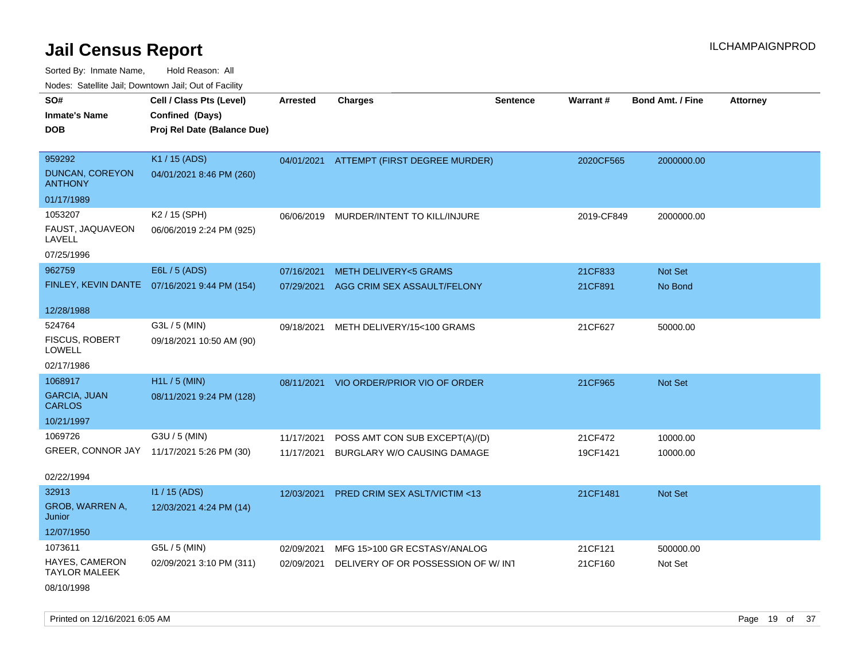Sorted By: Inmate Name, Hold Reason: All

Nodes: Satellite Jail; Downtown Jail; Out of Facility

| SO#                                    | Cell / Class Pts (Level)                     | <b>Arrested</b> | <b>Charges</b>                           | Sentence | Warrant#   | <b>Bond Amt. / Fine</b> | <b>Attorney</b> |
|----------------------------------------|----------------------------------------------|-----------------|------------------------------------------|----------|------------|-------------------------|-----------------|
| <b>Inmate's Name</b>                   | Confined (Days)                              |                 |                                          |          |            |                         |                 |
| <b>DOB</b>                             | Proj Rel Date (Balance Due)                  |                 |                                          |          |            |                         |                 |
|                                        |                                              |                 |                                          |          |            |                         |                 |
| 959292                                 | K1 / 15 (ADS)                                |                 | 04/01/2021 ATTEMPT (FIRST DEGREE MURDER) |          | 2020CF565  | 2000000.00              |                 |
| DUNCAN, COREYON<br><b>ANTHONY</b>      | 04/01/2021 8:46 PM (260)                     |                 |                                          |          |            |                         |                 |
| 01/17/1989                             |                                              |                 |                                          |          |            |                         |                 |
| 1053207                                | K2 / 15 (SPH)                                | 06/06/2019      | MURDER/INTENT TO KILL/INJURE             |          | 2019-CF849 | 2000000.00              |                 |
| FAUST, JAQUAVEON<br>LAVELL             | 06/06/2019 2:24 PM (925)                     |                 |                                          |          |            |                         |                 |
| 07/25/1996                             |                                              |                 |                                          |          |            |                         |                 |
| 962759                                 | E6L / 5 (ADS)                                | 07/16/2021      | <b>METH DELIVERY&lt;5 GRAMS</b>          |          | 21CF833    | Not Set                 |                 |
|                                        | FINLEY, KEVIN DANTE 07/16/2021 9:44 PM (154) | 07/29/2021      | AGG CRIM SEX ASSAULT/FELONY              |          | 21CF891    | No Bond                 |                 |
|                                        |                                              |                 |                                          |          |            |                         |                 |
| 12/28/1988                             |                                              |                 |                                          |          |            |                         |                 |
| 524764                                 | G3L / 5 (MIN)                                | 09/18/2021      | METH DELIVERY/15<100 GRAMS               |          | 21CF627    | 50000.00                |                 |
| FISCUS, ROBERT<br><b>LOWELL</b>        | 09/18/2021 10:50 AM (90)                     |                 |                                          |          |            |                         |                 |
| 02/17/1986                             |                                              |                 |                                          |          |            |                         |                 |
| 1068917                                | H1L / 5 (MIN)                                | 08/11/2021      | VIO ORDER/PRIOR VIO OF ORDER             |          | 21CF965    | Not Set                 |                 |
| <b>GARCIA, JUAN</b><br><b>CARLOS</b>   | 08/11/2021 9:24 PM (128)                     |                 |                                          |          |            |                         |                 |
| 10/21/1997                             |                                              |                 |                                          |          |            |                         |                 |
| 1069726                                | G3U / 5 (MIN)                                | 11/17/2021      | POSS AMT CON SUB EXCEPT(A)/(D)           |          | 21CF472    | 10000.00                |                 |
|                                        | GREER, CONNOR JAY 11/17/2021 5:26 PM (30)    | 11/17/2021      | BURGLARY W/O CAUSING DAMAGE              |          | 19CF1421   | 10000.00                |                 |
|                                        |                                              |                 |                                          |          |            |                         |                 |
| 02/22/1994                             |                                              |                 |                                          |          |            |                         |                 |
| 32913                                  | $11/15$ (ADS)                                | 12/03/2021      | PRED CRIM SEX ASLT/VICTIM <13            |          | 21CF1481   | Not Set                 |                 |
| GROB, WARREN A,<br>Junior              | 12/03/2021 4:24 PM (14)                      |                 |                                          |          |            |                         |                 |
| 12/07/1950                             |                                              |                 |                                          |          |            |                         |                 |
| 1073611                                | G5L / 5 (MIN)                                | 02/09/2021      | MFG 15>100 GR ECSTASY/ANALOG             |          | 21CF121    | 500000.00               |                 |
| HAYES, CAMERON<br><b>TAYLOR MALEEK</b> | 02/09/2021 3:10 PM (311)                     | 02/09/2021      | DELIVERY OF OR POSSESSION OF W/INT       |          | 21CF160    | Not Set                 |                 |
| 08/10/1998                             |                                              |                 |                                          |          |            |                         |                 |

Printed on 12/16/2021 6:05 AM **Page 19 of 37** Page 19 of 37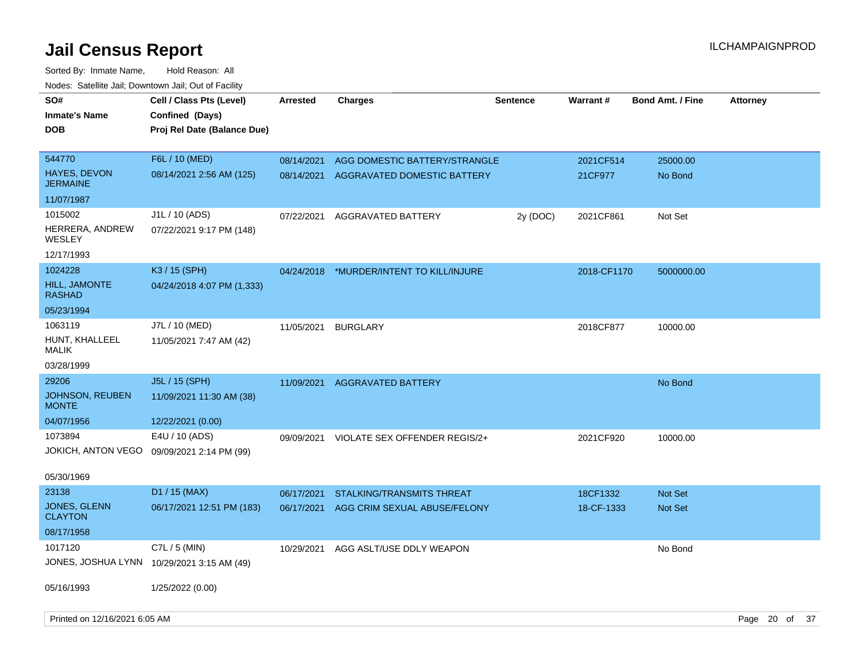| SO#<br><b>Inmate's Name</b><br><b>DOB</b>          | Cell / Class Pts (Level)<br>Confined (Days)<br>Proj Rel Date (Balance Due) | <b>Arrested</b>          | Charges                                                      | <b>Sentence</b> | <b>Warrant#</b>      | <b>Bond Amt. / Fine</b> | <b>Attorney</b> |  |
|----------------------------------------------------|----------------------------------------------------------------------------|--------------------------|--------------------------------------------------------------|-----------------|----------------------|-------------------------|-----------------|--|
| 544770<br>HAYES, DEVON<br><b>JERMAINE</b>          | F6L / 10 (MED)<br>08/14/2021 2:56 AM (125)                                 | 08/14/2021<br>08/14/2021 | AGG DOMESTIC BATTERY/STRANGLE<br>AGGRAVATED DOMESTIC BATTERY |                 | 2021CF514<br>21CF977 | 25000.00<br>No Bond     |                 |  |
| 11/07/1987                                         |                                                                            |                          |                                                              |                 |                      |                         |                 |  |
| 1015002<br>HERRERA, ANDREW<br>WESLEY<br>12/17/1993 | J1L / 10 (ADS)<br>07/22/2021 9:17 PM (148)                                 | 07/22/2021               | AGGRAVATED BATTERY                                           | 2y (DOC)        | 2021CF861            | Not Set                 |                 |  |
| 1024228                                            | K3 / 15 (SPH)                                                              |                          |                                                              |                 |                      |                         |                 |  |
| <b>HILL, JAMONTE</b><br>RASHAD                     | 04/24/2018 4:07 PM (1,333)                                                 | 04/24/2018               | *MURDER/INTENT TO KILL/INJURE                                |                 | 2018-CF1170          | 5000000.00              |                 |  |
| 05/23/1994                                         |                                                                            |                          |                                                              |                 |                      |                         |                 |  |
| 1063119<br>HUNT, KHALLEEL<br><b>MALIK</b>          | J7L / 10 (MED)<br>11/05/2021 7:47 AM (42)                                  | 11/05/2021               | <b>BURGLARY</b>                                              |                 | 2018CF877            | 10000.00                |                 |  |
| 03/28/1999                                         |                                                                            |                          |                                                              |                 |                      |                         |                 |  |
| 29206<br><b>JOHNSON, REUBEN</b><br><b>MONTE</b>    | J5L / 15 (SPH)<br>11/09/2021 11:30 AM (38)                                 | 11/09/2021               | <b>AGGRAVATED BATTERY</b>                                    |                 |                      | No Bond                 |                 |  |
| 04/07/1956                                         | 12/22/2021 (0.00)                                                          |                          |                                                              |                 |                      |                         |                 |  |
| 1073894<br>JOKICH, ANTON VEGO                      | E4U / 10 (ADS)<br>09/09/2021 2:14 PM (99)                                  | 09/09/2021               | VIOLATE SEX OFFENDER REGIS/2+                                |                 | 2021CF920            | 10000.00                |                 |  |
| 05/30/1969                                         |                                                                            |                          |                                                              |                 |                      |                         |                 |  |
| 23138                                              | D1 / 15 (MAX)                                                              | 06/17/2021               | <b>STALKING/TRANSMITS THREAT</b>                             |                 | 18CF1332             | <b>Not Set</b>          |                 |  |
| <b>JONES, GLENN</b><br><b>CLAYTON</b>              | 06/17/2021 12:51 PM (183)                                                  | 06/17/2021               | AGG CRIM SEXUAL ABUSE/FELONY                                 |                 | 18-CF-1333           | <b>Not Set</b>          |                 |  |
| 08/17/1958                                         |                                                                            |                          |                                                              |                 |                      |                         |                 |  |
| 1017120                                            | C7L / 5 (MIN)<br>JONES, JOSHUA LYNN 10/29/2021 3:15 AM (49)                | 10/29/2021               | AGG ASLT/USE DDLY WEAPON                                     |                 |                      | No Bond                 |                 |  |
| 05/16/1993                                         | 1/25/2022 (0.00)                                                           |                          |                                                              |                 |                      |                         |                 |  |
| Printed on 12/16/2021 6:05 AM                      |                                                                            |                          |                                                              |                 |                      |                         | Page 20 of 37   |  |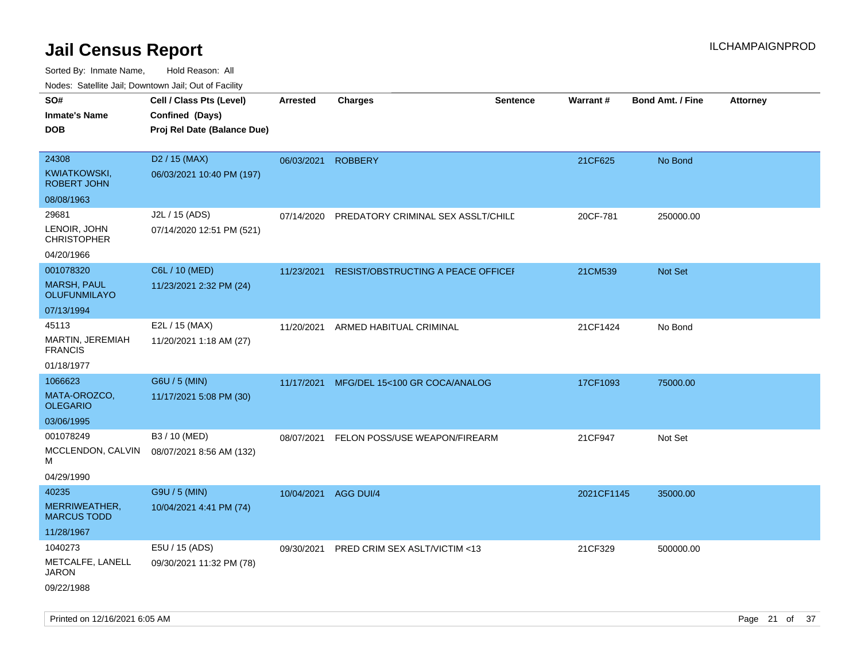| roaco. Catolino dall, Downtown dall, Out of Fability |                             |                      |                                    |                 |            |                         |                 |
|------------------------------------------------------|-----------------------------|----------------------|------------------------------------|-----------------|------------|-------------------------|-----------------|
| SO#                                                  | Cell / Class Pts (Level)    | <b>Arrested</b>      | <b>Charges</b>                     | <b>Sentence</b> | Warrant#   | <b>Bond Amt. / Fine</b> | <b>Attorney</b> |
| <b>Inmate's Name</b>                                 | Confined (Days)             |                      |                                    |                 |            |                         |                 |
| <b>DOB</b>                                           | Proj Rel Date (Balance Due) |                      |                                    |                 |            |                         |                 |
|                                                      |                             |                      |                                    |                 |            |                         |                 |
| 24308                                                | D <sub>2</sub> / 15 (MAX)   | 06/03/2021           | <b>ROBBERY</b>                     |                 | 21CF625    | No Bond                 |                 |
| <b>KWIATKOWSKI,</b><br><b>ROBERT JOHN</b>            | 06/03/2021 10:40 PM (197)   |                      |                                    |                 |            |                         |                 |
| 08/08/1963                                           |                             |                      |                                    |                 |            |                         |                 |
| 29681                                                | J2L / 15 (ADS)              | 07/14/2020           | PREDATORY CRIMINAL SEX ASSLT/CHILD |                 | 20CF-781   | 250000.00               |                 |
| LENOIR, JOHN<br><b>CHRISTOPHER</b>                   | 07/14/2020 12:51 PM (521)   |                      |                                    |                 |            |                         |                 |
| 04/20/1966                                           |                             |                      |                                    |                 |            |                         |                 |
| 001078320                                            | C6L / 10 (MED)              | 11/23/2021           | RESIST/OBSTRUCTING A PEACE OFFICEF |                 | 21CM539    | Not Set                 |                 |
| <b>MARSH, PAUL</b><br><b>OLUFUNMILAYO</b>            | 11/23/2021 2:32 PM (24)     |                      |                                    |                 |            |                         |                 |
| 07/13/1994                                           |                             |                      |                                    |                 |            |                         |                 |
| 45113                                                | E2L / 15 (MAX)              | 11/20/2021           | ARMED HABITUAL CRIMINAL            |                 | 21CF1424   | No Bond                 |                 |
| MARTIN, JEREMIAH<br><b>FRANCIS</b>                   | 11/20/2021 1:18 AM (27)     |                      |                                    |                 |            |                         |                 |
| 01/18/1977                                           |                             |                      |                                    |                 |            |                         |                 |
| 1066623                                              | G6U / 5 (MIN)               | 11/17/2021           | MFG/DEL 15<100 GR COCA/ANALOG      |                 | 17CF1093   | 75000.00                |                 |
| MATA-OROZCO,<br><b>OLEGARIO</b>                      | 11/17/2021 5:08 PM (30)     |                      |                                    |                 |            |                         |                 |
| 03/06/1995                                           |                             |                      |                                    |                 |            |                         |                 |
| 001078249                                            | B3 / 10 (MED)               | 08/07/2021           | FELON POSS/USE WEAPON/FIREARM      |                 | 21CF947    | Not Set                 |                 |
| MCCLENDON, CALVIN<br>м                               | 08/07/2021 8:56 AM (132)    |                      |                                    |                 |            |                         |                 |
| 04/29/1990                                           |                             |                      |                                    |                 |            |                         |                 |
| 40235                                                | G9U / 5 (MIN)               | 10/04/2021 AGG DUI/4 |                                    |                 | 2021CF1145 | 35000.00                |                 |
| MERRIWEATHER,<br><b>MARCUS TODD</b>                  | 10/04/2021 4:41 PM (74)     |                      |                                    |                 |            |                         |                 |
| 11/28/1967                                           |                             |                      |                                    |                 |            |                         |                 |
| 1040273                                              | E5U / 15 (ADS)              | 09/30/2021           | PRED CRIM SEX ASLT/VICTIM <13      |                 | 21CF329    | 500000.00               |                 |
| METCALFE, LANELL<br>JARON                            | 09/30/2021 11:32 PM (78)    |                      |                                    |                 |            |                         |                 |
| 09/22/1988                                           |                             |                      |                                    |                 |            |                         |                 |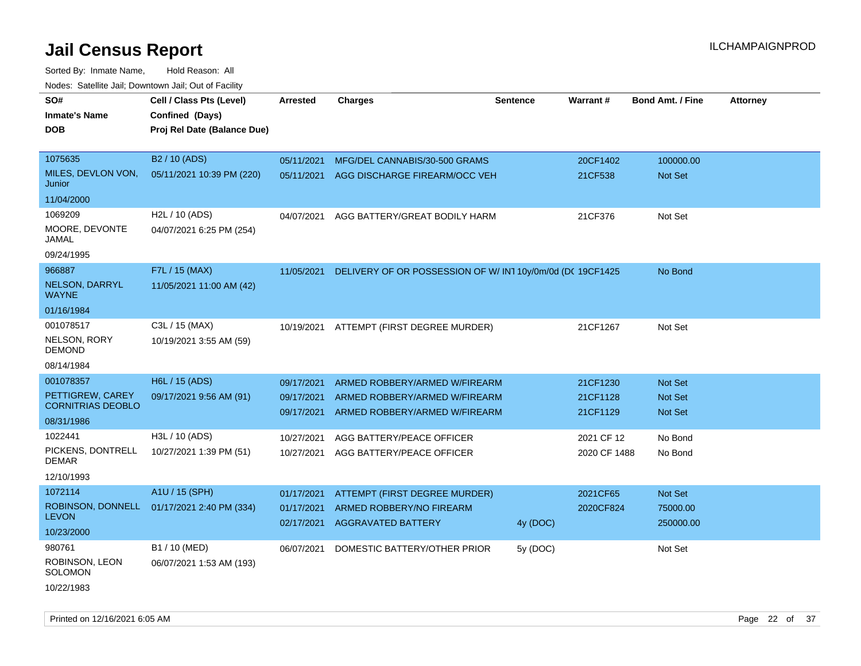Sorted By: Inmate Name, Hold Reason: All Nodes: Satellite Jail; Downtown Jail; Out of Facility

| Noues. Sateme Jan, Downtown Jan, Out or Facility |                             |                          |                                                                |                 |                      |                           |                 |
|--------------------------------------------------|-----------------------------|--------------------------|----------------------------------------------------------------|-----------------|----------------------|---------------------------|-----------------|
| SO#                                              | Cell / Class Pts (Level)    | Arrested                 | <b>Charges</b>                                                 | <b>Sentence</b> | Warrant#             | <b>Bond Amt. / Fine</b>   | <b>Attorney</b> |
| <b>Inmate's Name</b>                             | Confined (Days)             |                          |                                                                |                 |                      |                           |                 |
| <b>DOB</b>                                       | Proj Rel Date (Balance Due) |                          |                                                                |                 |                      |                           |                 |
|                                                  |                             |                          |                                                                |                 |                      |                           |                 |
| 1075635                                          | B <sub>2</sub> / 10 (ADS)   | 05/11/2021               | MFG/DEL CANNABIS/30-500 GRAMS                                  |                 | 20CF1402             | 100000.00                 |                 |
| MILES, DEVLON VON,<br>Junior                     | 05/11/2021 10:39 PM (220)   | 05/11/2021               | AGG DISCHARGE FIREARM/OCC VEH                                  |                 | 21CF538              | Not Set                   |                 |
| 11/04/2000                                       |                             |                          |                                                                |                 |                      |                           |                 |
| 1069209                                          | H2L / 10 (ADS)              | 04/07/2021               | AGG BATTERY/GREAT BODILY HARM                                  |                 | 21CF376              | Not Set                   |                 |
| MOORE, DEVONTE<br>JAMAL                          | 04/07/2021 6:25 PM (254)    |                          |                                                                |                 |                      |                           |                 |
| 09/24/1995                                       |                             |                          |                                                                |                 |                      |                           |                 |
| 966887                                           | F7L / 15 (MAX)              | 11/05/2021               | DELIVERY OF OR POSSESSION OF W/ IN1 10y/0m/0d (DC 19CF1425     |                 |                      | No Bond                   |                 |
| <b>NELSON, DARRYL</b><br><b>WAYNE</b>            | 11/05/2021 11:00 AM (42)    |                          |                                                                |                 |                      |                           |                 |
| 01/16/1984                                       |                             |                          |                                                                |                 |                      |                           |                 |
| 001078517                                        | C3L / 15 (MAX)              | 10/19/2021               | ATTEMPT (FIRST DEGREE MURDER)                                  |                 | 21CF1267             | Not Set                   |                 |
| <b>NELSON, RORY</b><br>DEMOND                    | 10/19/2021 3:55 AM (59)     |                          |                                                                |                 |                      |                           |                 |
| 08/14/1984                                       |                             |                          |                                                                |                 |                      |                           |                 |
| 001078357                                        | H6L / 15 (ADS)              | 09/17/2021               | ARMED ROBBERY/ARMED W/FIREARM                                  |                 | 21CF1230             | <b>Not Set</b>            |                 |
| PETTIGREW, CAREY<br><b>CORNITRIAS DEOBLO</b>     | 09/17/2021 9:56 AM (91)     | 09/17/2021<br>09/17/2021 | ARMED ROBBERY/ARMED W/FIREARM<br>ARMED ROBBERY/ARMED W/FIREARM |                 | 21CF1128<br>21CF1129 | <b>Not Set</b><br>Not Set |                 |
| 08/31/1986                                       |                             |                          |                                                                |                 |                      |                           |                 |
| 1022441                                          | H3L / 10 (ADS)              | 10/27/2021               | AGG BATTERY/PEACE OFFICER                                      |                 | 2021 CF 12           | No Bond                   |                 |
| PICKENS, DONTRELL<br>DEMAR                       | 10/27/2021 1:39 PM (51)     | 10/27/2021               | AGG BATTERY/PEACE OFFICER                                      |                 | 2020 CF 1488         | No Bond                   |                 |
| 12/10/1993                                       |                             |                          |                                                                |                 |                      |                           |                 |
| 1072114                                          | A1U / 15 (SPH)              | 01/17/2021               | ATTEMPT (FIRST DEGREE MURDER)                                  |                 | 2021CF65             | Not Set                   |                 |
| ROBINSON, DONNELL                                | 01/17/2021 2:40 PM (334)    | 01/17/2021               | ARMED ROBBERY/NO FIREARM                                       |                 | 2020CF824            | 75000.00                  |                 |
| <b>LEVON</b>                                     |                             | 02/17/2021               | <b>AGGRAVATED BATTERY</b>                                      | 4y (DOC)        |                      | 250000.00                 |                 |
| 10/23/2000                                       |                             |                          |                                                                |                 |                      |                           |                 |
| 980761                                           | B1 / 10 (MED)               | 06/07/2021               | DOMESTIC BATTERY/OTHER PRIOR                                   | 5y (DOC)        |                      | Not Set                   |                 |
| ROBINSON, LEON<br>SOLOMON                        | 06/07/2021 1:53 AM (193)    |                          |                                                                |                 |                      |                           |                 |
| 10/22/1983                                       |                             |                          |                                                                |                 |                      |                           |                 |

Printed on 12/16/2021 6:05 AM Page 22 of 37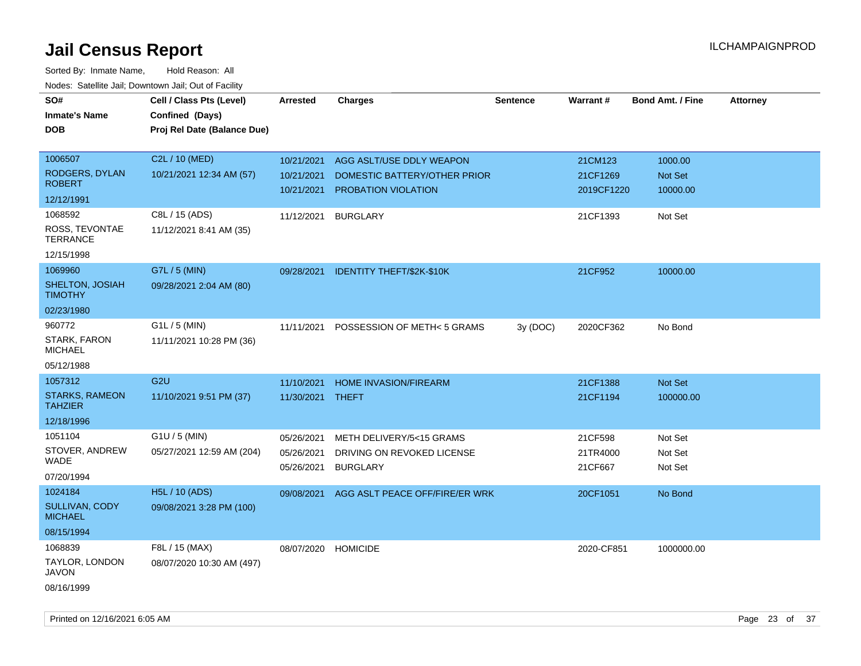| SO#<br><b>Inmate's Name</b>             | Cell / Class Pts (Level)<br>Confined (Days) | <b>Arrested</b>     | <b>Charges</b>                       | <b>Sentence</b> | Warrant#   | <b>Bond Amt. / Fine</b> | <b>Attorney</b> |
|-----------------------------------------|---------------------------------------------|---------------------|--------------------------------------|-----------------|------------|-------------------------|-----------------|
| <b>DOB</b>                              | Proj Rel Date (Balance Due)                 |                     |                                      |                 |            |                         |                 |
|                                         |                                             |                     |                                      |                 |            |                         |                 |
| 1006507                                 | C2L / 10 (MED)                              | 10/21/2021          | AGG ASLT/USE DDLY WEAPON             |                 | 21CM123    | 1000.00                 |                 |
| RODGERS, DYLAN                          | 10/21/2021 12:34 AM (57)                    | 10/21/2021          | DOMESTIC BATTERY/OTHER PRIOR         |                 | 21CF1269   | Not Set                 |                 |
| <b>ROBERT</b>                           |                                             | 10/21/2021          | PROBATION VIOLATION                  |                 | 2019CF1220 | 10000.00                |                 |
| 12/12/1991                              |                                             |                     |                                      |                 |            |                         |                 |
| 1068592                                 | C8L / 15 (ADS)                              | 11/12/2021          | <b>BURGLARY</b>                      |                 | 21CF1393   | Not Set                 |                 |
| ROSS, TEVONTAE<br><b>TERRANCE</b>       | 11/12/2021 8:41 AM (35)                     |                     |                                      |                 |            |                         |                 |
| 12/15/1998                              |                                             |                     |                                      |                 |            |                         |                 |
| 1069960                                 | G7L / 5 (MIN)                               |                     | 09/28/2021 IDENTITY THEFT/\$2K-\$10K |                 | 21CF952    | 10000.00                |                 |
| SHELTON, JOSIAH<br><b>TIMOTHY</b>       | 09/28/2021 2:04 AM (80)                     |                     |                                      |                 |            |                         |                 |
| 02/23/1980                              |                                             |                     |                                      |                 |            |                         |                 |
| 960772                                  | $G1L / 5$ (MIN)                             | 11/11/2021          | POSSESSION OF METH< 5 GRAMS          | 3y (DOC)        | 2020CF362  | No Bond                 |                 |
| STARK, FARON<br><b>MICHAEL</b>          | 11/11/2021 10:28 PM (36)                    |                     |                                      |                 |            |                         |                 |
| 05/12/1988                              |                                             |                     |                                      |                 |            |                         |                 |
| 1057312                                 | G <sub>2U</sub>                             | 11/10/2021          | <b>HOME INVASION/FIREARM</b>         |                 | 21CF1388   | Not Set                 |                 |
| <b>STARKS, RAMEON</b><br><b>TAHZIER</b> | 11/10/2021 9:51 PM (37)                     | 11/30/2021 THEFT    |                                      |                 | 21CF1194   | 100000.00               |                 |
| 12/18/1996                              |                                             |                     |                                      |                 |            |                         |                 |
| 1051104                                 | G1U / 5 (MIN)                               | 05/26/2021          | METH DELIVERY/5<15 GRAMS             |                 | 21CF598    | Not Set                 |                 |
| STOVER, ANDREW                          | 05/27/2021 12:59 AM (204)                   | 05/26/2021          | DRIVING ON REVOKED LICENSE           |                 | 21TR4000   | Not Set                 |                 |
| <b>WADE</b>                             |                                             | 05/26/2021          | <b>BURGLARY</b>                      |                 | 21CF667    | Not Set                 |                 |
| 07/20/1994                              |                                             |                     |                                      |                 |            |                         |                 |
| 1024184                                 | H5L / 10 (ADS)                              | 09/08/2021          | AGG ASLT PEACE OFF/FIRE/ER WRK       |                 | 20CF1051   | No Bond                 |                 |
| SULLIVAN, CODY<br><b>MICHAEL</b>        | 09/08/2021 3:28 PM (100)                    |                     |                                      |                 |            |                         |                 |
| 08/15/1994                              |                                             |                     |                                      |                 |            |                         |                 |
| 1068839                                 | F8L / 15 (MAX)                              | 08/07/2020 HOMICIDE |                                      |                 | 2020-CF851 | 1000000.00              |                 |
| TAYLOR, LONDON<br>JAVON                 | 08/07/2020 10:30 AM (497)                   |                     |                                      |                 |            |                         |                 |
| 08/16/1999                              |                                             |                     |                                      |                 |            |                         |                 |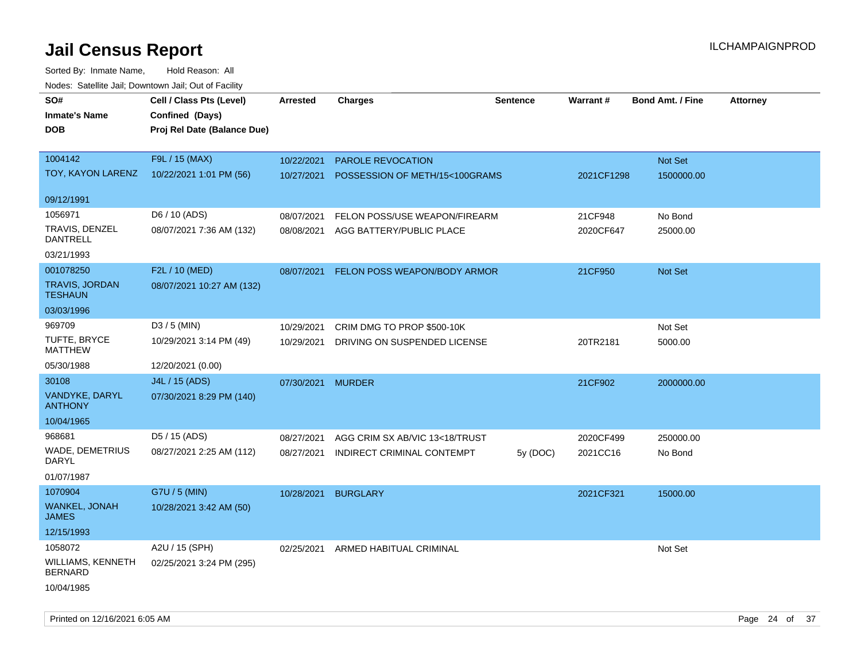| SO#<br><b>Inmate's Name</b><br><b>DOB</b> | Cell / Class Pts (Level)<br>Confined (Days)<br>Proj Rel Date (Balance Due) | Arrested   | <b>Charges</b>                 | <b>Sentence</b> | Warrant#   | <b>Bond Amt. / Fine</b> | <b>Attorney</b> |
|-------------------------------------------|----------------------------------------------------------------------------|------------|--------------------------------|-----------------|------------|-------------------------|-----------------|
| 1004142                                   | F9L / 15 (MAX)                                                             | 10/22/2021 | PAROLE REVOCATION              |                 |            | Not Set                 |                 |
| TOY, KAYON LARENZ                         | 10/22/2021 1:01 PM (56)                                                    | 10/27/2021 | POSSESSION OF METH/15<100GRAMS |                 | 2021CF1298 | 1500000.00              |                 |
| 09/12/1991                                |                                                                            |            |                                |                 |            |                         |                 |
| 1056971                                   | D6 / 10 (ADS)                                                              | 08/07/2021 | FELON POSS/USE WEAPON/FIREARM  |                 | 21CF948    | No Bond                 |                 |
| TRAVIS, DENZEL<br><b>DANTRELL</b>         | 08/07/2021 7:36 AM (132)                                                   | 08/08/2021 | AGG BATTERY/PUBLIC PLACE       |                 | 2020CF647  | 25000.00                |                 |
| 03/21/1993                                |                                                                            |            |                                |                 |            |                         |                 |
| 001078250                                 | F2L / 10 (MED)                                                             | 08/07/2021 | FELON POSS WEAPON/BODY ARMOR   |                 | 21CF950    | Not Set                 |                 |
| <b>TRAVIS, JORDAN</b><br><b>TESHAUN</b>   | 08/07/2021 10:27 AM (132)                                                  |            |                                |                 |            |                         |                 |
| 03/03/1996                                |                                                                            |            |                                |                 |            |                         |                 |
| 969709                                    | $D3 / 5$ (MIN)                                                             | 10/29/2021 | CRIM DMG TO PROP \$500-10K     |                 |            | Not Set                 |                 |
| TUFTE, BRYCE<br><b>MATTHEW</b>            | 10/29/2021 3:14 PM (49)                                                    | 10/29/2021 | DRIVING ON SUSPENDED LICENSE   |                 | 20TR2181   | 5000.00                 |                 |
| 05/30/1988                                | 12/20/2021 (0.00)                                                          |            |                                |                 |            |                         |                 |
| 30108                                     | J4L / 15 (ADS)                                                             | 07/30/2021 | <b>MURDER</b>                  |                 | 21CF902    | 2000000.00              |                 |
| VANDYKE, DARYL<br><b>ANTHONY</b>          | 07/30/2021 8:29 PM (140)                                                   |            |                                |                 |            |                         |                 |
| 10/04/1965                                |                                                                            |            |                                |                 |            |                         |                 |
| 968681                                    | D5 / 15 (ADS)                                                              | 08/27/2021 | AGG CRIM SX AB/VIC 13<18/TRUST |                 | 2020CF499  | 250000.00               |                 |
| WADE, DEMETRIUS<br>DARYL                  | 08/27/2021 2:25 AM (112)                                                   | 08/27/2021 | INDIRECT CRIMINAL CONTEMPT     | 5y (DOC)        | 2021CC16   | No Bond                 |                 |
| 01/07/1987                                |                                                                            |            |                                |                 |            |                         |                 |
| 1070904                                   | G7U / 5 (MIN)                                                              | 10/28/2021 | <b>BURGLARY</b>                |                 | 2021CF321  | 15000.00                |                 |
| WANKEL, JONAH<br><b>JAMES</b>             | 10/28/2021 3:42 AM (50)                                                    |            |                                |                 |            |                         |                 |
| 12/15/1993                                |                                                                            |            |                                |                 |            |                         |                 |
| 1058072                                   | A2U / 15 (SPH)                                                             | 02/25/2021 | ARMED HABITUAL CRIMINAL        |                 |            | Not Set                 |                 |
| WILLIAMS, KENNETH<br><b>BERNARD</b>       | 02/25/2021 3:24 PM (295)                                                   |            |                                |                 |            |                         |                 |
| 10/04/1985                                |                                                                            |            |                                |                 |            |                         |                 |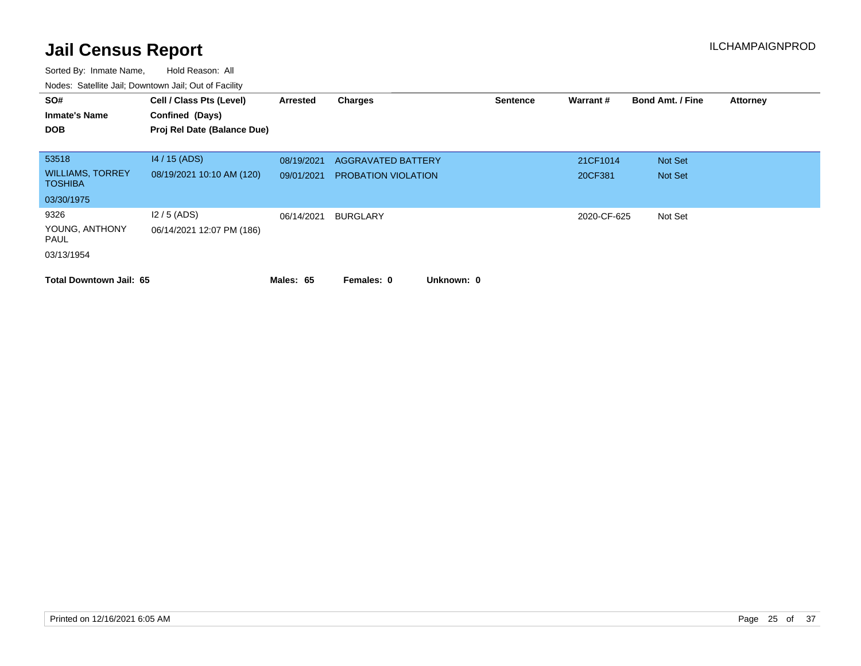| SO#<br><b>Inmate's Name</b><br><b>DOB</b> | Cell / Class Pts (Level)<br>Confined (Days)<br>Proj Rel Date (Balance Due) | Arrested   | Charges                    | <b>Sentence</b> | Warrant#    | <b>Bond Amt. / Fine</b> | <b>Attorney</b> |
|-------------------------------------------|----------------------------------------------------------------------------|------------|----------------------------|-----------------|-------------|-------------------------|-----------------|
| 53518                                     | $14/15$ (ADS)                                                              | 08/19/2021 | <b>AGGRAVATED BATTERY</b>  |                 | 21CF1014    | Not Set                 |                 |
| <b>WILLIAMS, TORREY</b><br><b>TOSHIBA</b> | 08/19/2021 10:10 AM (120)                                                  | 09/01/2021 | <b>PROBATION VIOLATION</b> |                 | 20CF381     | Not Set                 |                 |
| 03/30/1975                                |                                                                            |            |                            |                 |             |                         |                 |
| 9326                                      | $12/5$ (ADS)                                                               | 06/14/2021 | BURGLARY                   |                 | 2020-CF-625 | Not Set                 |                 |
| YOUNG, ANTHONY<br>PAUL                    | 06/14/2021 12:07 PM (186)                                                  |            |                            |                 |             |                         |                 |
| 03/13/1954                                |                                                                            |            |                            |                 |             |                         |                 |
| <b>Total Downtown Jail: 65</b>            |                                                                            | Males: 65  | Unknown: 0<br>Females: 0   |                 |             |                         |                 |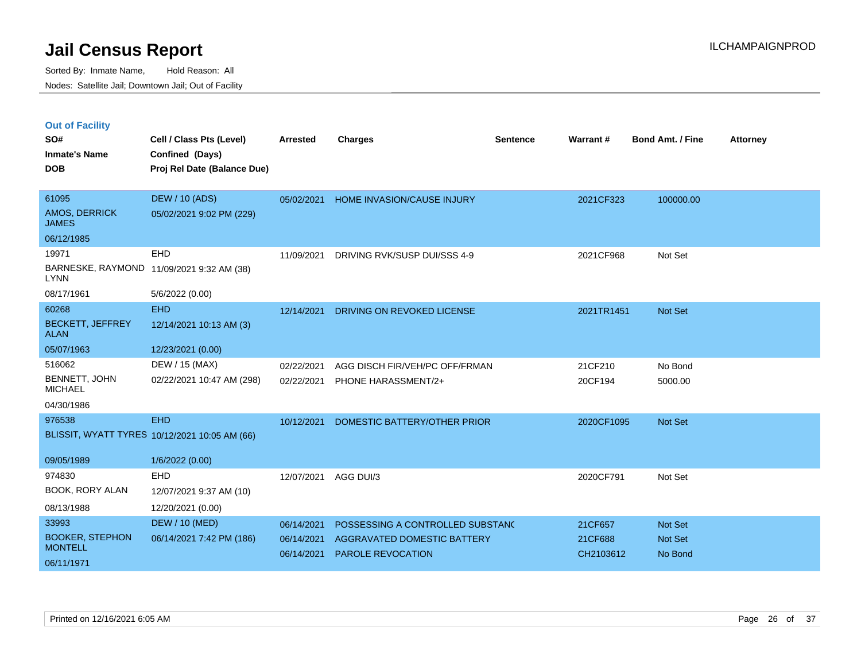|  | <b>Out of Facility</b> |  |
|--|------------------------|--|

| SO#<br><b>Inmate's Name</b><br><b>DOB</b>       | Cell / Class Pts (Level)<br>Confined (Days)<br>Proj Rel Date (Balance Due) | <b>Arrested</b>          | <b>Charges</b>                                                  | <b>Sentence</b> | Warrant#           | <b>Bond Amt. / Fine</b> | <b>Attorney</b> |
|-------------------------------------------------|----------------------------------------------------------------------------|--------------------------|-----------------------------------------------------------------|-----------------|--------------------|-------------------------|-----------------|
| 61095<br>AMOS, DERRICK<br><b>JAMES</b>          | <b>DEW / 10 (ADS)</b><br>05/02/2021 9:02 PM (229)                          | 05/02/2021               | <b>HOME INVASION/CAUSE INJURY</b>                               |                 | 2021CF323          | 100000.00               |                 |
| 06/12/1985                                      |                                                                            |                          |                                                                 |                 |                    |                         |                 |
| 19971<br><b>LYNN</b>                            | EHD<br>BARNESKE, RAYMOND 11/09/2021 9:32 AM (38)                           | 11/09/2021               | DRIVING RVK/SUSP DUI/SSS 4-9                                    |                 | 2021CF968          | Not Set                 |                 |
| 08/17/1961                                      | 5/6/2022 (0.00)                                                            |                          |                                                                 |                 |                    |                         |                 |
| 60268<br><b>BECKETT, JEFFREY</b><br><b>ALAN</b> | <b>EHD</b><br>12/14/2021 10:13 AM (3)                                      | 12/14/2021               | DRIVING ON REVOKED LICENSE                                      |                 | 2021TR1451         | Not Set                 |                 |
| 05/07/1963                                      | 12/23/2021 (0.00)                                                          |                          |                                                                 |                 |                    |                         |                 |
| 516062<br>BENNETT, JOHN                         | DEW / 15 (MAX)<br>02/22/2021 10:47 AM (298)                                | 02/22/2021<br>02/22/2021 | AGG DISCH FIR/VEH/PC OFF/FRMAN<br>PHONE HARASSMENT/2+           |                 | 21CF210<br>20CF194 | No Bond<br>5000.00      |                 |
| <b>MICHAEL</b><br>04/30/1986                    |                                                                            |                          |                                                                 |                 |                    |                         |                 |
| 976538                                          | <b>EHD</b><br>BLISSIT, WYATT TYRES 10/12/2021 10:05 AM (66)                | 10/12/2021               | DOMESTIC BATTERY/OTHER PRIOR                                    |                 | 2020CF1095         | Not Set                 |                 |
| 09/05/1989                                      | 1/6/2022 (0.00)                                                            |                          |                                                                 |                 |                    |                         |                 |
| 974830<br>BOOK, RORY ALAN                       | <b>EHD</b><br>12/07/2021 9:37 AM (10)                                      | 12/07/2021               | AGG DUI/3                                                       |                 | 2020CF791          | Not Set                 |                 |
| 08/13/1988                                      | 12/20/2021 (0.00)                                                          |                          |                                                                 |                 |                    |                         |                 |
| 33993<br><b>BOOKER, STEPHON</b>                 | <b>DEW / 10 (MED)</b><br>06/14/2021 7:42 PM (186)                          | 06/14/2021<br>06/14/2021 | POSSESSING A CONTROLLED SUBSTAND<br>AGGRAVATED DOMESTIC BATTERY |                 | 21CF657<br>21CF688 | Not Set<br>Not Set      |                 |
| <b>MONTELL</b><br>06/11/1971                    |                                                                            | 06/14/2021               | <b>PAROLE REVOCATION</b>                                        |                 | CH2103612          | No Bond                 |                 |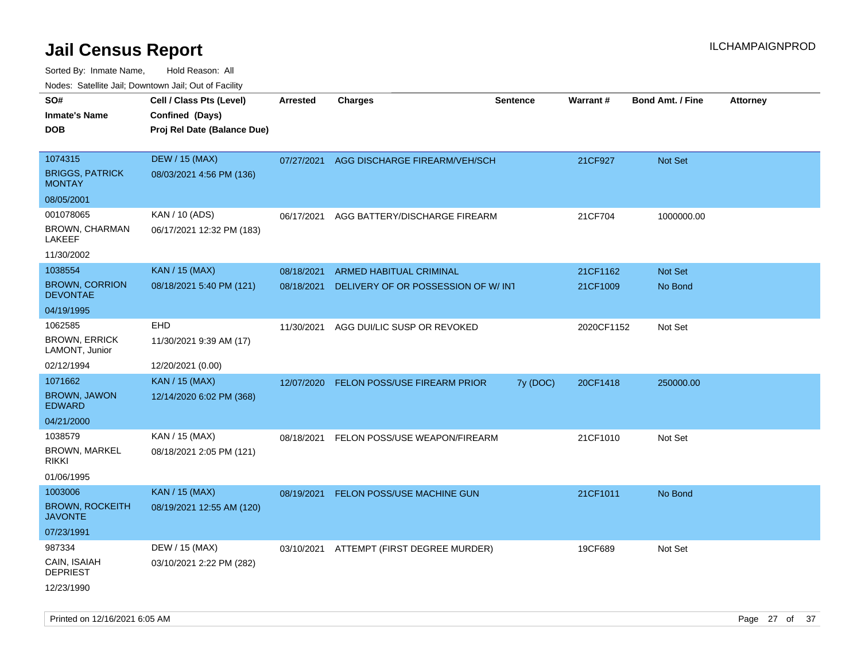| ivouss. Satellite Jali, Downtown Jali, Out of Facility |                             |                 |                                     |                 |                 |                         |                 |
|--------------------------------------------------------|-----------------------------|-----------------|-------------------------------------|-----------------|-----------------|-------------------------|-----------------|
| SO#                                                    | Cell / Class Pts (Level)    | <b>Arrested</b> | <b>Charges</b>                      | <b>Sentence</b> | <b>Warrant#</b> | <b>Bond Amt. / Fine</b> | <b>Attorney</b> |
| Inmate's Name                                          | Confined (Days)             |                 |                                     |                 |                 |                         |                 |
| <b>DOB</b>                                             | Proj Rel Date (Balance Due) |                 |                                     |                 |                 |                         |                 |
|                                                        |                             |                 |                                     |                 |                 |                         |                 |
| 1074315                                                | <b>DEW / 15 (MAX)</b>       | 07/27/2021      | AGG DISCHARGE FIREARM/VEH/SCH       |                 | 21CF927         | Not Set                 |                 |
| <b>BRIGGS, PATRICK</b><br><b>MONTAY</b>                | 08/03/2021 4:56 PM (136)    |                 |                                     |                 |                 |                         |                 |
| 08/05/2001                                             |                             |                 |                                     |                 |                 |                         |                 |
| 001078065                                              | KAN / 10 (ADS)              | 06/17/2021      | AGG BATTERY/DISCHARGE FIREARM       |                 | 21CF704         | 1000000.00              |                 |
| BROWN, CHARMAN<br>LAKEEF                               | 06/17/2021 12:32 PM (183)   |                 |                                     |                 |                 |                         |                 |
| 11/30/2002                                             |                             |                 |                                     |                 |                 |                         |                 |
| 1038554                                                | <b>KAN / 15 (MAX)</b>       | 08/18/2021      | ARMED HABITUAL CRIMINAL             |                 | 21CF1162        | <b>Not Set</b>          |                 |
| <b>BROWN, CORRION</b><br><b>DEVONTAE</b>               | 08/18/2021 5:40 PM (121)    | 08/18/2021      | DELIVERY OF OR POSSESSION OF W/ INT |                 | 21CF1009        | No Bond                 |                 |
| 04/19/1995                                             |                             |                 |                                     |                 |                 |                         |                 |
| 1062585                                                | <b>EHD</b>                  | 11/30/2021      | AGG DUI/LIC SUSP OR REVOKED         |                 | 2020CF1152      | Not Set                 |                 |
| <b>BROWN, ERRICK</b><br>LAMONT, Junior                 | 11/30/2021 9:39 AM (17)     |                 |                                     |                 |                 |                         |                 |
| 02/12/1994                                             | 12/20/2021 (0.00)           |                 |                                     |                 |                 |                         |                 |
| 1071662                                                | <b>KAN / 15 (MAX)</b>       | 12/07/2020      | <b>FELON POSS/USE FIREARM PRIOR</b> | 7y (DOC)        | 20CF1418        | 250000.00               |                 |
| <b>BROWN, JAWON</b><br><b>EDWARD</b>                   | 12/14/2020 6:02 PM (368)    |                 |                                     |                 |                 |                         |                 |
| 04/21/2000                                             |                             |                 |                                     |                 |                 |                         |                 |
| 1038579                                                | KAN / 15 (MAX)              | 08/18/2021      | FELON POSS/USE WEAPON/FIREARM       |                 | 21CF1010        | Not Set                 |                 |
| <b>BROWN, MARKEL</b><br>rikki                          | 08/18/2021 2:05 PM (121)    |                 |                                     |                 |                 |                         |                 |
| 01/06/1995                                             |                             |                 |                                     |                 |                 |                         |                 |
| 1003006                                                | <b>KAN / 15 (MAX)</b>       | 08/19/2021      | FELON POSS/USE MACHINE GUN          |                 | 21CF1011        | No Bond                 |                 |
| <b>BROWN, ROCKEITH</b><br>JAVONTE                      | 08/19/2021 12:55 AM (120)   |                 |                                     |                 |                 |                         |                 |
| 07/23/1991                                             |                             |                 |                                     |                 |                 |                         |                 |
| 987334                                                 | DEW / 15 (MAX)              | 03/10/2021      | ATTEMPT (FIRST DEGREE MURDER)       |                 | 19CF689         | Not Set                 |                 |
| CAIN, ISAIAH<br><b>DEPRIEST</b>                        | 03/10/2021 2:22 PM (282)    |                 |                                     |                 |                 |                         |                 |
| 12/23/1990                                             |                             |                 |                                     |                 |                 |                         |                 |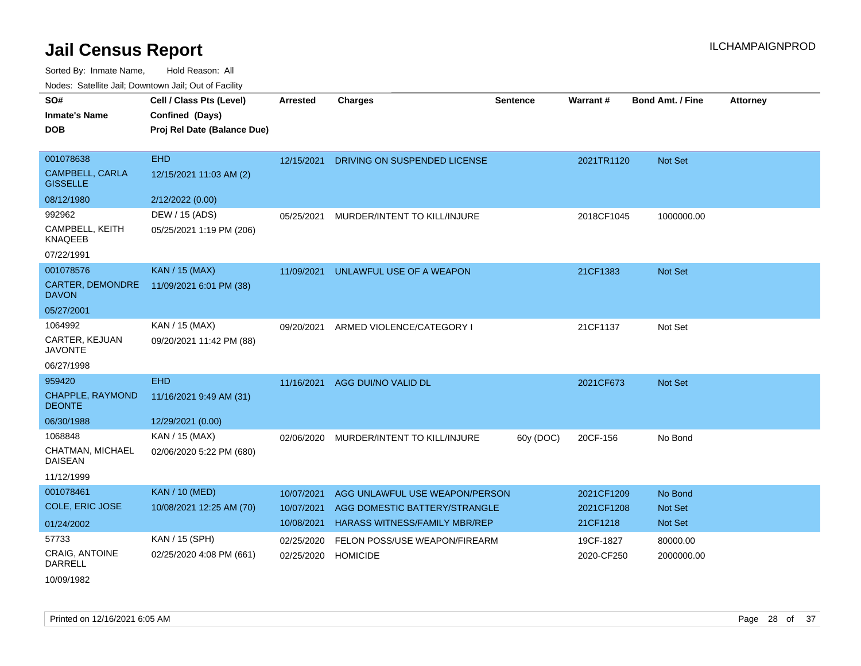| SO#                                       | Cell / Class Pts (Level)    | <b>Arrested</b> | <b>Charges</b>                       | <b>Sentence</b> | Warrant#   | <b>Bond Amt. / Fine</b> | <b>Attorney</b> |
|-------------------------------------------|-----------------------------|-----------------|--------------------------------------|-----------------|------------|-------------------------|-----------------|
| <b>Inmate's Name</b>                      | Confined (Days)             |                 |                                      |                 |            |                         |                 |
| <b>DOB</b>                                | Proj Rel Date (Balance Due) |                 |                                      |                 |            |                         |                 |
|                                           |                             |                 |                                      |                 |            |                         |                 |
| 001078638                                 | <b>EHD</b>                  | 12/15/2021      | DRIVING ON SUSPENDED LICENSE         |                 | 2021TR1120 | Not Set                 |                 |
| <b>CAMPBELL, CARLA</b><br><b>GISSELLE</b> | 12/15/2021 11:03 AM (2)     |                 |                                      |                 |            |                         |                 |
| 08/12/1980                                | 2/12/2022 (0.00)            |                 |                                      |                 |            |                         |                 |
| 992962                                    | DEW / 15 (ADS)              | 05/25/2021      | MURDER/INTENT TO KILL/INJURE         |                 | 2018CF1045 | 1000000.00              |                 |
| CAMPBELL, KEITH<br><b>KNAQEEB</b>         | 05/25/2021 1:19 PM (206)    |                 |                                      |                 |            |                         |                 |
| 07/22/1991                                |                             |                 |                                      |                 |            |                         |                 |
| 001078576                                 | <b>KAN / 15 (MAX)</b>       | 11/09/2021      | UNLAWFUL USE OF A WEAPON             |                 | 21CF1383   | Not Set                 |                 |
| <b>CARTER, DEMONDRE</b><br><b>DAVON</b>   | 11/09/2021 6:01 PM (38)     |                 |                                      |                 |            |                         |                 |
| 05/27/2001                                |                             |                 |                                      |                 |            |                         |                 |
| 1064992                                   | KAN / 15 (MAX)              | 09/20/2021      | ARMED VIOLENCE/CATEGORY I            |                 | 21CF1137   | Not Set                 |                 |
| CARTER, KEJUAN<br><b>JAVONTE</b>          | 09/20/2021 11:42 PM (88)    |                 |                                      |                 |            |                         |                 |
| 06/27/1998                                |                             |                 |                                      |                 |            |                         |                 |
| 959420                                    | <b>EHD</b>                  | 11/16/2021      | AGG DUI/NO VALID DL                  |                 | 2021CF673  | <b>Not Set</b>          |                 |
| <b>CHAPPLE, RAYMOND</b><br><b>DEONTE</b>  | 11/16/2021 9:49 AM (31)     |                 |                                      |                 |            |                         |                 |
| 06/30/1988                                | 12/29/2021 (0.00)           |                 |                                      |                 |            |                         |                 |
| 1068848                                   | KAN / 15 (MAX)              | 02/06/2020      | MURDER/INTENT TO KILL/INJURE         | 60y (DOC)       | 20CF-156   | No Bond                 |                 |
| CHATMAN, MICHAEL<br><b>DAISEAN</b>        | 02/06/2020 5:22 PM (680)    |                 |                                      |                 |            |                         |                 |
| 11/12/1999                                |                             |                 |                                      |                 |            |                         |                 |
| 001078461                                 | <b>KAN / 10 (MED)</b>       | 10/07/2021      | AGG UNLAWFUL USE WEAPON/PERSON       |                 | 2021CF1209 | No Bond                 |                 |
| COLE, ERIC JOSE                           | 10/08/2021 12:25 AM (70)    | 10/07/2021      | AGG DOMESTIC BATTERY/STRANGLE        |                 | 2021CF1208 | Not Set                 |                 |
| 01/24/2002                                |                             | 10/08/2021      | <b>HARASS WITNESS/FAMILY MBR/REP</b> |                 | 21CF1218   | <b>Not Set</b>          |                 |
| 57733                                     | KAN / 15 (SPH)              | 02/25/2020      | FELON POSS/USE WEAPON/FIREARM        |                 | 19CF-1827  | 80000.00                |                 |
| <b>CRAIG, ANTOINE</b><br><b>DARRELL</b>   | 02/25/2020 4:08 PM (661)    | 02/25/2020      | <b>HOMICIDE</b>                      |                 | 2020-CF250 | 2000000.00              |                 |
| 10/09/1982                                |                             |                 |                                      |                 |            |                         |                 |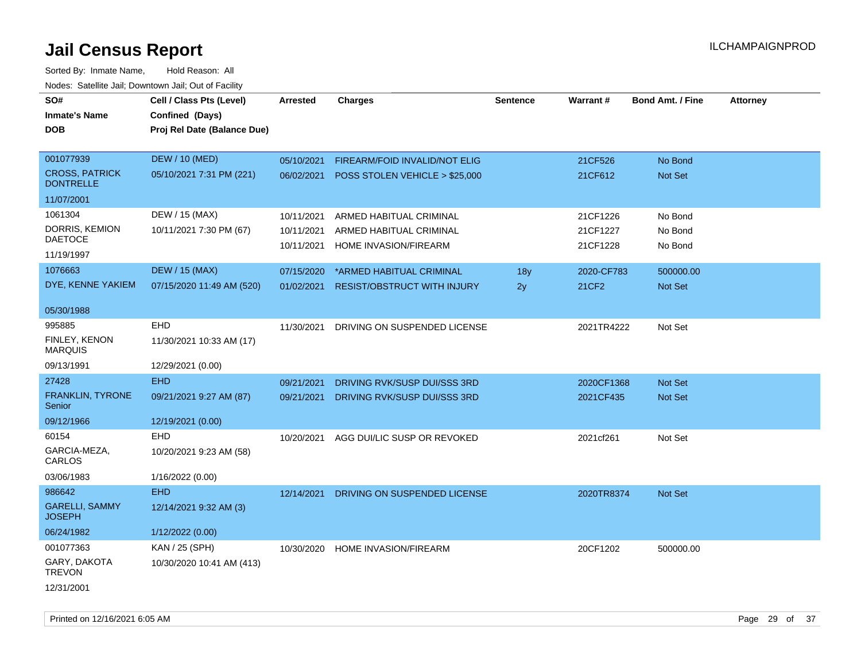| rouce. Calcinic Jan, Downtown Jan, Out or Facility |                             |                 |                                    |                 |            |                         |                 |
|----------------------------------------------------|-----------------------------|-----------------|------------------------------------|-----------------|------------|-------------------------|-----------------|
| SO#                                                | Cell / Class Pts (Level)    | <b>Arrested</b> | <b>Charges</b>                     | <b>Sentence</b> | Warrant#   | <b>Bond Amt. / Fine</b> | <b>Attorney</b> |
| <b>Inmate's Name</b>                               | Confined (Days)             |                 |                                    |                 |            |                         |                 |
| <b>DOB</b>                                         | Proj Rel Date (Balance Due) |                 |                                    |                 |            |                         |                 |
|                                                    |                             |                 |                                    |                 |            |                         |                 |
| 001077939                                          | <b>DEW / 10 (MED)</b>       | 05/10/2021      | FIREARM/FOID INVALID/NOT ELIG      |                 | 21CF526    | No Bond                 |                 |
| <b>CROSS, PATRICK</b><br><b>DONTRELLE</b>          | 05/10/2021 7:31 PM (221)    | 06/02/2021      | POSS STOLEN VEHICLE > \$25,000     |                 | 21CF612    | <b>Not Set</b>          |                 |
| 11/07/2001                                         |                             |                 |                                    |                 |            |                         |                 |
| 1061304                                            | DEW / 15 (MAX)              | 10/11/2021      | ARMED HABITUAL CRIMINAL            |                 | 21CF1226   | No Bond                 |                 |
| DORRIS, KEMION                                     | 10/11/2021 7:30 PM (67)     | 10/11/2021      | ARMED HABITUAL CRIMINAL            |                 | 21CF1227   | No Bond                 |                 |
| <b>DAETOCE</b>                                     |                             | 10/11/2021      | HOME INVASION/FIREARM              |                 | 21CF1228   | No Bond                 |                 |
| 11/19/1997                                         |                             |                 |                                    |                 |            |                         |                 |
| 1076663                                            | <b>DEW / 15 (MAX)</b>       | 07/15/2020      | *ARMED HABITUAL CRIMINAL           | 18y             | 2020-CF783 | 500000.00               |                 |
| DYE, KENNE YAKIEM                                  | 07/15/2020 11:49 AM (520)   | 01/02/2021      | <b>RESIST/OBSTRUCT WITH INJURY</b> | 2y              | 21CF2      | Not Set                 |                 |
| 05/30/1988                                         |                             |                 |                                    |                 |            |                         |                 |
| 995885                                             | EHD                         | 11/30/2021      | DRIVING ON SUSPENDED LICENSE       |                 | 2021TR4222 | Not Set                 |                 |
| <b>FINLEY, KENON</b><br><b>MARQUIS</b>             | 11/30/2021 10:33 AM (17)    |                 |                                    |                 |            |                         |                 |
| 09/13/1991                                         | 12/29/2021 (0.00)           |                 |                                    |                 |            |                         |                 |
| 27428                                              | <b>EHD</b>                  | 09/21/2021      | DRIVING RVK/SUSP DUI/SSS 3RD       |                 | 2020CF1368 | Not Set                 |                 |
| FRANKLIN, TYRONE<br>Senior                         | 09/21/2021 9:27 AM (87)     | 09/21/2021      | DRIVING RVK/SUSP DUI/SSS 3RD       |                 | 2021CF435  | <b>Not Set</b>          |                 |
| 09/12/1966                                         | 12/19/2021 (0.00)           |                 |                                    |                 |            |                         |                 |
| 60154                                              | <b>EHD</b>                  | 10/20/2021      | AGG DUI/LIC SUSP OR REVOKED        |                 | 2021cf261  | Not Set                 |                 |
| GARCIA-MEZA,<br>CARLOS                             | 10/20/2021 9:23 AM (58)     |                 |                                    |                 |            |                         |                 |
| 03/06/1983                                         | 1/16/2022 (0.00)            |                 |                                    |                 |            |                         |                 |
| 986642                                             | <b>EHD</b>                  | 12/14/2021      | DRIVING ON SUSPENDED LICENSE       |                 | 2020TR8374 | <b>Not Set</b>          |                 |
| <b>GARELLI, SAMMY</b><br><b>JOSEPH</b>             | 12/14/2021 9:32 AM (3)      |                 |                                    |                 |            |                         |                 |
| 06/24/1982                                         | 1/12/2022 (0.00)            |                 |                                    |                 |            |                         |                 |
| 001077363                                          | KAN / 25 (SPH)              | 10/30/2020      | HOME INVASION/FIREARM              |                 | 20CF1202   | 500000.00               |                 |
| GARY, DAKOTA<br><b>TREVON</b>                      | 10/30/2020 10:41 AM (413)   |                 |                                    |                 |            |                         |                 |
| 12/31/2001                                         |                             |                 |                                    |                 |            |                         |                 |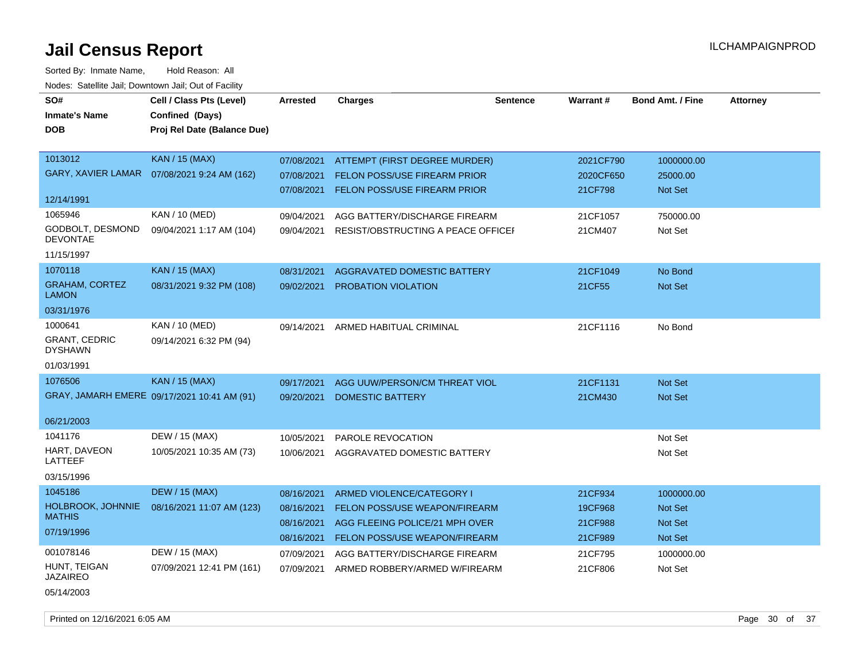Sorted By: Inmate Name, Hold Reason: All Nodes: Satellite Jail; Downtown Jail; Out of Facility

| SO#                                    | Cell / Class Pts (Level)                    | <b>Arrested</b> | <b>Charges</b>                          | <b>Sentence</b> | <b>Warrant#</b> | <b>Bond Amt. / Fine</b> | <b>Attorney</b> |
|----------------------------------------|---------------------------------------------|-----------------|-----------------------------------------|-----------------|-----------------|-------------------------|-----------------|
| <b>Inmate's Name</b>                   | Confined (Days)                             |                 |                                         |                 |                 |                         |                 |
| <b>DOB</b>                             | Proj Rel Date (Balance Due)                 |                 |                                         |                 |                 |                         |                 |
|                                        |                                             |                 |                                         |                 |                 |                         |                 |
| 1013012                                | <b>KAN / 15 (MAX)</b>                       | 07/08/2021      | ATTEMPT (FIRST DEGREE MURDER)           |                 | 2021CF790       | 1000000.00              |                 |
| <b>GARY, XAVIER LAMAR</b>              | 07/08/2021 9:24 AM (162)                    | 07/08/2021      | <b>FELON POSS/USE FIREARM PRIOR</b>     |                 | 2020CF650       | 25000.00                |                 |
|                                        |                                             |                 | 07/08/2021 FELON POSS/USE FIREARM PRIOR |                 | 21CF798         | Not Set                 |                 |
| 12/14/1991                             |                                             |                 |                                         |                 |                 |                         |                 |
| 1065946                                | <b>KAN / 10 (MED)</b>                       | 09/04/2021      | AGG BATTERY/DISCHARGE FIREARM           |                 | 21CF1057        | 750000.00               |                 |
| GODBOLT, DESMOND<br><b>DEVONTAE</b>    | 09/04/2021 1:17 AM (104)                    | 09/04/2021      | RESIST/OBSTRUCTING A PEACE OFFICEF      |                 | 21CM407         | Not Set                 |                 |
| 11/15/1997                             |                                             |                 |                                         |                 |                 |                         |                 |
| 1070118                                | <b>KAN / 15 (MAX)</b>                       | 08/31/2021      | AGGRAVATED DOMESTIC BATTERY             |                 | 21CF1049        | No Bond                 |                 |
| <b>GRAHAM, CORTEZ</b><br><b>LAMON</b>  | 08/31/2021 9:32 PM (108)                    | 09/02/2021      | <b>PROBATION VIOLATION</b>              |                 | 21CF55          | <b>Not Set</b>          |                 |
| 03/31/1976                             |                                             |                 |                                         |                 |                 |                         |                 |
| 1000641                                | KAN / 10 (MED)                              | 09/14/2021      | ARMED HABITUAL CRIMINAL                 |                 | 21CF1116        | No Bond                 |                 |
| <b>GRANT, CEDRIC</b><br><b>DYSHAWN</b> | 09/14/2021 6:32 PM (94)                     |                 |                                         |                 |                 |                         |                 |
| 01/03/1991                             |                                             |                 |                                         |                 |                 |                         |                 |
| 1076506                                | <b>KAN</b> / 15 (MAX)                       | 09/17/2021      | AGG UUW/PERSON/CM THREAT VIOL           |                 | 21CF1131        | Not Set                 |                 |
|                                        | GRAY, JAMARH EMERE 09/17/2021 10:41 AM (91) | 09/20/2021      | <b>DOMESTIC BATTERY</b>                 |                 | 21CM430         | Not Set                 |                 |
|                                        |                                             |                 |                                         |                 |                 |                         |                 |
| 06/21/2003                             |                                             |                 |                                         |                 |                 |                         |                 |
| 1041176                                | DEW / 15 (MAX)                              | 10/05/2021      | PAROLE REVOCATION                       |                 |                 | Not Set                 |                 |
| HART, DAVEON<br>LATTEEF                | 10/05/2021 10:35 AM (73)                    | 10/06/2021      | AGGRAVATED DOMESTIC BATTERY             |                 |                 | Not Set                 |                 |
| 03/15/1996                             |                                             |                 |                                         |                 |                 |                         |                 |
| 1045186                                | <b>DEW / 15 (MAX)</b>                       | 08/16/2021      | ARMED VIOLENCE/CATEGORY I               |                 | 21CF934         | 1000000.00              |                 |
| HOLBROOK, JOHNNIE                      | 08/16/2021 11:07 AM (123)                   | 08/16/2021      | FELON POSS/USE WEAPON/FIREARM           |                 | 19CF968         | <b>Not Set</b>          |                 |
| <b>MATHIS</b>                          |                                             | 08/16/2021      | AGG FLEEING POLICE/21 MPH OVER          |                 | 21CF988         | Not Set                 |                 |
| 07/19/1996                             |                                             | 08/16/2021      | FELON POSS/USE WEAPON/FIREARM           |                 | 21CF989         | <b>Not Set</b>          |                 |
| 001078146                              | DEW / 15 (MAX)                              | 07/09/2021      | AGG BATTERY/DISCHARGE FIREARM           |                 | 21CF795         | 1000000.00              |                 |
| HUNT, TEIGAN                           | 07/09/2021 12:41 PM (161)                   | 07/09/2021      | ARMED ROBBERY/ARMED W/FIREARM           |                 | 21CF806         | Not Set                 |                 |
| <b>JAZAIREO</b>                        |                                             |                 |                                         |                 |                 |                         |                 |
| 05/14/2003                             |                                             |                 |                                         |                 |                 |                         |                 |

Printed on 12/16/2021 6:05 AM **Page 30 of 37**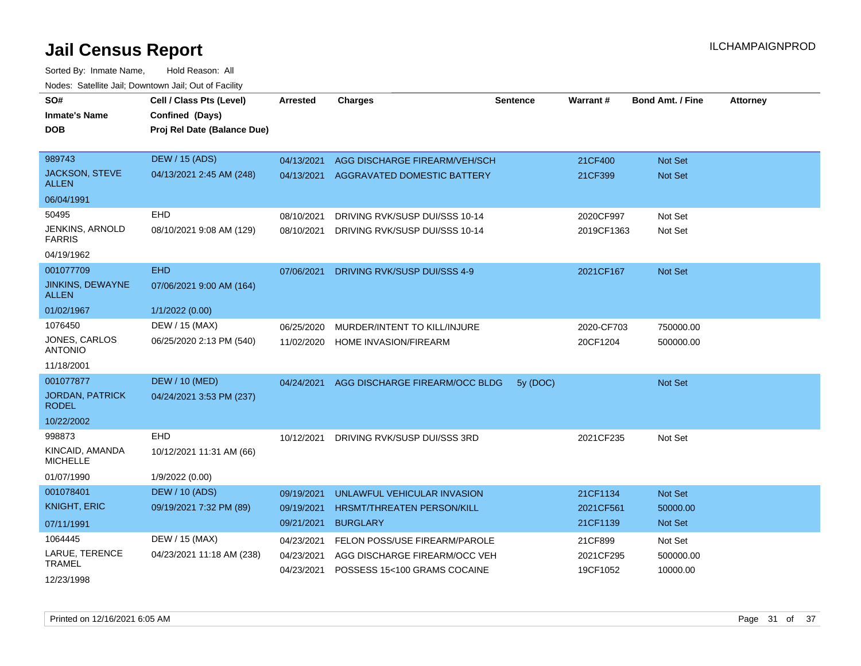| SO#<br><b>Inmate's Name</b><br>DOB      | Cell / Class Pts (Level)<br>Confined (Days)<br>Proj Rel Date (Balance Due) | <b>Arrested</b>          | <b>Charges</b>                                                | <b>Sentence</b> | Warrant#              | <b>Bond Amt. / Fine</b> | <b>Attorney</b> |
|-----------------------------------------|----------------------------------------------------------------------------|--------------------------|---------------------------------------------------------------|-----------------|-----------------------|-------------------------|-----------------|
| 989743                                  | <b>DEW / 15 (ADS)</b>                                                      | 04/13/2021               | AGG DISCHARGE FIREARM/VEH/SCH                                 |                 | 21CF400               | <b>Not Set</b>          |                 |
| JACKSON, STEVE<br><b>ALLEN</b>          | 04/13/2021 2:45 AM (248)                                                   | 04/13/2021               | AGGRAVATED DOMESTIC BATTERY                                   |                 | 21CF399               | Not Set                 |                 |
| 06/04/1991                              |                                                                            |                          |                                                               |                 |                       |                         |                 |
| 50495                                   | <b>EHD</b>                                                                 | 08/10/2021               | DRIVING RVK/SUSP DUI/SSS 10-14                                |                 | 2020CF997             | Not Set                 |                 |
| <b>JENKINS, ARNOLD</b><br><b>FARRIS</b> | 08/10/2021 9:08 AM (129)                                                   | 08/10/2021               | DRIVING RVK/SUSP DUI/SSS 10-14                                |                 | 2019CF1363            | Not Set                 |                 |
| 04/19/1962                              |                                                                            |                          |                                                               |                 |                       |                         |                 |
| 001077709                               | <b>EHD</b>                                                                 | 07/06/2021               | DRIVING RVK/SUSP DUI/SSS 4-9                                  |                 | 2021CF167             | <b>Not Set</b>          |                 |
| <b>JINKINS, DEWAYNE</b><br>ALLEN        | 07/06/2021 9:00 AM (164)                                                   |                          |                                                               |                 |                       |                         |                 |
| 01/02/1967                              | 1/1/2022 (0.00)                                                            |                          |                                                               |                 |                       |                         |                 |
| 1076450                                 | DEW / 15 (MAX)                                                             | 06/25/2020               | MURDER/INTENT TO KILL/INJURE                                  |                 | 2020-CF703            | 750000.00               |                 |
| JONES, CARLOS<br><b>ANTONIO</b>         | 06/25/2020 2:13 PM (540)                                                   | 11/02/2020               | HOME INVASION/FIREARM                                         |                 | 20CF1204              | 500000.00               |                 |
| 11/18/2001                              |                                                                            |                          |                                                               |                 |                       |                         |                 |
| 001077877                               | <b>DEW / 10 (MED)</b>                                                      | 04/24/2021               | AGG DISCHARGE FIREARM/OCC BLDG                                | 5y (DOC)        |                       | Not Set                 |                 |
| <b>JORDAN, PATRICK</b><br><b>RODEL</b>  | 04/24/2021 3:53 PM (237)                                                   |                          |                                                               |                 |                       |                         |                 |
| 10/22/2002                              |                                                                            |                          |                                                               |                 |                       |                         |                 |
| 998873                                  | <b>EHD</b>                                                                 | 10/12/2021               | DRIVING RVK/SUSP DUI/SSS 3RD                                  |                 | 2021CF235             | Not Set                 |                 |
| KINCAID, AMANDA<br><b>MICHELLE</b>      | 10/12/2021 11:31 AM (66)                                                   |                          |                                                               |                 |                       |                         |                 |
| 01/07/1990                              | 1/9/2022 (0.00)                                                            |                          |                                                               |                 |                       |                         |                 |
| 001078401                               | <b>DEW / 10 (ADS)</b>                                                      | 09/19/2021               | UNLAWFUL VEHICULAR INVASION                                   |                 | 21CF1134              | <b>Not Set</b>          |                 |
| <b>KNIGHT, ERIC</b>                     | 09/19/2021 7:32 PM (89)                                                    | 09/19/2021               | HRSMT/THREATEN PERSON/KILL                                    |                 | 2021CF561             | 50000.00                |                 |
| 07/11/1991                              |                                                                            | 09/21/2021               | <b>BURGLARY</b>                                               |                 | 21CF1139              | Not Set                 |                 |
| 1064445                                 | DEW / 15 (MAX)                                                             | 04/23/2021               | FELON POSS/USE FIREARM/PAROLE                                 |                 | 21CF899               | Not Set                 |                 |
| LARUE, TERENCE<br><b>TRAMEL</b>         | 04/23/2021 11:18 AM (238)                                                  | 04/23/2021<br>04/23/2021 | AGG DISCHARGE FIREARM/OCC VEH<br>POSSESS 15<100 GRAMS COCAINE |                 | 2021CF295<br>19CF1052 | 500000.00<br>10000.00   |                 |
| 12/23/1998                              |                                                                            |                          |                                                               |                 |                       |                         |                 |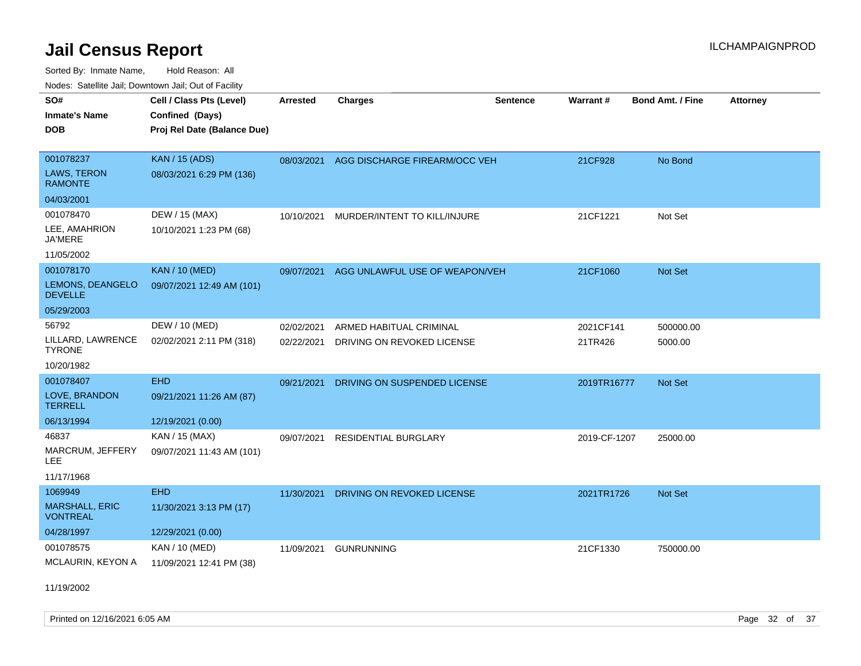Sorted By: Inmate Name, Hold Reason: All Nodes: Satellite Jail; Downtown Jail; Out of Facility

| SO#                                      | Cell / Class Pts (Level)    | <b>Arrested</b> | <b>Charges</b>                 | <b>Sentence</b> | <b>Warrant#</b> | <b>Bond Amt. / Fine</b> | <b>Attorney</b> |
|------------------------------------------|-----------------------------|-----------------|--------------------------------|-----------------|-----------------|-------------------------|-----------------|
| <b>Inmate's Name</b>                     | Confined (Days)             |                 |                                |                 |                 |                         |                 |
| <b>DOB</b>                               | Proj Rel Date (Balance Due) |                 |                                |                 |                 |                         |                 |
|                                          |                             |                 |                                |                 |                 |                         |                 |
| 001078237                                | <b>KAN / 15 (ADS)</b>       | 08/03/2021      | AGG DISCHARGE FIREARM/OCC VEH  |                 | 21CF928         | No Bond                 |                 |
| LAWS, TERON<br><b>RAMONTE</b>            | 08/03/2021 6:29 PM (136)    |                 |                                |                 |                 |                         |                 |
| 04/03/2001                               |                             |                 |                                |                 |                 |                         |                 |
| 001078470                                | DEW / 15 (MAX)              | 10/10/2021      | MURDER/INTENT TO KILL/INJURE   |                 | 21CF1221        | Not Set                 |                 |
| LEE, AMAHRION<br><b>JA'MERE</b>          | 10/10/2021 1:23 PM (68)     |                 |                                |                 |                 |                         |                 |
| 11/05/2002                               |                             |                 |                                |                 |                 |                         |                 |
| 001078170                                | <b>KAN / 10 (MED)</b>       | 09/07/2021      | AGG UNLAWFUL USE OF WEAPON/VEH |                 | 21CF1060        | Not Set                 |                 |
| LEMONS, DEANGELO<br><b>DEVELLE</b>       | 09/07/2021 12:49 AM (101)   |                 |                                |                 |                 |                         |                 |
| 05/29/2003                               |                             |                 |                                |                 |                 |                         |                 |
| 56792                                    | DEW / 10 (MED)              | 02/02/2021      | ARMED HABITUAL CRIMINAL        |                 | 2021CF141       | 500000.00               |                 |
| LILLARD, LAWRENCE<br><b>TYRONE</b>       | 02/02/2021 2:11 PM (318)    | 02/22/2021      | DRIVING ON REVOKED LICENSE     |                 | 21TR426         | 5000.00                 |                 |
| 10/20/1982                               |                             |                 |                                |                 |                 |                         |                 |
| 001078407                                | <b>EHD</b>                  | 09/21/2021      | DRIVING ON SUSPENDED LICENSE   |                 | 2019TR16777     | Not Set                 |                 |
| LOVE, BRANDON<br><b>TERRELL</b>          | 09/21/2021 11:26 AM (87)    |                 |                                |                 |                 |                         |                 |
| 06/13/1994                               | 12/19/2021 (0.00)           |                 |                                |                 |                 |                         |                 |
| 46837                                    | KAN / 15 (MAX)              | 09/07/2021      | <b>RESIDENTIAL BURGLARY</b>    |                 | 2019-CF-1207    | 25000.00                |                 |
| MARCRUM, JEFFERY<br>LEE                  | 09/07/2021 11:43 AM (101)   |                 |                                |                 |                 |                         |                 |
| 11/17/1968                               |                             |                 |                                |                 |                 |                         |                 |
| 1069949                                  | <b>EHD</b>                  | 11/30/2021      | DRIVING ON REVOKED LICENSE     |                 | 2021TR1726      | Not Set                 |                 |
| <b>MARSHALL, ERIC</b><br><b>VONTREAL</b> | 11/30/2021 3:13 PM (17)     |                 |                                |                 |                 |                         |                 |
| 04/28/1997                               | 12/29/2021 (0.00)           |                 |                                |                 |                 |                         |                 |
| 001078575                                | KAN / 10 (MED)              | 11/09/2021      | <b>GUNRUNNING</b>              |                 | 21CF1330        | 750000.00               |                 |
| MCLAURIN, KEYON A                        | 11/09/2021 12:41 PM (38)    |                 |                                |                 |                 |                         |                 |

11/19/2002

Printed on 12/16/2021 6:05 AM Page 32 of 37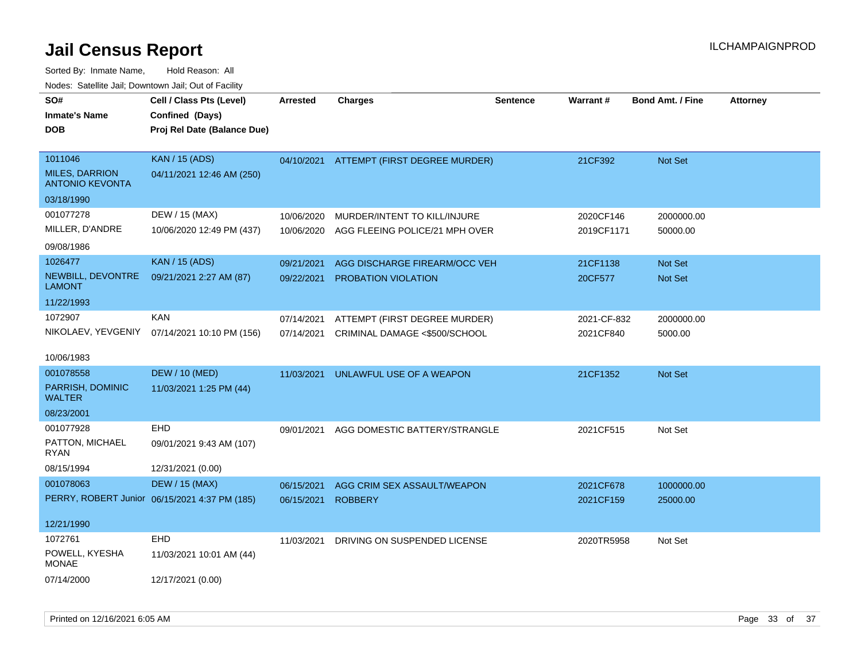| SO#<br><b>Inmate's Name</b><br><b>DOB</b>                  | Cell / Class Pts (Level)<br>Confined (Days)<br>Proj Rel Date (Balance Due) | <b>Arrested</b> | <b>Charges</b>                       | <b>Sentence</b> | Warrant#    | Bond Amt. / Fine | <b>Attorney</b> |
|------------------------------------------------------------|----------------------------------------------------------------------------|-----------------|--------------------------------------|-----------------|-------------|------------------|-----------------|
| 1011046<br><b>MILES, DARRION</b><br><b>ANTONIO KEVONTA</b> | <b>KAN / 15 (ADS)</b><br>04/11/2021 12:46 AM (250)                         | 04/10/2021      | <b>ATTEMPT (FIRST DEGREE MURDER)</b> |                 | 21CF392     | Not Set          |                 |
| 03/18/1990                                                 |                                                                            |                 |                                      |                 |             |                  |                 |
| 001077278                                                  | DEW / 15 (MAX)                                                             | 10/06/2020      | MURDER/INTENT TO KILL/INJURE         |                 | 2020CF146   | 2000000.00       |                 |
| MILLER, D'ANDRE                                            | 10/06/2020 12:49 PM (437)                                                  | 10/06/2020      | AGG FLEEING POLICE/21 MPH OVER       |                 | 2019CF1171  | 50000.00         |                 |
| 09/08/1986                                                 |                                                                            |                 |                                      |                 |             |                  |                 |
| 1026477                                                    | <b>KAN / 15 (ADS)</b>                                                      | 09/21/2021      | AGG DISCHARGE FIREARM/OCC VEH        |                 | 21CF1138    | Not Set          |                 |
| NEWBILL, DEVONTRE<br><b>LAMONT</b>                         | 09/21/2021 2:27 AM (87)                                                    | 09/22/2021      | PROBATION VIOLATION                  |                 | 20CF577     | Not Set          |                 |
| 11/22/1993                                                 |                                                                            |                 |                                      |                 |             |                  |                 |
| 1072907                                                    | <b>KAN</b>                                                                 | 07/14/2021      | ATTEMPT (FIRST DEGREE MURDER)        |                 | 2021-CF-832 | 2000000.00       |                 |
| NIKOLAEV, YEVGENIY                                         | 07/14/2021 10:10 PM (156)                                                  | 07/14/2021      | CRIMINAL DAMAGE <\$500/SCHOOL        |                 | 2021CF840   | 5000.00          |                 |
| 10/06/1983                                                 |                                                                            |                 |                                      |                 |             |                  |                 |
| 001078558                                                  | <b>DEW / 10 (MED)</b>                                                      | 11/03/2021      | UNLAWFUL USE OF A WEAPON             |                 | 21CF1352    | Not Set          |                 |
| PARRISH, DOMINIC<br><b>WALTER</b>                          | 11/03/2021 1:25 PM (44)                                                    |                 |                                      |                 |             |                  |                 |
| 08/23/2001                                                 |                                                                            |                 |                                      |                 |             |                  |                 |
| 001077928                                                  | EHD                                                                        | 09/01/2021      | AGG DOMESTIC BATTERY/STRANGLE        |                 | 2021CF515   | Not Set          |                 |
| PATTON, MICHAEL<br><b>RYAN</b>                             | 09/01/2021 9:43 AM (107)                                                   |                 |                                      |                 |             |                  |                 |
| 08/15/1994                                                 | 12/31/2021 (0.00)                                                          |                 |                                      |                 |             |                  |                 |
| 001078063                                                  | <b>DEW / 15 (MAX)</b>                                                      | 06/15/2021      | AGG CRIM SEX ASSAULT/WEAPON          |                 | 2021CF678   | 1000000.00       |                 |
|                                                            | PERRY, ROBERT Junior 06/15/2021 4:37 PM (185)                              | 06/15/2021      | <b>ROBBERY</b>                       |                 | 2021CF159   | 25000.00         |                 |
| 12/21/1990                                                 |                                                                            |                 |                                      |                 |             |                  |                 |
| 1072761                                                    | <b>EHD</b>                                                                 | 11/03/2021      | DRIVING ON SUSPENDED LICENSE         |                 | 2020TR5958  | Not Set          |                 |
| POWELL, KYESHA<br><b>MONAE</b>                             | 11/03/2021 10:01 AM (44)                                                   |                 |                                      |                 |             |                  |                 |
| 07/14/2000                                                 | 12/17/2021 (0.00)                                                          |                 |                                      |                 |             |                  |                 |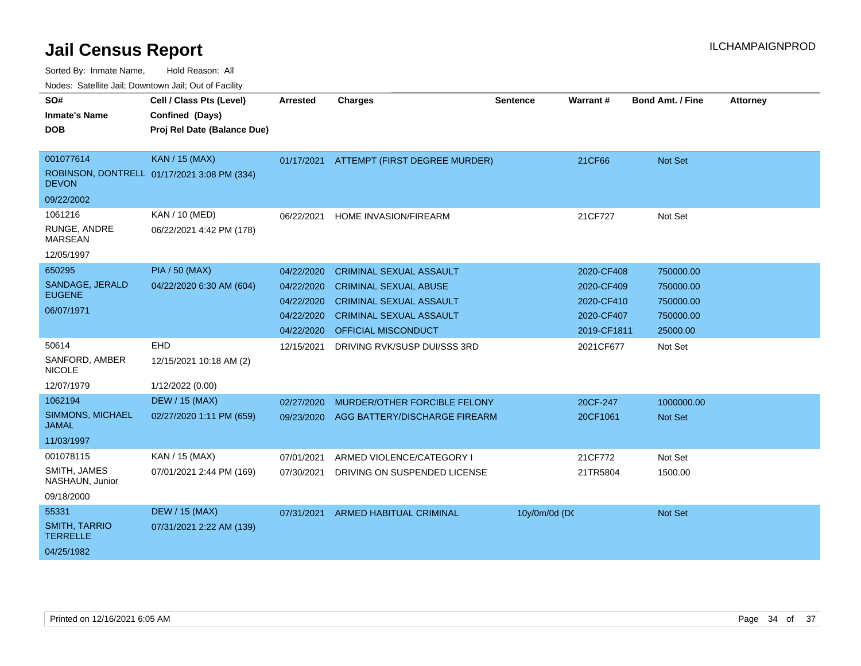| SO#                                     | Cell / Class Pts (Level)                    | <b>Arrested</b> | <b>Charges</b>                           | <b>Sentence</b> | Warrant#    | <b>Bond Amt. / Fine</b> | <b>Attorney</b> |
|-----------------------------------------|---------------------------------------------|-----------------|------------------------------------------|-----------------|-------------|-------------------------|-----------------|
| <b>Inmate's Name</b>                    | Confined (Days)                             |                 |                                          |                 |             |                         |                 |
| <b>DOB</b>                              | Proj Rel Date (Balance Due)                 |                 |                                          |                 |             |                         |                 |
|                                         |                                             |                 |                                          |                 |             |                         |                 |
| 001077614                               | <b>KAN / 15 (MAX)</b>                       |                 | 01/17/2021 ATTEMPT (FIRST DEGREE MURDER) |                 | 21CF66      | <b>Not Set</b>          |                 |
| <b>DEVON</b>                            | ROBINSON, DONTRELL 01/17/2021 3:08 PM (334) |                 |                                          |                 |             |                         |                 |
| 09/22/2002                              |                                             |                 |                                          |                 |             |                         |                 |
| 1061216                                 | KAN / 10 (MED)                              | 06/22/2021      | <b>HOME INVASION/FIREARM</b>             |                 | 21CF727     | Not Set                 |                 |
| RUNGE, ANDRE<br><b>MARSEAN</b>          | 06/22/2021 4:42 PM (178)                    |                 |                                          |                 |             |                         |                 |
| 12/05/1997                              |                                             |                 |                                          |                 |             |                         |                 |
| 650295                                  | <b>PIA / 50 (MAX)</b>                       | 04/22/2020      | <b>CRIMINAL SEXUAL ASSAULT</b>           |                 | 2020-CF408  | 750000.00               |                 |
| SANDAGE, JERALD                         | 04/22/2020 6:30 AM (604)                    | 04/22/2020      | <b>CRIMINAL SEXUAL ABUSE</b>             |                 | 2020-CF409  | 750000.00               |                 |
| <b>EUGENE</b>                           |                                             | 04/22/2020      | <b>CRIMINAL SEXUAL ASSAULT</b>           |                 | 2020-CF410  | 750000.00               |                 |
| 06/07/1971                              |                                             | 04/22/2020      | <b>CRIMINAL SEXUAL ASSAULT</b>           |                 | 2020-CF407  | 750000.00               |                 |
|                                         |                                             | 04/22/2020      | OFFICIAL MISCONDUCT                      |                 | 2019-CF1811 | 25000.00                |                 |
| 50614                                   | EHD                                         | 12/15/2021      | DRIVING RVK/SUSP DUI/SSS 3RD             |                 | 2021CF677   | Not Set                 |                 |
| SANFORD, AMBER<br><b>NICOLE</b>         | 12/15/2021 10:18 AM (2)                     |                 |                                          |                 |             |                         |                 |
| 12/07/1979                              | 1/12/2022 (0.00)                            |                 |                                          |                 |             |                         |                 |
| 1062194                                 | <b>DEW / 15 (MAX)</b>                       | 02/27/2020      | MURDER/OTHER FORCIBLE FELONY             |                 | 20CF-247    | 1000000.00              |                 |
| SIMMONS, MICHAEL<br><b>JAMAL</b>        | 02/27/2020 1:11 PM (659)                    | 09/23/2020      | AGG BATTERY/DISCHARGE FIREARM            |                 | 20CF1061    | <b>Not Set</b>          |                 |
| 11/03/1997                              |                                             |                 |                                          |                 |             |                         |                 |
| 001078115                               | KAN / 15 (MAX)                              | 07/01/2021      | ARMED VIOLENCE/CATEGORY I                |                 | 21CF772     | Not Set                 |                 |
| SMITH, JAMES<br>NASHAUN, Junior         | 07/01/2021 2:44 PM (169)                    | 07/30/2021      | DRIVING ON SUSPENDED LICENSE             |                 | 21TR5804    | 1500.00                 |                 |
| 09/18/2000                              |                                             |                 |                                          |                 |             |                         |                 |
| 55331                                   | <b>DEW / 15 (MAX)</b>                       | 07/31/2021      | <b>ARMED HABITUAL CRIMINAL</b>           | 10y/0m/0d (DC   |             | <b>Not Set</b>          |                 |
| <b>SMITH, TARRIO</b><br><b>TERRELLE</b> | 07/31/2021 2:22 AM (139)                    |                 |                                          |                 |             |                         |                 |
| 04/25/1982                              |                                             |                 |                                          |                 |             |                         |                 |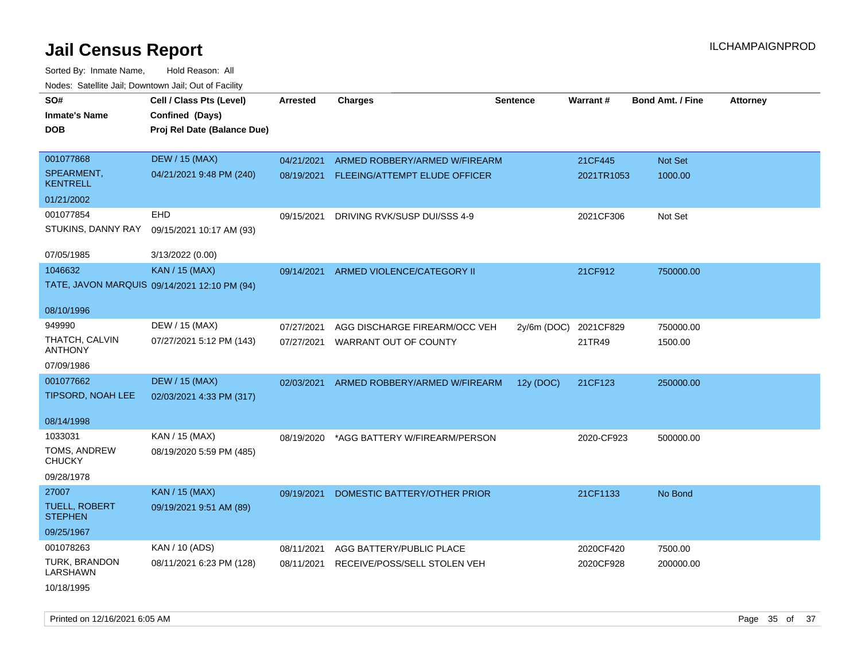| SO#                                    | Cell / Class Pts (Level)                     | <b>Arrested</b> | <b>Charges</b>                | <b>Sentence</b> | <b>Warrant#</b> | <b>Bond Amt. / Fine</b> | <b>Attorney</b> |
|----------------------------------------|----------------------------------------------|-----------------|-------------------------------|-----------------|-----------------|-------------------------|-----------------|
| <b>Inmate's Name</b>                   | Confined (Days)                              |                 |                               |                 |                 |                         |                 |
| <b>DOB</b>                             | Proj Rel Date (Balance Due)                  |                 |                               |                 |                 |                         |                 |
|                                        |                                              |                 |                               |                 |                 |                         |                 |
| 001077868                              | <b>DEW / 15 (MAX)</b>                        | 04/21/2021      | ARMED ROBBERY/ARMED W/FIREARM |                 | 21CF445         | Not Set                 |                 |
| SPEARMENT,<br><b>KENTRELL</b>          | 04/21/2021 9:48 PM (240)                     | 08/19/2021      | FLEEING/ATTEMPT ELUDE OFFICER |                 | 2021TR1053      | 1000.00                 |                 |
| 01/21/2002                             |                                              |                 |                               |                 |                 |                         |                 |
| 001077854                              | EHD                                          | 09/15/2021      | DRIVING RVK/SUSP DUI/SSS 4-9  |                 | 2021CF306       | Not Set                 |                 |
| STUKINS, DANNY RAY                     | 09/15/2021 10:17 AM (93)                     |                 |                               |                 |                 |                         |                 |
| 07/05/1985                             | 3/13/2022 (0.00)                             |                 |                               |                 |                 |                         |                 |
| 1046632                                | KAN / 15 (MAX)                               | 09/14/2021      | ARMED VIOLENCE/CATEGORY II    |                 | 21CF912         | 750000.00               |                 |
|                                        | TATE, JAVON MARQUIS 09/14/2021 12:10 PM (94) |                 |                               |                 |                 |                         |                 |
| 08/10/1996                             |                                              |                 |                               |                 |                 |                         |                 |
| 949990                                 | DEW / 15 (MAX)                               | 07/27/2021      | AGG DISCHARGE FIREARM/OCC VEH | $2y/6m$ (DOC)   | 2021CF829       | 750000.00               |                 |
| THATCH, CALVIN<br><b>ANTHONY</b>       | 07/27/2021 5:12 PM (143)                     | 07/27/2021      | WARRANT OUT OF COUNTY         |                 | 21TR49          | 1500.00                 |                 |
| 07/09/1986                             |                                              |                 |                               |                 |                 |                         |                 |
| 001077662                              | <b>DEW / 15 (MAX)</b>                        | 02/03/2021      | ARMED ROBBERY/ARMED W/FIREARM | 12y (DOC)       | 21CF123         | 250000.00               |                 |
| TIPSORD, NOAH LEE                      | 02/03/2021 4:33 PM (317)                     |                 |                               |                 |                 |                         |                 |
| 08/14/1998                             |                                              |                 |                               |                 |                 |                         |                 |
| 1033031                                | KAN / 15 (MAX)                               | 08/19/2020      | *AGG BATTERY W/FIREARM/PERSON |                 | 2020-CF923      | 500000.00               |                 |
| TOMS, ANDREW<br><b>CHUCKY</b>          | 08/19/2020 5:59 PM (485)                     |                 |                               |                 |                 |                         |                 |
| 09/28/1978                             |                                              |                 |                               |                 |                 |                         |                 |
| 27007                                  | <b>KAN / 15 (MAX)</b>                        | 09/19/2021      | DOMESTIC BATTERY/OTHER PRIOR  |                 | 21CF1133        | No Bond                 |                 |
| <b>TUELL, ROBERT</b><br><b>STEPHEN</b> | 09/19/2021 9:51 AM (89)                      |                 |                               |                 |                 |                         |                 |
| 09/25/1967                             |                                              |                 |                               |                 |                 |                         |                 |
| 001078263                              | KAN / 10 (ADS)                               | 08/11/2021      | AGG BATTERY/PUBLIC PLACE      |                 | 2020CF420       | 7500.00                 |                 |
| TURK, BRANDON<br><b>LARSHAWN</b>       | 08/11/2021 6:23 PM (128)                     | 08/11/2021      | RECEIVE/POSS/SELL STOLEN VEH  |                 | 2020CF928       | 200000.00               |                 |
| 10/18/1995                             |                                              |                 |                               |                 |                 |                         |                 |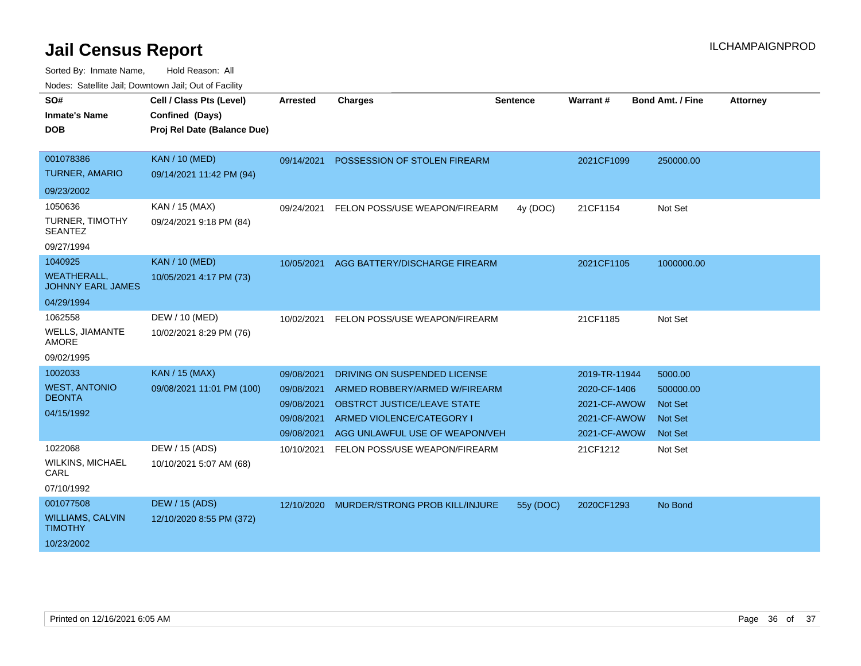| SO#                                            | Cell / Class Pts (Level)    | <b>Arrested</b> | <b>Charges</b>                        | <b>Sentence</b> | <b>Warrant#</b> | <b>Bond Amt. / Fine</b> | <b>Attorney</b> |
|------------------------------------------------|-----------------------------|-----------------|---------------------------------------|-----------------|-----------------|-------------------------|-----------------|
| <b>Inmate's Name</b>                           | Confined (Days)             |                 |                                       |                 |                 |                         |                 |
| <b>DOB</b>                                     | Proj Rel Date (Balance Due) |                 |                                       |                 |                 |                         |                 |
|                                                |                             |                 |                                       |                 |                 |                         |                 |
| 001078386                                      | <b>KAN / 10 (MED)</b>       | 09/14/2021      | POSSESSION OF STOLEN FIREARM          |                 | 2021CF1099      | 250000.00               |                 |
| <b>TURNER, AMARIO</b>                          | 09/14/2021 11:42 PM (94)    |                 |                                       |                 |                 |                         |                 |
| 09/23/2002                                     |                             |                 |                                       |                 |                 |                         |                 |
| 1050636                                        | KAN / 15 (MAX)              | 09/24/2021      | FELON POSS/USE WEAPON/FIREARM         | 4y (DOC)        | 21CF1154        | Not Set                 |                 |
| <b>TURNER, TIMOTHY</b><br><b>SEANTEZ</b>       | 09/24/2021 9:18 PM (84)     |                 |                                       |                 |                 |                         |                 |
| 09/27/1994                                     |                             |                 |                                       |                 |                 |                         |                 |
| 1040925                                        | <b>KAN / 10 (MED)</b>       | 10/05/2021      | AGG BATTERY/DISCHARGE FIREARM         |                 | 2021CF1105      | 1000000.00              |                 |
| <b>WEATHERALL,</b><br><b>JOHNNY EARL JAMES</b> | 10/05/2021 4:17 PM (73)     |                 |                                       |                 |                 |                         |                 |
| 04/29/1994                                     |                             |                 |                                       |                 |                 |                         |                 |
| 1062558                                        | DEW / 10 (MED)              | 10/02/2021      | FELON POSS/USE WEAPON/FIREARM         |                 | 21CF1185        | Not Set                 |                 |
| <b>WELLS, JIAMANTE</b><br><b>AMORE</b>         | 10/02/2021 8:29 PM (76)     |                 |                                       |                 |                 |                         |                 |
| 09/02/1995                                     |                             |                 |                                       |                 |                 |                         |                 |
| 1002033                                        | <b>KAN / 15 (MAX)</b>       | 09/08/2021      | DRIVING ON SUSPENDED LICENSE          |                 | 2019-TR-11944   | 5000.00                 |                 |
| <b>WEST, ANTONIO</b>                           | 09/08/2021 11:01 PM (100)   | 09/08/2021      | ARMED ROBBERY/ARMED W/FIREARM         |                 | 2020-CF-1406    | 500000.00               |                 |
| <b>DEONTA</b>                                  |                             | 09/08/2021      | <b>OBSTRCT JUSTICE/LEAVE STATE</b>    |                 | 2021-CF-AWOW    | <b>Not Set</b>          |                 |
| 04/15/1992                                     |                             | 09/08/2021      | ARMED VIOLENCE/CATEGORY I             |                 | 2021-CF-AWOW    | <b>Not Set</b>          |                 |
|                                                |                             | 09/08/2021      | AGG UNLAWFUL USE OF WEAPON/VEH        |                 | 2021-CF-AWOW    | <b>Not Set</b>          |                 |
| 1022068                                        | DEW / 15 (ADS)              | 10/10/2021      | FELON POSS/USE WEAPON/FIREARM         |                 | 21CF1212        | Not Set                 |                 |
| <b>WILKINS, MICHAEL</b><br>CARL                | 10/10/2021 5:07 AM (68)     |                 |                                       |                 |                 |                         |                 |
| 07/10/1992                                     |                             |                 |                                       |                 |                 |                         |                 |
| 001077508                                      | DEW / 15 (ADS)              | 12/10/2020      | <b>MURDER/STRONG PROB KILL/INJURE</b> | 55y (DOC)       | 2020CF1293      | No Bond                 |                 |
| <b>WILLIAMS, CALVIN</b><br><b>TIMOTHY</b>      | 12/10/2020 8:55 PM (372)    |                 |                                       |                 |                 |                         |                 |
| 10/23/2002                                     |                             |                 |                                       |                 |                 |                         |                 |